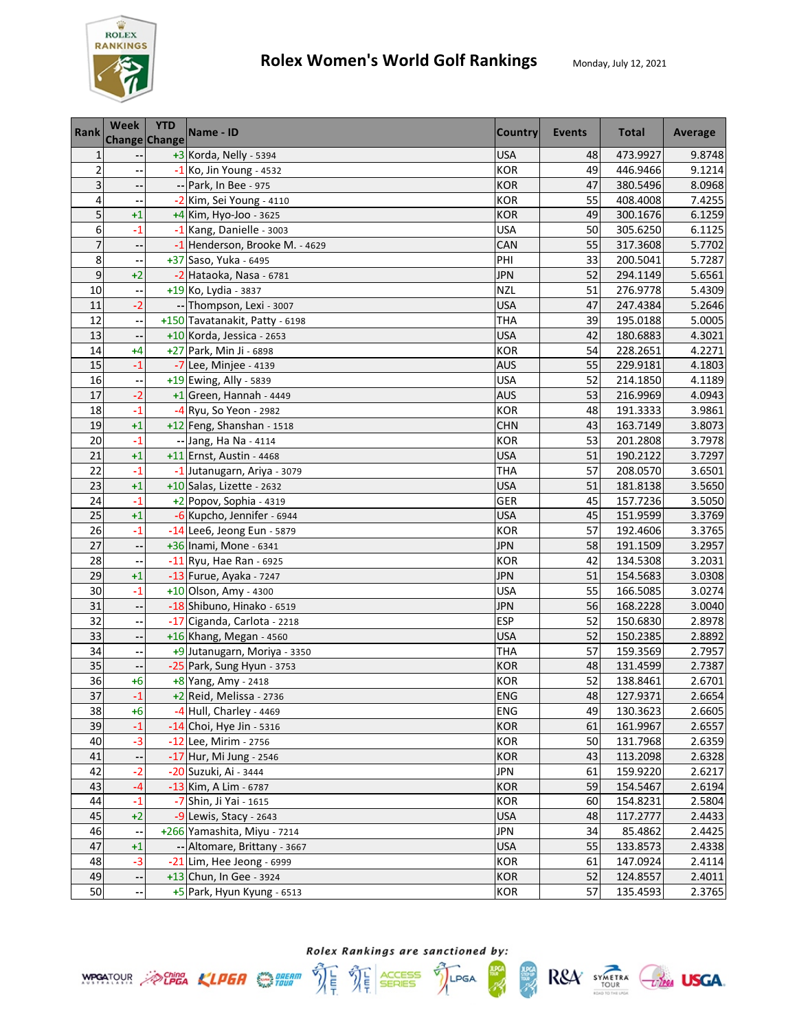

| Rank           | Week         | <b>YTD</b><br><b>Change Change</b> | Name - ID                                            | <b>Country</b>    | Events   | <b>Total</b>         | Average          |
|----------------|--------------|------------------------------------|------------------------------------------------------|-------------------|----------|----------------------|------------------|
| 1              |              |                                    | +3 Korda, Nelly - 5394                               | USA               | 48       | 473.9927             | 9.8748           |
| $\overline{2}$ |              |                                    | -1 Ko, Jin Young - 4532                              | <b>KOR</b>        | 49       | 446.9466             | 9.1214           |
| 3              |              |                                    | -- Park, In Bee - 975                                | <b>KOR</b>        | 47       | 380.5496             | 8.0968           |
| 4              |              |                                    | -2 Kim, Sei Young - 4110                             | <b>KOR</b>        | 55       | 408.4008             | 7.4255           |
| 5              | $+1$         |                                    | $+4$ Kim, Hyo-Joo - 3625                             | <b>KOR</b>        | 49       | 300.1676             | 6.1259           |
| 6              | $-1$         |                                    | -1 Kang, Danielle - 3003                             | <b>USA</b>        | 50       | 305.6250             | 6.1125           |
| $\overline{7}$ | ٠.           |                                    | -1 Henderson, Brooke M. - 4629                       | CAN               | 55       | 317.3608             | 5.7702           |
| 8              |              |                                    | +37 Saso, Yuka - 6495                                | PHI               | 33       | 200.5041             | 5.7287           |
| 9              | $+2$         |                                    | -2 Hataoka, Nasa - 6781                              | JPN               | 52       | 294.1149             | 5.6561           |
| 10             |              |                                    | +19 Ko, Lydia - 3837                                 | <b>NZL</b>        | 51       | 276.9778             | 5.4309           |
| 11             | -2           |                                    | -- Thompson, Lexi - 3007                             | <b>USA</b>        | 47       | 247.4384             | 5.2646           |
| 12             |              |                                    | +150 Tavatanakit, Patty - 6198                       | <b>THA</b>        | 39       | 195.0188             | 5.0005           |
| 13             |              |                                    | +10 Korda, Jessica - 2653                            | <b>USA</b>        | 42       | 180.6883             | 4.3021           |
| 14             | $+4$         |                                    | +27 Park, Min Ji - 6898                              | <b>KOR</b>        | 54       | 228.2651             | 4.2271           |
| 15             | $-1$         |                                    | $-7$ Lee, Minjee - 4139                              | <b>AUS</b>        | 55       | 229.9181             | 4.1803           |
| 16             |              |                                    | +19 Ewing, Ally - 5839                               | <b>USA</b>        | 52       | 214.1850             | 4.1189           |
| 17             | $-2$         |                                    | +1 Green, Hannah - 4449                              | <b>AUS</b>        | 53       | 216.9969             | 4.0943           |
| 18             | $-1$         |                                    | -4 Ryu, So Yeon - 2982                               | <b>KOR</b>        | 48       | 191.3333             | 3.9861           |
| 19             | $+1$         |                                    | +12 Feng, Shanshan - 1518                            | <b>CHN</b>        | 43       | 163.7149             | 3.8073           |
| 20             | $-1$         |                                    | -- Jang, Ha Na - 4114                                | <b>KOR</b>        | 53       | 201.2808             | 3.7978           |
| 21             | $+1$         |                                    | +11 Ernst, Austin - 4468                             | <b>USA</b>        | 51       | 190.2122             | 3.7297           |
| 22             | $-1$         |                                    | -1 Jutanugarn, Ariya - 3079                          | <b>THA</b>        | 57       | 208.0570             | 3.6501           |
| 23             | $+1$         |                                    | +10 Salas, Lizette - 2632                            | <b>USA</b>        | 51       | 181.8138             | 3.5650           |
| 24             | $-1$         |                                    | $+2$ Popov, Sophia - 4319                            | GER               | 45       | 157.7236             | 3.5050           |
| 25             | $+1$         |                                    | -6 Kupcho, Jennifer - 6944                           | <b>USA</b>        | 45       | 151.9599             | 3.3769           |
| 26             | $-1$         |                                    | -14 Lee6, Jeong Eun - 5879                           | <b>KOR</b>        | 57       | 192.4606             | 3.3765           |
| 27             | ٠.           |                                    | +36 Inami, Mone - 6341                               | <b>JPN</b>        | 58       | 191.1509             | 3.2957           |
| 28             |              |                                    | $-11$ Ryu, Hae Ran - 6925                            | <b>KOR</b>        | 42       | 134.5308             | 3.2031           |
| 29             | $+1$         |                                    | -13 Furue, Ayaka - 7247                              | <b>JPN</b>        | 51       | 154.5683             | 3.0308           |
| 30             | $-1$         |                                    | +10 Olson, Amy - 4300                                | <b>USA</b>        | 55       | 166.5085             | 3.0274           |
| 31             |              |                                    | -18 Shibuno, Hinako - 6519                           | <b>JPN</b>        | 56       | 168.2228             | 3.0040           |
| 32             |              |                                    | -17 Ciganda, Carlota - 2218                          | <b>ESP</b>        | 52       | 150.6830             | 2.8978           |
| 33             | --           |                                    | +16 Khang, Megan - 4560                              | <b>USA</b>        | 52       | 150.2385             | 2.8892           |
| 34             | --           |                                    | +9 Jutanugarn, Moriya - 3350                         | THA               | 57       | 159.3569             | 2.7957           |
| 35             | ۰.           |                                    | -25 Park, Sung Hyun - 3753                           | <b>KOR</b>        | 48       | 131.4599             | 2.7387           |
| 36             | $+6$         |                                    | +8 Yang, Amy - 2418                                  | <b>KOR</b>        | 52       | 138.8461             | 2.6701           |
| 37             | $-1$         |                                    | +2 Reid, Melissa - 2736                              | <b>ENG</b>        | 48       | 127.9371             | 2.6654           |
| 38             | $+6$         |                                    | -4 Hull, Charley - 4469                              | ENG               | 49       | 130.3623             | 2.6605           |
| 39             | $-1$         |                                    | -14 Choi, Hye Jin - 5316                             | <b>KOR</b>        | 61       | 161.9967             | 2.6557           |
| 40             | $-3$         |                                    | -12 Lee, Mirim - 2756                                | KOR               | 50       | 131.7968             | 2.6359           |
| 41             |              |                                    | -17 Hur, Mi Jung - 2546                              | <b>KOR</b>        | 43       | 113.2098             | 2.6328           |
| 42             | $-2$         |                                    | -20 Suzuki, Ai - 3444                                | <b>JPN</b>        | 61       | 159.9220             | 2.6217           |
| 43             | $-4$         |                                    | -13 Kim, A Lim - 6787                                | <b>KOR</b>        | 59       | 154.5467             | 2.6194           |
| 44             | $-1$         |                                    | -7 Shin, Ji Yai - 1615                               | <b>KOR</b>        | 60       | 154.8231             | 2.5804           |
| 45             | $+2$         |                                    | -9 Lewis, Stacy - 2643                               | <b>USA</b>        | 48       | 117.2777             | 2.4433           |
| 46             |              |                                    | +266 Yamashita, Miyu - 7214                          | <b>JPN</b>        | 34       | 85.4862              | 2.4425           |
| 47<br>48       | $+1$<br>$-3$ |                                    | -- Altomare, Brittany - 3667                         | <b>USA</b><br>KOR | 55<br>61 | 133.8573             | 2.4338           |
| 49             |              |                                    | -21 Lim, Hee Jeong - 6999<br>+13 Chun, In Gee - 3924 | <b>KOR</b>        | 52       | 147.0924             | 2.4114<br>2.4011 |
| 50             | ٠.           |                                    |                                                      | KOR               | 57       | 124.8557<br>135.4593 | 2.3765           |
|                |              |                                    | +5 Park, Hyun Kyung - 6513                           |                   |          |                      |                  |



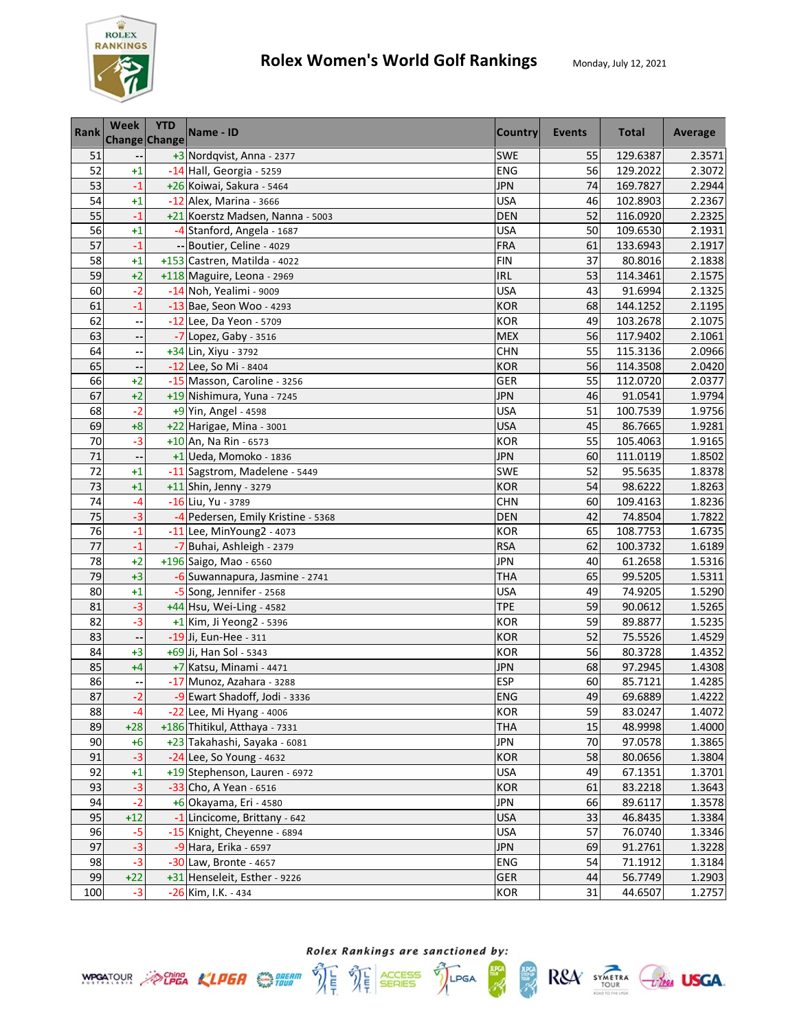

R&A SYMETRA CHEE USGA.

**HPCA** 

| Rank     | Week                     | <b>YTD</b>    | Name - ID                                                 | <b>Country</b>           | Events   | <b>Total</b> | Average |
|----------|--------------------------|---------------|-----------------------------------------------------------|--------------------------|----------|--------------|---------|
|          |                          | Change Change |                                                           |                          |          |              |         |
| 51<br>52 |                          |               | +3 Nordqvist, Anna - 2377                                 | <b>SWE</b>               | 55       | 129.6387     | 2.3571  |
|          | $+1$                     |               | -14 Hall, Georgia - 5259                                  | ENG                      | 56       | 129.2022     | 2.3072  |
| 53       | $-1$                     |               | +26 Koiwai, Sakura - 5464                                 | <b>JPN</b>               | 74       | 169.7827     | 2.2944  |
| 54       | $+1$                     |               | $-12$ Alex, Marina - 3666                                 | <b>USA</b>               | 46       | 102.8903     | 2.2367  |
| 55<br>56 | $-1$                     |               | +21 Koerstz Madsen, Nanna - 5003                          | <b>DEN</b>               | 52       | 116.0920     | 2.2325  |
| 57       | $+1$<br>$-1$             |               | -4 Stanford, Angela - 1687                                | <b>USA</b><br><b>FRA</b> | 50<br>61 | 109.6530     | 2.1931  |
| 58       |                          |               | -- Boutier, Celine - 4029<br>+153 Castren, Matilda - 4022 | <b>FIN</b>               | 37       | 133.6943     | 2.1917  |
| 59       | $+1$<br>$+2$             |               |                                                           | IRL                      | 53       | 80.8016      | 2.1838  |
| 60       | $-2$                     |               | +118 Maguire, Leona - 2969                                | <b>USA</b>               | 43       | 114.3461     | 2.1575  |
| 61       |                          |               | -14 Noh, Yealimi - 9009                                   |                          |          | 91.6994      | 2.1325  |
| 62       | $-1$                     |               | -13 Bae, Seon Woo - 4293                                  | <b>KOR</b>               | 68<br>49 | 144.1252     | 2.1195  |
|          | Ξ,                       |               | -12 Lee, Da Yeon - 5709                                   | KOR                      |          | 103.2678     | 2.1075  |
| 63       |                          |               | -7 Lopez, Gaby - 3516                                     | <b>MEX</b>               | 56       | 117.9402     | 2.1061  |
| 64       | $\overline{\phantom{a}}$ |               | +34 Lin, Xiyu - 3792                                      | <b>CHN</b>               | 55       | 115.3136     | 2.0966  |
| 65       |                          |               | -12 Lee, So Mi - 8404                                     | <b>KOR</b>               | 56       | 114.3508     | 2.0420  |
| 66       | $+2$                     |               | -15 Masson, Caroline - 3256                               | GER                      | 55       | 112.0720     | 2.0377  |
| 67       | $+2$                     |               | +19 Nishimura, Yuna - 7245                                | <b>JPN</b>               | 46       | 91.0541      | 1.9794  |
| 68       | $-2$                     |               | +9 Yin, Angel - 4598                                      | <b>USA</b>               | 51       | 100.7539     | 1.9756  |
| 69       | $+8$                     |               | +22 Harigae, Mina - 3001                                  | <b>USA</b>               | 45       | 86.7665      | 1.9281  |
| 70       | $-3$                     |               | $+10$ An, Na Rin - 6573                                   | KOR                      | 55       | 105.4063     | 1.9165  |
| 71       | $\ddot{\phantom{0}}$     |               | $+1$ Ueda, Momoko - 1836                                  | JPN                      | 60       | 111.0119     | 1.8502  |
| 72       | $+1$                     |               | -11 Sagstrom, Madelene - 5449                             | SWE                      | 52       | 95.5635      | 1.8378  |
| 73       | $+1$                     |               | +11 Shin, Jenny - 3279                                    | <b>KOR</b>               | 54       | 98.6222      | 1.8263  |
| 74       | $-4$                     |               | -16 Liu, Yu - 3789                                        | <b>CHN</b>               | 60       | 109.4163     | 1.8236  |
| 75       | $-3$                     |               | -4 Pedersen, Emily Kristine - 5368                        | <b>DEN</b>               | 42       | 74.8504      | 1.7822  |
| 76       | $-1$                     |               | -11 Lee, MinYoung2 - 4073                                 | <b>KOR</b>               | 65       | 108.7753     | 1.6735  |
| 77       | $-1$                     |               | -7 Buhai, Ashleigh - 2379                                 | <b>RSA</b>               | 62       | 100.3732     | 1.6189  |
| 78       | $+2$                     |               | +196 Saigo, Mao - 6560                                    | <b>JPN</b>               | 40       | 61.2658      | 1.5316  |
| 79       | $+3$                     |               | -6 Suwannapura, Jasmine - 2741                            | <b>THA</b>               | 65       | 99.5205      | 1.5311  |
| 80       | $+1$                     |               | -5 Song, Jennifer - 2568                                  | <b>USA</b>               | 49       | 74.9205      | 1.5290  |
| 81       | $-3$                     |               | +44 Hsu, Wei-Ling - 4582                                  | <b>TPE</b>               | 59       | 90.0612      | 1.5265  |
| 82       | $-3$                     |               | +1 Kim, Ji Yeong2 - 5396                                  | KOR                      | 59       | 89.8877      | 1.5235  |
| 83       | ٠.                       |               | -19 Ji, Eun-Hee - 311                                     | <b>KOR</b>               | 52       | 75.5526      | 1.4529  |
| 84       | $+3$                     |               | +69 Ji, Han Sol - 5343                                    | KOR                      | 56       | 80.3728      | 1.4352  |
| 85       | $+4$                     |               | +7 Katsu, Minami - 4471                                   | <b>JPN</b>               | 68       | 97.2945      | 1.4308  |
| 86       |                          |               | -17 Munoz, Azahara - 3288                                 | <b>ESP</b>               | 60       | 85.7121      | 1.4285  |
| 87       | $-2$                     |               | -9 Ewart Shadoff, Jodi - 3336                             | <b>ENG</b>               | 49       | 69.6889      | 1.4222  |
| 88       | $-4$                     |               | -22 Lee, Mi Hyang - 4006                                  | KOR                      | 59       | 83.0247      | 1.4072  |
| 89       | $+28$                    |               | +186 Thitikul, Atthaya - 7331                             | <b>THA</b>               | 15       | 48.9998      | 1.4000  |
| 90       | $+6$                     |               | +23 Takahashi, Sayaka - 6081                              | <b>JPN</b>               | 70       | 97.0578      | 1.3865  |
| 91       | $-3$                     |               | -24 Lee, So Young - 4632                                  | <b>KOR</b>               | 58       | 80.0656      | 1.3804  |
| 92       | $+1$                     |               | +19 Stephenson, Lauren - 6972                             | <b>USA</b>               | 49       | 67.1351      | 1.3701  |
| 93       | $-3$                     |               | -33 Cho, A Yean - 6516                                    | KOR                      | 61       | 83.2218      | 1.3643  |
| 94       | $-2$                     |               | +6 Okayama, Eri - 4580                                    | <b>JPN</b>               | 66       | 89.6117      | 1.3578  |
| 95       | $+12$                    |               | -1 Lincicome, Brittany - 642                              | <b>USA</b>               | 33       | 46.8435      | 1.3384  |
| 96       | -5                       |               | -15 Knight, Cheyenne - 6894                               | <b>USA</b>               | 57       | 76.0740      | 1.3346  |
| 97       | $-3$                     |               | $-9$ Hara, Erika - 6597                                   | <b>JPN</b>               | 69       | 91.2761      | 1.3228  |
| 98       | $-3$                     |               | -30 Law, Bronte - 4657                                    | ENG                      | 54       | 71.1912      | 1.3184  |
| 99       | $+22$                    |               | +31 Henseleit, Esther - 9226                              | GER                      | 44       | 56.7749      | 1.2903  |
| 100      | $-3$                     |               | -26 Kim, I.K. - 434                                       | KOR                      | 31       | 44.6507      | 1.2757  |

Rolex Rankings are sanctioned by: **WPGATOUR** A CHEA KLPER SHEAR THE THE SERIES TILPGA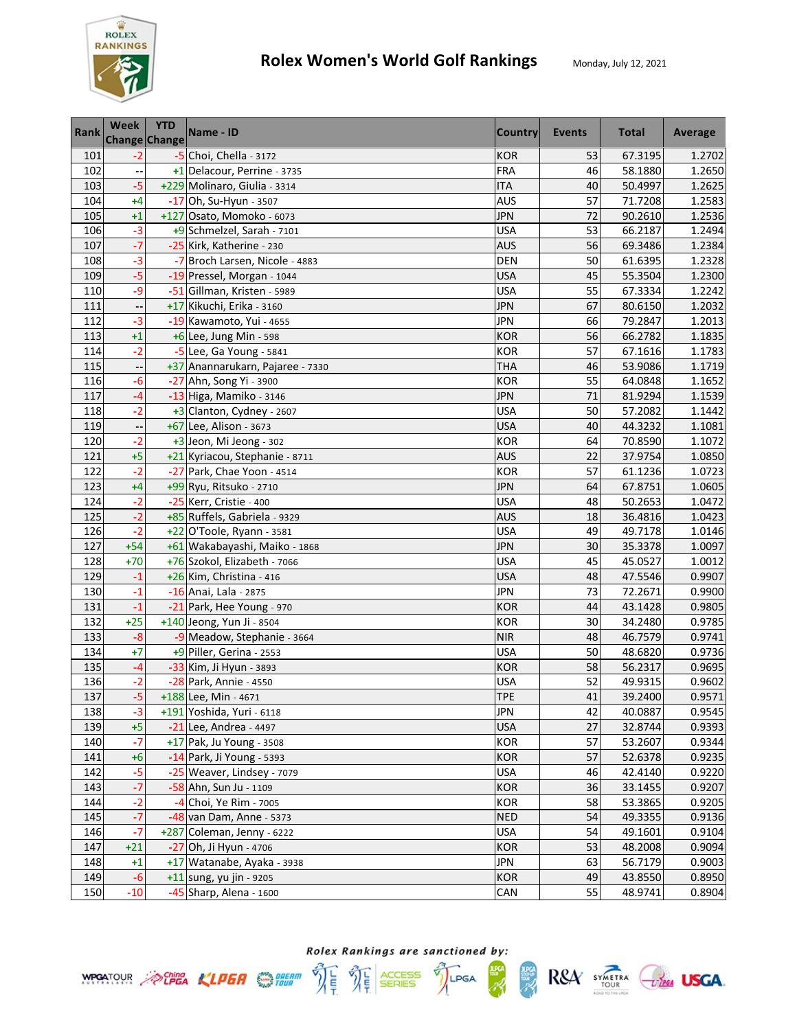

| Rank | Week                     | <b>YTD</b><br><b>Change Change</b> | Name - ID                        | <b>Country</b> | Events | <b>Total</b> | Average |
|------|--------------------------|------------------------------------|----------------------------------|----------------|--------|--------------|---------|
| 101  | $-2$                     |                                    | -5 Choi, Chella - 3172           | <b>KOR</b>     | 53     | 67.3195      | 1.2702  |
| 102  |                          |                                    | +1 Delacour, Perrine - 3735      | <b>FRA</b>     | 46     | 58.1880      | 1.2650  |
| 103  | $-5$                     |                                    | +229 Molinaro, Giulia - 3314     | <b>ITA</b>     | 40     | 50.4997      | 1.2625  |
| 104  | $+4$                     |                                    | -17 Oh, Su-Hyun - 3507           | <b>AUS</b>     | 57     | 71.7208      | 1.2583  |
| 105  | $+1$                     |                                    | +127 Osato, Momoko - 6073        | <b>JPN</b>     | 72     | 90.2610      | 1.2536  |
| 106  | $-3$                     |                                    | +9 Schmelzel, Sarah - 7101       | <b>USA</b>     | 53     | 66.2187      | 1.2494  |
| 107  | $-7$                     |                                    | -25 Kirk, Katherine - 230        | <b>AUS</b>     | 56     | 69.3486      | 1.2384  |
| 108  | $-3$                     |                                    | -7 Broch Larsen, Nicole - 4883   | DEN            | 50     | 61.6395      | 1.2328  |
| 109  | $-5$                     |                                    | -19 Pressel, Morgan - 1044       | <b>USA</b>     | 45     | 55.3504      | 1.2300  |
| 110  | -9                       |                                    | -51 Gillman, Kristen - 5989      | <b>USA</b>     | 55     | 67.3334      | 1.2242  |
| 111  |                          |                                    | +17 Kikuchi, Erika - 3160        | JPN            | 67     | 80.6150      | 1.2032  |
| 112  | $-3$                     |                                    | -19 Kawamoto, Yui - 4655         | <b>JPN</b>     | 66     | 79.2847      | 1.2013  |
| 113  | $+1$                     |                                    | +6 Lee, Jung Min - 598           | <b>KOR</b>     | 56     | 66.2782      | 1.1835  |
| 114  | $-2$                     |                                    | $-5$ Lee, Ga Young - 5841        | <b>KOR</b>     | 57     | 67.1616      | 1.1783  |
| 115  |                          |                                    | +37 Anannarukarn, Pajaree - 7330 | THA            | 46     | 53.9086      | 1.1719  |
| 116  | $-6$                     |                                    | -27 Ahn, Song Yi - 3900          | <b>KOR</b>     | 55     | 64.0848      | 1.1652  |
| 117  | $-4$                     |                                    | -13 Higa, Mamiko - 3146          | <b>JPN</b>     | 71     | 81.9294      | 1.1539  |
| 118  | $-2$                     |                                    | +3 Clanton, Cydney - 2607        | <b>USA</b>     | 50     | 57.2082      | 1.1442  |
| 119  | $\overline{\phantom{a}}$ |                                    | +67 Lee, Alison - 3673           | <b>USA</b>     | 40     | 44.3232      | 1.1081  |
| 120  | $-2$                     |                                    | +3 Jeon, Mi Jeong - 302          | <b>KOR</b>     | 64     | 70.8590      | 1.1072  |
| 121  | $+5$                     |                                    | +21 Kyriacou, Stephanie - 8711   | <b>AUS</b>     | 22     | 37.9754      | 1.0850  |
| 122  | $-2$                     |                                    | -27 Park, Chae Yoon - 4514       | KOR            | 57     | 61.1236      | 1.0723  |
| 123  | $+4$                     |                                    | +99 Ryu, Ritsuko - 2710          | <b>JPN</b>     | 64     | 67.8751      | 1.0605  |
| 124  | $-2$                     |                                    | -25 Kerr, Cristie - 400          | <b>USA</b>     | 48     | 50.2653      | 1.0472  |
| 125  | $-2$                     |                                    | +85 Ruffels, Gabriela - 9329     | <b>AUS</b>     | 18     | 36.4816      | 1.0423  |
| 126  | $-2$                     |                                    | +22 O'Toole, Ryann - 3581        | <b>USA</b>     | 49     | 49.7178      | 1.0146  |
| 127  | $+54$                    |                                    | +61 Wakabayashi, Maiko - 1868    | <b>JPN</b>     | 30     | 35.3378      | 1.0097  |
| 128  | $+70$                    |                                    | +76 Szokol, Elizabeth - 7066     | <b>USA</b>     | 45     | 45.0527      | 1.0012  |
| 129  | $-1$                     |                                    | +26 Kim, Christina - 416         | <b>USA</b>     | 48     | 47.5546      | 0.9907  |
| 130  | $-1$                     |                                    | -16 Anai, Lala - 2875            | <b>JPN</b>     | 73     | 72.2671      | 0.9900  |
| 131  | $-1$                     |                                    | -21 Park, Hee Young - 970        | <b>KOR</b>     | 44     | 43.1428      | 0.9805  |
| 132  | $+25$                    |                                    | +140 Jeong, Yun Ji - 8504        | <b>KOR</b>     | 30     | 34.2480      | 0.9785  |
| 133  | $-8$                     |                                    | -9 Meadow, Stephanie - 3664      | <b>NIR</b>     | 48     | 46.7579      | 0.9741  |
| 134  | $+7$                     |                                    | +9 Piller, Gerina - 2553         | <b>USA</b>     | 50     | 48.6820      | 0.9736  |
| 135  | $-4$                     |                                    | -33 Kim, Ji Hyun - 3893          | <b>KOR</b>     | 58     | 56.2317      | 0.9695  |
| 136  | -2                       |                                    | -28 Park, Annie - 4550           | <b>USA</b>     | 52     | 49.9315      | 0.9602  |
| 137  | $-5$                     |                                    | +188 Lee, Min - 4671             | <b>TPE</b>     | 41     | 39.2400      | 0.9571  |
| 138  | $-3$                     |                                    | +191 Yoshida, Yuri - 6118        | <b>JPN</b>     | 42     | 40.0887      | 0.9545  |
| 139  | $+5$                     |                                    | -21 Lee, Andrea - 4497           | <b>USA</b>     | 27     | 32.8744      | 0.9393  |
| 140  | $-7$                     |                                    | +17 Pak, Ju Young - 3508         | <b>KOR</b>     | 57     | 53.2607      | 0.9344  |
| 141  | $+6$                     |                                    | -14 Park, Ji Young - 5393        | <b>KOR</b>     | 57     | 52.6378      | 0.9235  |
| 142  | $-5$                     |                                    | -25 Weaver, Lindsey - 7079       | <b>USA</b>     | 46     | 42.4140      | 0.9220  |
| 143  | $-7$                     |                                    | -58 Ahn, Sun Ju - 1109           | <b>KOR</b>     | 36     | 33.1455      | 0.9207  |
| 144  | $-2$                     |                                    | -4 Choi, Ye Rim - 7005           | <b>KOR</b>     | 58     | 53.3865      | 0.9205  |
| 145  | $-7$                     |                                    | -48 van Dam, Anne - 5373         | <b>NED</b>     | 54     | 49.3355      | 0.9136  |
| 146  | $-7$                     |                                    | +287 Coleman, Jenny - 6222       | <b>USA</b>     | 54     | 49.1601      | 0.9104  |
| 147  | $+21$                    |                                    | -27 Oh, Ji Hyun - 4706           | <b>KOR</b>     | 53     | 48.2008      | 0.9094  |
| 148  | $+1$                     |                                    | +17 Watanabe, Ayaka - 3938       | JPN            | 63     | 56.7179      | 0.9003  |
| 149  | $-6$                     |                                    | +11 sung, yu jin - 9205          | <b>KOR</b>     | 49     | 43.8550      | 0.8950  |
| 150  | $-10$                    |                                    | -45 Sharp, Alena - 1600          | CAN            | 55     | 48.9741      | 0.8904  |

**ANG**<br>SEBRE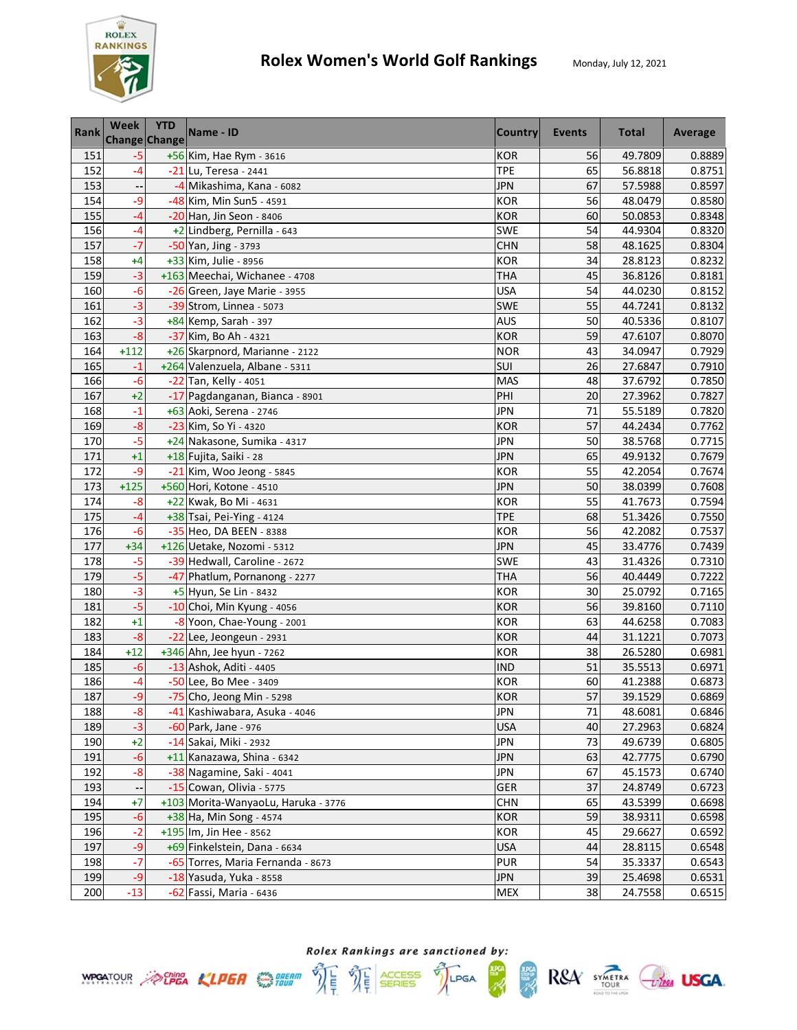

| Rank | Week   | <b>YTD</b><br><b>Change Change</b> | Name - ID                           | <b>Country</b> | Events | <b>Total</b> | Average |
|------|--------|------------------------------------|-------------------------------------|----------------|--------|--------------|---------|
| 151  | $-5$   |                                    | +56 Kim, Hae Rym - 3616             | <b>KOR</b>     | 56     | 49.7809      | 0.8889  |
| 152  | $-4$   |                                    | -21 Lu, Teresa - 2441               | <b>TPE</b>     | 65     | 56.8818      | 0.8751  |
| 153  |        |                                    | -4 Mikashima, Kana - 6082           | <b>JPN</b>     | 67     | 57.5988      | 0.8597  |
| 154  | $-9$   |                                    | -48 Kim, Min Sun5 - 4591            | <b>KOR</b>     | 56     | 48.0479      | 0.8580  |
| 155  | $-4$   |                                    | -20 Han, Jin Seon - 8406            | <b>KOR</b>     | 60     | 50.0853      | 0.8348  |
| 156  | $-4$   |                                    | +2 Lindberg, Pernilla - 643         | SWE            | 54     | 44.9304      | 0.8320  |
| 157  | $-7$   |                                    | -50 Yan, Jing - 3793                | <b>CHN</b>     | 58     | 48.1625      | 0.8304  |
| 158  | $+4$   |                                    | +33 Kim, Julie - 8956               | <b>KOR</b>     | 34     | 28.8123      | 0.8232  |
| 159  | $-3$   |                                    | +163 Meechai, Wichanee - 4708       | <b>THA</b>     | 45     | 36.8126      | 0.8181  |
| 160  | -6     |                                    | -26 Green, Jaye Marie - 3955        | <b>USA</b>     | 54     | 44.0230      | 0.8152  |
| 161  | $-3$   |                                    | -39 Strom, Linnea - 5073            | <b>SWE</b>     | 55     | 44.7241      | 0.8132  |
| 162  | -3     |                                    | +84 Kemp, Sarah - 397               | <b>AUS</b>     | 50     | 40.5336      | 0.8107  |
| 163  | $-8$   |                                    | -37 Kim, Bo Ah - 4321               | <b>KOR</b>     | 59     | 47.6107      | 0.8070  |
| 164  | $+112$ |                                    | +26 Skarpnord, Marianne - 2122      | <b>NOR</b>     | 43     | 34.0947      | 0.7929  |
| 165  | $-1$   |                                    | +264 Valenzuela, Albane - 5311      | SUI            | 26     | 27.6847      | 0.7910  |
| 166  | $-6$   |                                    | -22 Tan, Kelly - 4051               | <b>MAS</b>     | 48     | 37.6792      | 0.7850  |
| 167  | $+2$   |                                    | -17 Pagdanganan, Bianca - 8901      | PHI            | 20     | 27.3962      | 0.7827  |
| 168  | $-1$   |                                    | +63 Aoki, Serena - 2746             | <b>JPN</b>     | 71     | 55.5189      | 0.7820  |
| 169  | $-8$   |                                    | -23 Kim, So Yi - 4320               | <b>KOR</b>     | 57     | 44.2434      | 0.7762  |
| 170  | $-5$   |                                    | +24 Nakasone, Sumika - 4317         | <b>JPN</b>     | 50     | 38.5768      | 0.7715  |
| 171  | $+1$   |                                    | +18 Fujita, Saiki - 28              | <b>JPN</b>     | 65     | 49.9132      | 0.7679  |
| 172  | -9     |                                    | -21 Kim, Woo Jeong - 5845           | <b>KOR</b>     | 55     | 42.2054      | 0.7674  |
| 173  | $+125$ |                                    | +560 Hori, Kotone - 4510            | <b>JPN</b>     | 50     | 38.0399      | 0.7608  |
| 174  | $-8$   |                                    | +22 Kwak, Bo Mi - 4631              | <b>KOR</b>     | 55     | 41.7673      | 0.7594  |
| 175  | -4     |                                    | +38 Tsai, Pei-Ying - 4124           | <b>TPE</b>     | 68     | 51.3426      | 0.7550  |
| 176  | $-6$   |                                    | -35 Heo, DA BEEN - 8388             | <b>KOR</b>     | 56     | 42.2082      | 0.7537  |
| 177  | $+34$  |                                    | +126 Uetake, Nozomi - 5312          | <b>JPN</b>     | 45     | 33.4776      | 0.7439  |
| 178  | $-5$   |                                    | -39 Hedwall, Caroline - 2672        | SWE            | 43     | 31.4326      | 0.7310  |
| 179  | $-5$   |                                    | -47 Phatlum, Pornanong - 2277       | <b>THA</b>     | 56     | 40.4449      | 0.7222  |
| 180  | $-3$   |                                    | +5 Hyun, Se Lin - 8432              | <b>KOR</b>     | 30     | 25.0792      | 0.7165  |
| 181  | $-5$   |                                    | -10 Choi, Min Kyung - 4056          | <b>KOR</b>     | 56     | 39.8160      | 0.7110  |
| 182  | $+1$   |                                    | -8 Yoon, Chae-Young - 2001          | <b>KOR</b>     | 63     | 44.6258      | 0.7083  |
| 183  | $-8$   |                                    | $-22$ Lee, Jeongeun - 2931          | <b>KOR</b>     | 44     | 31.1221      | 0.7073  |
| 184  | $+12$  |                                    | +346 Ahn, Jee hyun - 7262           | <b>KOR</b>     | 38     | 26.5280      | 0.6981  |
| 185  | $-6$   |                                    | -13 Ashok, Aditi - 4405             | <b>IND</b>     | 51     | 35.5513      | 0.6971  |
| 186  | -4     |                                    | -50 Lee, Bo Mee - 3409              | <b>KOR</b>     | 60     | 41.2388      | 0.6873  |
| 187  | $-9$   |                                    | -75 Cho, Jeong Min - 5298           | <b>KOR</b>     | 57     | 39.1529      | 0.6869  |
| 188  | $-8$   |                                    | -41 Kashiwabara, Asuka - 4046       | <b>JPN</b>     | 71     | 48.6081      | 0.6846  |
| 189  | $-3$   |                                    | $-60$ Park, Jane - 976              | <b>USA</b>     | 40     | 27.2963      | 0.6824  |
| 190  | $+2$   |                                    | -14 Sakai, Miki - 2932              | <b>JPN</b>     | 73     | 49.6739      | 0.6805  |
| 191  | $-6$   |                                    | +11 Kanazawa, Shina - 6342          | <b>JPN</b>     | 63     | 42.7775      | 0.6790  |
| 192  | $-8$   |                                    | -38 Nagamine, Saki - 4041           | <b>JPN</b>     | 67     | 45.1573      | 0.6740  |
| 193  |        |                                    | -15 Cowan, Olivia - 5775            | GER            | 37     | 24.8749      | 0.6723  |
| 194  | $+7$   |                                    | +103 Morita-WanyaoLu, Haruka - 3776 | <b>CHN</b>     | 65     | 43.5399      | 0.6698  |
| 195  | $-6$   |                                    | +38 Ha, Min Song - 4574             | <b>KOR</b>     | 59     | 38.9311      | 0.6598  |
| 196  | $-2$   |                                    | +195 Im, Jin Hee - 8562             | <b>KOR</b>     | 45     | 29.6627      | 0.6592  |
| 197  | $-9$   |                                    | +69 Finkelstein, Dana - 6634        | <b>USA</b>     | 44     | 28.8115      | 0.6548  |
| 198  | -7     |                                    | -65 Torres, Maria Fernanda - 8673   | <b>PUR</b>     | 54     | 35.3337      | 0.6543  |
| 199  | -9     |                                    | -18 Yasuda, Yuka - 8558             | JPN            | 39     | 25.4698      | 0.6531  |
| 200  | $-13$  |                                    | -62 Fassi, Maria - 6436             | <b>MEX</b>     | 38     | 24.7558      | 0.6515  |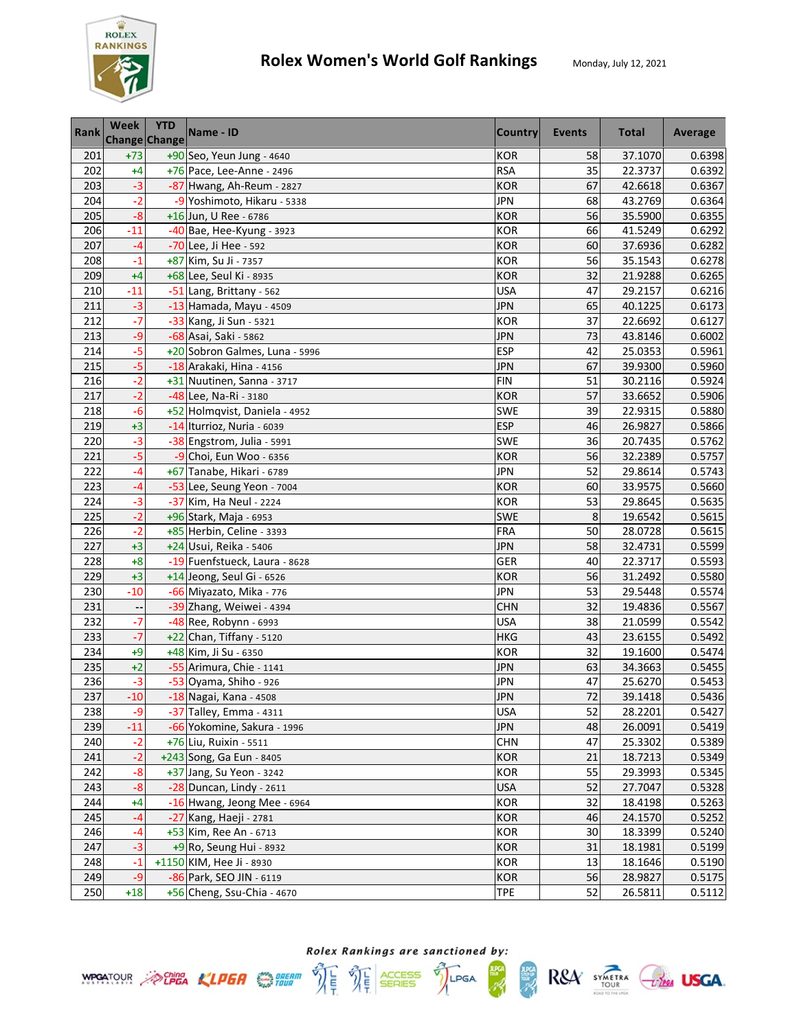

| <b>Rank</b> | Week  | <b>YTD</b><br>Change Change | Name - ID                      | <b>Country</b> | Events | <b>Total</b> | Average |
|-------------|-------|-----------------------------|--------------------------------|----------------|--------|--------------|---------|
| 201         | $+73$ |                             | +90 Seo, Yeun Jung - 4640      | <b>KOR</b>     | 58     | 37.1070      | 0.6398  |
| 202         | $+4$  |                             | +76 Pace, Lee-Anne - 2496      | <b>RSA</b>     | 35     | 22.3737      | 0.6392  |
| 203         | $-3$  |                             | -87 Hwang, Ah-Reum - 2827      | <b>KOR</b>     | 67     | 42.6618      | 0.6367  |
| 204         | $-2$  |                             | -9 Yoshimoto, Hikaru - 5338    | <b>JPN</b>     | 68     | 43.2769      | 0.6364  |
| 205         | $-8$  |                             | +16 Jun, U Ree - 6786          | <b>KOR</b>     | 56     | 35.5900      | 0.6355  |
| 206         | $-11$ |                             | -40 Bae, Hee-Kyung - 3923      | <b>KOR</b>     | 66     | 41.5249      | 0.6292  |
| 207         | $-4$  |                             | -70 Lee, Ji Hee - 592          | <b>KOR</b>     | 60     | 37.6936      | 0.6282  |
| 208         | $-1$  |                             | +87 Kim, Su Ji - 7357          | <b>KOR</b>     | 56     | 35.1543      | 0.6278  |
| 209         | $+4$  |                             | +68 Lee, Seul Ki - 8935        | <b>KOR</b>     | 32     | 21.9288      | 0.6265  |
| 210         | $-11$ |                             | -51 Lang, Brittany - 562       | <b>USA</b>     | 47     | 29.2157      | 0.6216  |
| 211         | $-3$  |                             | -13 Hamada, Mayu - 4509        | <b>JPN</b>     | 65     | 40.1225      | 0.6173  |
| 212         | $-7$  |                             | -33 Kang, Ji Sun - 5321        | <b>KOR</b>     | 37     | 22.6692      | 0.6127  |
| 213         | $-9$  |                             | -68 Asai, Saki - 5862          | <b>JPN</b>     | 73     | 43.8146      | 0.6002  |
| 214         | $-5$  |                             | +20 Sobron Galmes, Luna - 5996 | <b>ESP</b>     | 42     | 25.0353      | 0.5961  |
| 215         | $-5$  |                             | -18 Arakaki, Hina - 4156       | <b>JPN</b>     | 67     | 39.9300      | 0.5960  |
| 216         | $-2$  |                             | +31 Nuutinen, Sanna - 3717     | <b>FIN</b>     | 51     | 30.2116      | 0.5924  |
| 217         | $-2$  |                             | -48 Lee, Na-Ri - 3180          | <b>KOR</b>     | 57     | 33.6652      | 0.5906  |
| 218         | $-6$  |                             | +52 Holmqvist, Daniela - 4952  | <b>SWE</b>     | 39     | 22.9315      | 0.5880  |
| 219         | $+3$  |                             | -14 Iturrioz, Nuria - 6039     | <b>ESP</b>     | 46     | 26.9827      | 0.5866  |
| 220         | $-3$  |                             | -38 Engstrom, Julia - 5991     | SWE            | 36     | 20.7435      | 0.5762  |
| 221         | $-5$  |                             | -9 Choi, Eun Woo - 6356        | <b>KOR</b>     | 56     | 32.2389      | 0.5757  |
| 222         | $-4$  |                             | +67 Tanabe, Hikari - 6789      | <b>JPN</b>     | 52     | 29.8614      | 0.5743  |
| 223         | $-4$  |                             | -53 Lee, Seung Yeon - 7004     | <b>KOR</b>     | 60     | 33.9575      | 0.5660  |
| 224         | $-3$  |                             | -37 Kim, Ha Neul - 2224        | <b>KOR</b>     | 53     | 29.8645      | 0.5635  |
| 225         | $-2$  |                             | +96 Stark, Maja - 6953         | SWE            | 8      | 19.6542      | 0.5615  |
| 226         | $-2$  |                             | +85 Herbin, Celine - 3393      | <b>FRA</b>     | 50     | 28.0728      | 0.5615  |
| 227         | $+3$  |                             | +24 Usui, Reika - 5406         | <b>JPN</b>     | 58     | 32.4731      | 0.5599  |
| 228         | $+8$  |                             | -19 Fuenfstueck, Laura - 8628  | GER            | 40     | 22.3717      | 0.5593  |
| 229         | $+3$  |                             | +14 Jeong, Seul Gi - 6526      | <b>KOR</b>     | 56     | 31.2492      | 0.5580  |
| 230         | $-10$ |                             | -66 Miyazato, Mika - 776       | <b>JPN</b>     | 53     | 29.5448      | 0.5574  |
| 231         |       |                             | -39 Zhang, Weiwei - 4394       | <b>CHN</b>     | 32     | 19.4836      | 0.5567  |
| 232         | $-7$  |                             | -48 Ree, Robynn - 6993         | <b>USA</b>     | 38     | 21.0599      | 0.5542  |
| 233         | $-7$  |                             | +22 Chan, Tiffany - 5120       | <b>HKG</b>     | 43     | 23.6155      | 0.5492  |
| 234         | $+9$  |                             | +48 Kim, Ji Su - 6350          | <b>KOR</b>     | 32     | 19.1600      | 0.5474  |
| 235         | $+2$  |                             | -55 Arimura, Chie - 1141       | <b>JPN</b>     | 63     | 34.3663      | 0.5455  |
| 236         | $-3$  |                             | -53 Oyama, Shiho - 926         | JPN            | 47     | 25.6270      | 0.5453  |
| 237         | $-10$ |                             | -18 Nagai, Kana - 4508         | <b>JPN</b>     | 72     | 39.1418      | 0.5436  |
| 238         | $-9$  |                             | -37 Talley, Emma - 4311        | <b>USA</b>     | 52     | 28.2201      | 0.5427  |
| 239         | $-11$ |                             | -66 Yokomine, Sakura - 1996    | <b>JPN</b>     | 48     | 26.0091      | 0.5419  |
| 240         | $-2$  |                             | +76 Liu, Ruixin - 5511         | <b>CHN</b>     | 47     | 25.3302      | 0.5389  |
| 241         | $-2$  |                             | +243 Song, Ga Eun - 8405       | <b>KOR</b>     | 21     | 18.7213      | 0.5349  |
| 242         | $-8$  |                             | +37 Jang, Su Yeon - 3242       | KOR            | 55     | 29.3993      | 0.5345  |
| 243         | $-8$  |                             | $-28$ Duncan, Lindy - 2611     | <b>USA</b>     | 52     | 27.7047      | 0.5328  |
| 244         | $+4$  |                             | -16 Hwang, Jeong Mee - 6964    | <b>KOR</b>     | 32     | 18.4198      | 0.5263  |
| 245         | $-4$  |                             | -27 Kang, Haeji - 2781         | <b>KOR</b>     | 46     | 24.1570      | 0.5252  |
| 246         | $-4$  |                             | +53 Kim, Ree An - 6713         | <b>KOR</b>     | 30     | 18.3399      | 0.5240  |
| 247         | $-3$  |                             | $+9$ Ro, Seung Hui - 8932      | <b>KOR</b>     | 31     | 18.1981      | 0.5199  |
| 248         | -1    |                             | +1150 KIM, Hee Ji - 8930       | KOR            | 13     | 18.1646      | 0.5190  |
| 249         | $-9$  |                             | -86 Park, SEO JIN - 6119       | <b>KOR</b>     | 56     | 28.9827      | 0.5175  |
| 250         | $+18$ |                             | +56 Cheng, Ssu-Chia - 4670     | <b>TPE</b>     | 52     | 26.5811      | 0.5112  |





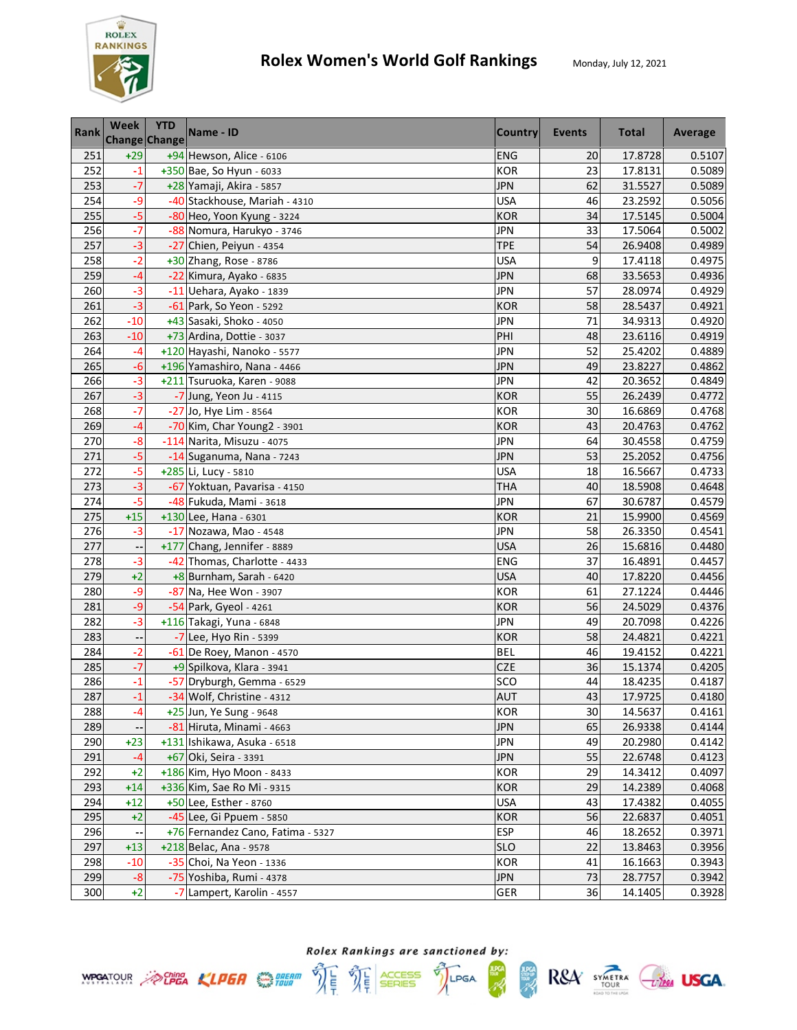

| <b>Rank</b> | Week                     | <b>YTD</b><br>Change Change | Name - ID                         | <b>Country</b> | <b>Events</b> | <b>Total</b> | Average |
|-------------|--------------------------|-----------------------------|-----------------------------------|----------------|---------------|--------------|---------|
| 251         | $+29$                    |                             | +94 Hewson, Alice - 6106          | <b>ENG</b>     | 20            | 17.8728      | 0.5107  |
| 252         | $-1$                     |                             | $+350$ Bae, So Hyun - 6033        | <b>KOR</b>     | 23            | 17.8131      | 0.5089  |
| 253         | $-7$                     |                             | +28 Yamaji, Akira - 5857          | <b>JPN</b>     | 62            | 31.5527      | 0.5089  |
| 254         | $-9$                     |                             | -40 Stackhouse, Mariah - 4310     | <b>USA</b>     | 46            | 23.2592      | 0.5056  |
| 255         | $-5$                     |                             | -80 Heo, Yoon Kyung - 3224        | <b>KOR</b>     | 34            | 17.5145      | 0.5004  |
| 256         | $-7$                     |                             | -88 Nomura, Harukyo - 3746        | <b>JPN</b>     | 33            | 17.5064      | 0.5002  |
| 257         | $-3$                     |                             | -27 Chien, Peiyun - 4354          | <b>TPE</b>     | 54            | 26.9408      | 0.4989  |
| 258         | $-2$                     |                             | +30 Zhang, Rose - 8786            | <b>USA</b>     | 9             | 17.4118      | 0.4975  |
| 259         | $-4$                     |                             | -22 Kimura, Ayako - 6835          | <b>JPN</b>     | 68            | 33.5653      | 0.4936  |
| 260         | $-3$                     |                             | -11 Uehara, Ayako - 1839          | <b>JPN</b>     | 57            | 28.0974      | 0.4929  |
| 261         | $-3$                     |                             | -61 Park, So Yeon - 5292          | <b>KOR</b>     | 58            | 28.5437      | 0.4921  |
| 262         | $-10$                    |                             | +43 Sasaki, Shoko - 4050          | <b>JPN</b>     | 71            | 34.9313      | 0.4920  |
| 263         | $-10$                    |                             | +73 Ardina, Dottie - 3037         | PHI            | 48            | 23.6116      | 0.4919  |
| 264         | $-4$                     |                             | +120 Hayashi, Nanoko - 5577       | <b>JPN</b>     | 52            | 25.4202      | 0.4889  |
| 265         | $-6$                     |                             | +196 Yamashiro, Nana - 4466       | <b>JPN</b>     | 49            | 23.8227      | 0.4862  |
| 266         | $-3$                     |                             | +211 Tsuruoka, Karen - 9088       | <b>JPN</b>     | 42            | 20.3652      | 0.4849  |
| 267         | $-3$                     |                             | -7 Jung, Yeon Ju - 4115           | <b>KOR</b>     | 55            | 26.2439      | 0.4772  |
| 268         | $-7$                     |                             | -27 Jo, Hye Lim - 8564            | <b>KOR</b>     | 30            | 16.6869      | 0.4768  |
| 269         | $-4$                     |                             | -70 Kim, Char Young2 - 3901       | <b>KOR</b>     | 43            | 20.4763      | 0.4762  |
| 270         | $-8$                     |                             | -114 Narita, Misuzu - 4075        | <b>JPN</b>     | 64            | 30.4558      | 0.4759  |
| 271         | $-5$                     |                             | -14 Suganuma, Nana - 7243         | <b>JPN</b>     | 53            | 25.2052      | 0.4756  |
| 272         | $-5$                     |                             | +285 Li, Lucy - 5810              | USA            | 18            | 16.5667      | 0.4733  |
| 273         | $-3$                     |                             | -67 Yoktuan, Pavarisa - 4150      | <b>THA</b>     | 40            | 18.5908      | 0.4648  |
| 274         | $-5$                     |                             | -48 Fukuda, Mami - 3618           | <b>JPN</b>     | 67            | 30.6787      | 0.4579  |
| 275         | $+15$                    |                             | +130 Lee, Hana - 6301             | <b>KOR</b>     | 21            | 15.9900      | 0.4569  |
| 276         | $-3$                     |                             | -17 Nozawa, Mao - 4548            | <b>JPN</b>     | 58            | 26.3350      | 0.4541  |
| 277         |                          |                             | +177 Chang, Jennifer - 8889       | <b>USA</b>     | 26            | 15.6816      | 0.4480  |
| 278         | $-3$                     |                             | -42 Thomas, Charlotte - 4433      | ENG            | 37            | 16.4891      | 0.4457  |
| 279         | $+2$                     |                             | $+8$ Burnham, Sarah - 6420        | <b>USA</b>     | 40            | 17.8220      | 0.4456  |
| 280         | $-9$                     |                             | -87 Na, Hee Won - 3907            | <b>KOR</b>     | 61            | 27.1224      | 0.4446  |
| 281         | $-9$                     |                             | -54 Park, Gyeol - 4261            | <b>KOR</b>     | 56            | 24.5029      | 0.4376  |
| 282         | $-3$                     |                             | +116 Takagi, Yuna - 6848          | <b>JPN</b>     | 49            | 20.7098      | 0.4226  |
| 283         | $\overline{\phantom{a}}$ |                             | -7 Lee, Hyo Rin - 5399            | <b>KOR</b>     | 58            | 24.4821      | 0.4221  |
| 284         | $-2$                     |                             | -61 De Roey, Manon - 4570         | <b>BEL</b>     | 46            | 19.4152      | 0.4221  |
| 285         | $-7$                     |                             | +9 Spilkova, Klara - 3941         | <b>CZE</b>     | 36            | 15.1374      | 0.4205  |
| 286         | -1                       |                             | -57 Dryburgh, Gemma - 6529        | SCO            | 44            | 18.4235      | 0.4187  |
| 287         | $-1$                     |                             | -34 Wolf, Christine - 4312        | AUT            | 43            | 17.9725      | 0.4180  |
| 288         | -4                       |                             | +25 Jun, Ye Sung - 9648           | <b>KOR</b>     | 30            | 14.5637      | 0.4161  |
| 289         |                          |                             | -81 Hiruta, Minami - 4663         | <b>JPN</b>     | 65            | 26.9338      | 0.4144  |
| 290         | $+23$                    |                             | +131 Ishikawa, Asuka - 6518       | <b>JPN</b>     | 49            | 20.2980      | 0.4142  |
| 291         | -4                       |                             | +67 Oki, Seira - 3391             | <b>JPN</b>     | 55            | 22.6748      | 0.4123  |
| 292         | $+2$                     |                             | +186 Kim, Hyo Moon - 8433         | <b>KOR</b>     | 29            | 14.3412      | 0.4097  |
| 293         | $+14$                    |                             | +336 Kim, Sae Ro Mi - 9315        | <b>KOR</b>     | 29            | 14.2389      | 0.4068  |
| 294         | $+12$                    |                             | +50 Lee, Esther - 8760            | <b>USA</b>     | 43            | 17.4382      | 0.4055  |
| 295         | $+2$                     |                             | -45 Lee, Gi Ppuem - 5850          | <b>KOR</b>     | 56            | 22.6837      | 0.4051  |
| 296         |                          |                             | +76 Fernandez Cano, Fatima - 5327 | <b>ESP</b>     | 46            | 18.2652      | 0.3971  |
| 297         | $+13$                    |                             | $+218$ Belac, Ana - 9578          | <b>SLO</b>     | 22            | 13.8463      | 0.3956  |
| 298         | $-10$                    |                             | -35 Choi, Na Yeon - 1336          | KOR            | 41            | 16.1663      | 0.3943  |
| 299         | $-8$                     |                             | -75 Yoshiba, Rumi - 4378          | JPN            | 73            | 28.7757      | 0.3942  |
| 300         | $+2$                     |                             | Lampert, Karolin - 4557           | GER            | 36            | 14.1405      | 0.3928  |





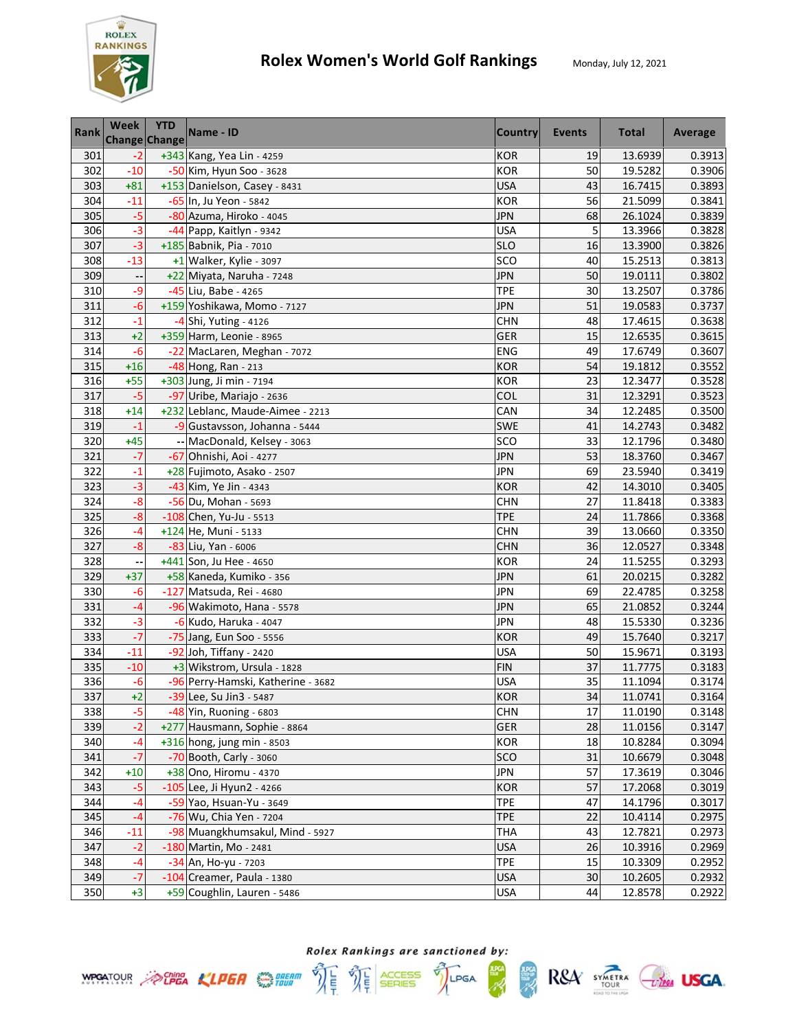

| <b>Rank</b> | Week  | <b>YTD</b><br><b>Change Change</b> | Name - ID                          | <b>Country</b> | Events | <b>Total</b> | Average |
|-------------|-------|------------------------------------|------------------------------------|----------------|--------|--------------|---------|
| 301         | $-2$  |                                    | +343 Kang, Yea Lin - 4259          | <b>KOR</b>     | 19     | 13.6939      | 0.3913  |
| 302         | $-10$ |                                    | -50 Kim, Hyun Soo - 3628           | <b>KOR</b>     | 50     | 19.5282      | 0.3906  |
| 303         | $+81$ |                                    | +153 Danielson, Casey - 8431       | <b>USA</b>     | 43     | 16.7415      | 0.3893  |
| 304         | $-11$ |                                    | -65 In, Ju Yeon - 5842             | <b>KOR</b>     | 56     | 21.5099      | 0.3841  |
| 305         | $-5$  |                                    | -80 Azuma, Hiroko - 4045           | <b>JPN</b>     | 68     | 26.1024      | 0.3839  |
| 306         | $-3$  |                                    | -44 Papp, Kaitlyn - 9342           | <b>USA</b>     | 5      | 13.3966      | 0.3828  |
| 307         | $-3$  |                                    | +185 Babnik, Pia - 7010            | <b>SLO</b>     | 16     | 13.3900      | 0.3826  |
| 308         | $-13$ |                                    | $+1$ Walker, Kylie - 3097          | SCO            | 40     | 15.2513      | 0.3813  |
| 309         |       |                                    | +22 Miyata, Naruha - 7248          | <b>JPN</b>     | 50     | 19.0111      | 0.3802  |
| 310         | -9    |                                    | -45 Liu, Babe - 4265               | <b>TPE</b>     | 30     | 13.2507      | 0.3786  |
| 311         | $-6$  |                                    | +159 Yoshikawa, Momo - 7127        | <b>JPN</b>     | 51     | 19.0583      | 0.3737  |
| 312         | $-1$  |                                    | -4 Shi, Yuting - 4126              | <b>CHN</b>     | 48     | 17.4615      | 0.3638  |
| 313         | $+2$  |                                    | +359 Harm, Leonie - 8965           | <b>GER</b>     | 15     | 12.6535      | 0.3615  |
| 314         | $-6$  |                                    | -22 MacLaren, Meghan - 7072        | ENG            | 49     | 17.6749      | 0.3607  |
| 315         | $+16$ |                                    | -48 Hong, Ran - 213                | <b>KOR</b>     | 54     | 19.1812      | 0.3552  |
| 316         | $+55$ |                                    | +303 Jung, Ji min - 7194           | <b>KOR</b>     | 23     | 12.3477      | 0.3528  |
| 317         | $-5$  |                                    | -97 Uribe, Mariajo - 2636          | COL            | 31     | 12.3291      | 0.3523  |
| 318         | $+14$ |                                    | +232 Leblanc, Maude-Aimee - 2213   | CAN            | 34     | 12.2485      | 0.3500  |
| 319         | $-1$  |                                    | -9 Gustavsson, Johanna - 5444      | SWE            | 41     | 14.2743      | 0.3482  |
| 320         | $+45$ |                                    | -- MacDonald, Kelsey - 3063        | SCO            | 33     | 12.1796      | 0.3480  |
| 321         | $-7$  |                                    | -67 Ohnishi, Aoi - 4277            | <b>JPN</b>     | 53     | 18.3760      | 0.3467  |
| 322         | $-1$  |                                    | +28 Fujimoto, Asako - 2507         | JPN            | 69     | 23.5940      | 0.3419  |
| 323         | $-3$  |                                    | -43 Kim, Ye Jin - 4343             | <b>KOR</b>     | 42     | 14.3010      | 0.3405  |
| 324         | $-8$  |                                    | -56 Du, Mohan - 5693               | <b>CHN</b>     | 27     | 11.8418      | 0.3383  |
| 325         | $-8$  |                                    | $-108$ Chen, Yu-Ju - 5513          | <b>TPE</b>     | 24     | 11.7866      | 0.3368  |
| 326         | -4    |                                    | +124 He, Muni - 5133               | <b>CHN</b>     | 39     | 13.0660      | 0.3350  |
| 327         | $-8$  |                                    | -83 Liu, Yan - 6006                | <b>CHN</b>     | 36     | 12.0527      | 0.3348  |
| 328         |       |                                    | +441 Son, Ju Hee - 4650            | <b>KOR</b>     | 24     | 11.5255      | 0.3293  |
| 329         | $+37$ |                                    | +58 Kaneda, Kumiko - 356           | <b>JPN</b>     | 61     | 20.0215      | 0.3282  |
| 330         | $-6$  |                                    | -127 Matsuda, Rei - 4680           | <b>JPN</b>     | 69     | 22.4785      | 0.3258  |
| 331         | $-4$  |                                    | -96 Wakimoto, Hana - 5578          | <b>JPN</b>     | 65     | 21.0852      | 0.3244  |
| 332         | $-3$  |                                    | -6 Kudo, Haruka - 4047             | <b>JPN</b>     | 48     | 15.5330      | 0.3236  |
| 333         | $-7$  |                                    | -75 Jang, Eun Soo - 5556           | <b>KOR</b>     | 49     | 15.7640      | 0.3217  |
| 334         | $-11$ |                                    | -92 Joh, Tiffany - 2420            | <b>USA</b>     | 50     | 15.9671      | 0.3193  |
| 335         | $-10$ |                                    | +3 Wikstrom, Ursula - 1828         | <b>FIN</b>     | 37     | 11.7775      | 0.3183  |
| 336         | -6    |                                    | -96 Perry-Hamski, Katherine - 3682 | USA            | 35     | 11.1094      | 0.3174  |
| 337         | $+2$  |                                    | -39 Lee, Su Jin3 - 5487            | <b>KOR</b>     | 34     | 11.0741      | 0.3164  |
| 338         | $-5$  |                                    | -48 Yin, Ruoning - 6803            | CHN            | 17     | 11.0190      | 0.3148  |
| 339         | $-2$  |                                    | +277 Hausmann, Sophie - 8864       | GER            | 28     | 11.0156      | 0.3147  |
| 340         | -4    |                                    | $+316$ hong, jung min - 8503       | <b>KOR</b>     | 18     | 10.8284      | 0.3094  |
| 341         | $-7$  |                                    | -70 Booth, Carly - 3060            | <b>SCO</b>     | 31     | 10.6679      | 0.3048  |
| 342         | $+10$ |                                    | +38 Ono, Hiromu - 4370             | <b>JPN</b>     | 57     | 17.3619      | 0.3046  |
| 343         | $-5$  |                                    | -105 Lee, Ji Hyun2 - 4266          | <b>KOR</b>     | 57     | 17.2068      | 0.3019  |
| 344         | $-4$  |                                    | -59 Yao, Hsuan-Yu - 3649           | <b>TPE</b>     | 47     | 14.1796      | 0.3017  |
| 345         | $-4$  |                                    | -76 Wu, Chia Yen - 7204            | <b>TPE</b>     | 22     | 10.4114      | 0.2975  |
| 346         | $-11$ |                                    | -98 Muangkhumsakul, Mind - 5927    | <b>THA</b>     | 43     | 12.7821      | 0.2973  |
| 347         | $-2$  |                                    | -180 Martin, Mo - 2481             | <b>USA</b>     | 26     | 10.3916      | 0.2969  |
| 348         | -4    |                                    | -34 An, Ho-yu - 7203               | <b>TPE</b>     | 15     | 10.3309      | 0.2952  |
| 349         | $-7$  |                                    | -104 Creamer, Paula - 1380         | <b>USA</b>     | 30     | 10.2605      | 0.2932  |
| 350         | $+3$  |                                    | +59 Coughlin, Lauren - 5486        | <b>USA</b>     | 44     | 12.8578      | 0.2922  |

**ANG**<br>SEBRE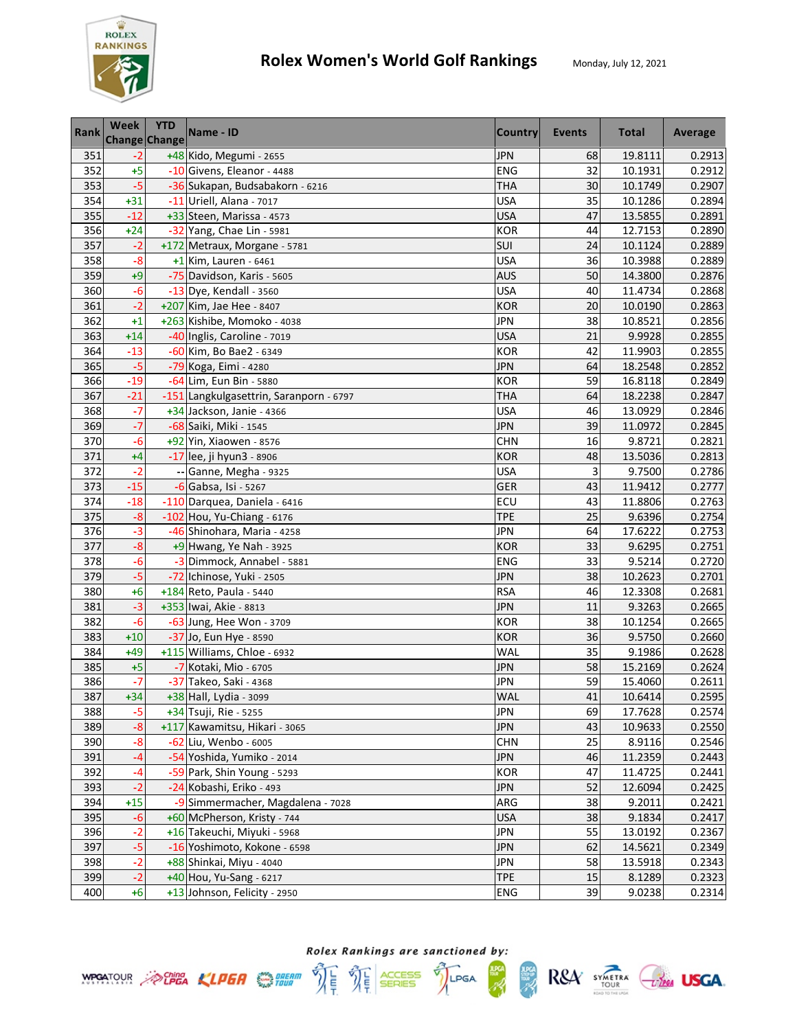

| Rank | Week  | <b>YTD</b><br><b>Change Change</b> | Name - ID                               | <b>Country</b> | Events | <b>Total</b> | Average |
|------|-------|------------------------------------|-----------------------------------------|----------------|--------|--------------|---------|
| 351  | $-2$  |                                    | +48 Kido, Megumi - 2655                 | <b>JPN</b>     | 68     | 19.8111      | 0.2913  |
| 352  | $+5$  |                                    | -10 Givens, Eleanor - 4488              | ENG            | 32     | 10.1931      | 0.2912  |
| 353  | $-5$  |                                    | -36 Sukapan, Budsabakorn - 6216         | THA            | 30     | 10.1749      | 0.2907  |
| 354  | $+31$ |                                    | -11 Uriell, Alana - 7017                | <b>USA</b>     | 35     | 10.1286      | 0.2894  |
| 355  | $-12$ |                                    | +33 Steen, Marissa - 4573               | <b>USA</b>     | 47     | 13.5855      | 0.2891  |
| 356  | $+24$ |                                    | -32 Yang, Chae Lin - 5981               | <b>KOR</b>     | 44     | 12.7153      | 0.2890  |
| 357  | $-2$  |                                    | +172 Metraux, Morgane - 5781            | SUI            | 24     | 10.1124      | 0.2889  |
| 358  | $-8$  |                                    | $+1$ Kim, Lauren - 6461                 | <b>USA</b>     | 36     | 10.3988      | 0.2889  |
| 359  | $+9$  |                                    | -75 Davidson, Karis - 5605              | <b>AUS</b>     | 50     | 14.3800      | 0.2876  |
| 360  | $-6$  |                                    | -13 Dye, Kendall - 3560                 | <b>USA</b>     | 40     | 11.4734      | 0.2868  |
| 361  | $-2$  |                                    | +207 Kim, Jae Hee - 8407                | <b>KOR</b>     | 20     | 10.0190      | 0.2863  |
| 362  | $+1$  |                                    | +263 Kishibe, Momoko - 4038             | <b>JPN</b>     | 38     | 10.8521      | 0.2856  |
| 363  | $+14$ |                                    | -40 Inglis, Caroline - 7019             | <b>USA</b>     | 21     | 9.9928       | 0.2855  |
| 364  | $-13$ |                                    | -60 Kim, Bo Bae2 - 6349                 | <b>KOR</b>     | 42     | 11.9903      | 0.2855  |
| 365  | $-5$  |                                    | -79 Koga, Eimi - 4280                   | <b>JPN</b>     | 64     | 18.2548      | 0.2852  |
| 366  | $-19$ |                                    | -64 Lim, Eun Bin - 5880                 | <b>KOR</b>     | 59     | 16.8118      | 0.2849  |
| 367  | $-21$ |                                    | -151 Langkulgasettrin, Saranporn - 6797 | THA            | 64     | 18.2238      | 0.2847  |
| 368  | $-7$  |                                    | +34 Jackson, Janie - 4366               | <b>USA</b>     | 46     | 13.0929      | 0.2846  |
| 369  | $-7$  |                                    | -68 Saiki, Miki - 1545                  | <b>JPN</b>     | 39     | 11.0972      | 0.2845  |
| 370  | $-6$  |                                    | +92 Yin, Xiaowen - 8576                 | <b>CHN</b>     | 16     | 9.8721       | 0.2821  |
| 371  | $+4$  |                                    | -17 lee, ji hyun3 - 8906                | <b>KOR</b>     | 48     | 13.5036      | 0.2813  |
| 372  | $-2$  |                                    | -- Ganne, Megha - 9325                  | USA            | 3      | 9.7500       | 0.2786  |
| 373  | $-15$ |                                    | -6 Gabsa, Isi - 5267                    | GER            | 43     | 11.9412      | 0.2777  |
| 374  | $-18$ |                                    | -110 Darquea, Daniela - 6416            | ECU            | 43     | 11.8806      | 0.2763  |
| 375  | $-8$  |                                    | -102 Hou, Yu-Chiang - 6176              | <b>TPE</b>     | 25     | 9.6396       | 0.2754  |
| 376  | $-3$  |                                    | -46 Shinohara, Maria - 4258             | <b>JPN</b>     | 64     | 17.6222      | 0.2753  |
| 377  | $-8$  |                                    | $+9$ Hwang, Ye Nah - 3925               | <b>KOR</b>     | 33     | 9.6295       | 0.2751  |
| 378  | $-6$  |                                    | -3 Dimmock, Annabel - 5881              | <b>ENG</b>     | 33     | 9.5214       | 0.2720  |
| 379  | $-5$  |                                    | -72 Ichinose, Yuki - 2505               | <b>JPN</b>     | 38     | 10.2623      | 0.2701  |
| 380  | $+6$  |                                    | +184 Reto, Paula - 5440                 | <b>RSA</b>     | 46     | 12.3308      | 0.2681  |
| 381  | $-3$  |                                    | +353 Iwai, Akie - 8813                  | <b>JPN</b>     | 11     | 9.3263       | 0.2665  |
| 382  | $-6$  |                                    | -63 Jung, Hee Won - 3709                | <b>KOR</b>     | 38     | 10.1254      | 0.2665  |
| 383  | $+10$ |                                    | -37 Jo, Eun Hye - 8590                  | <b>KOR</b>     | 36     | 9.5750       | 0.2660  |
| 384  | $+49$ |                                    | +115 Williams, Chloe - 6932             | <b>WAL</b>     | 35     | 9.1986       | 0.2628  |
| 385  | $+5$  |                                    | -7 Kotaki, Mio - 6705                   | <b>JPN</b>     | 58     | 15.2169      | 0.2624  |
| 386  | $-7$  |                                    | -37 Takeo, Saki - 4368                  | <b>JPN</b>     | 59     | 15.4060      | 0.2611  |
| 387  | $+34$ |                                    | +38 Hall, Lydia - 3099                  | <b>WAL</b>     | 41     | 10.6414      | 0.2595  |
| 388  | $-5$  |                                    | +34 Tsuji, Rie - 5255                   | <b>JPN</b>     | 69     | 17.7628      | 0.2574  |
| 389  | $-8$  |                                    | +117 Kawamitsu, Hikari - 3065           | <b>JPN</b>     | 43     | 10.9633      | 0.2550  |
| 390  | -8    |                                    | -62 Liu, Wenbo - 6005                   | <b>CHN</b>     | 25     | 8.9116       | 0.2546  |
| 391  | $-4$  |                                    | -54 Yoshida, Yumiko - 2014              | <b>JPN</b>     | 46     | 11.2359      | 0.2443  |
| 392  | $-4$  |                                    | -59 Park, Shin Young - 5293             | <b>KOR</b>     | 47     | 11.4725      | 0.2441  |
| 393  | $-2$  |                                    | -24 Kobashi, Eriko - 493                | <b>JPN</b>     | 52     | 12.6094      | 0.2425  |
| 394  | $+15$ |                                    | -9 Simmermacher, Magdalena - 7028       | ARG            | 38     | 9.2011       | 0.2421  |
| 395  | $-6$  |                                    | +60 McPherson, Kristy - 744             | <b>USA</b>     | 38     | 9.1834       | 0.2417  |
| 396  | $-2$  |                                    | +16 Takeuchi, Miyuki - 5968             | <b>JPN</b>     | 55     | 13.0192      | 0.2367  |
| 397  | $-5$  |                                    | -16 Yoshimoto, Kokone - 6598            | <b>JPN</b>     | 62     | 14.5621      | 0.2349  |
| 398  | $-2$  |                                    | +88 Shinkai, Miyu - 4040                | JPN            | 58     | 13.5918      | 0.2343  |
| 399  | $-2$  |                                    | +40 Hou, Yu-Sang - 6217                 | <b>TPE</b>     | 15     | 8.1289       | 0.2323  |
| 400  | $+6$  |                                    | +13 Johnson, Felicity - 2950            | ENG            | 39     | 9.0238       | 0.2314  |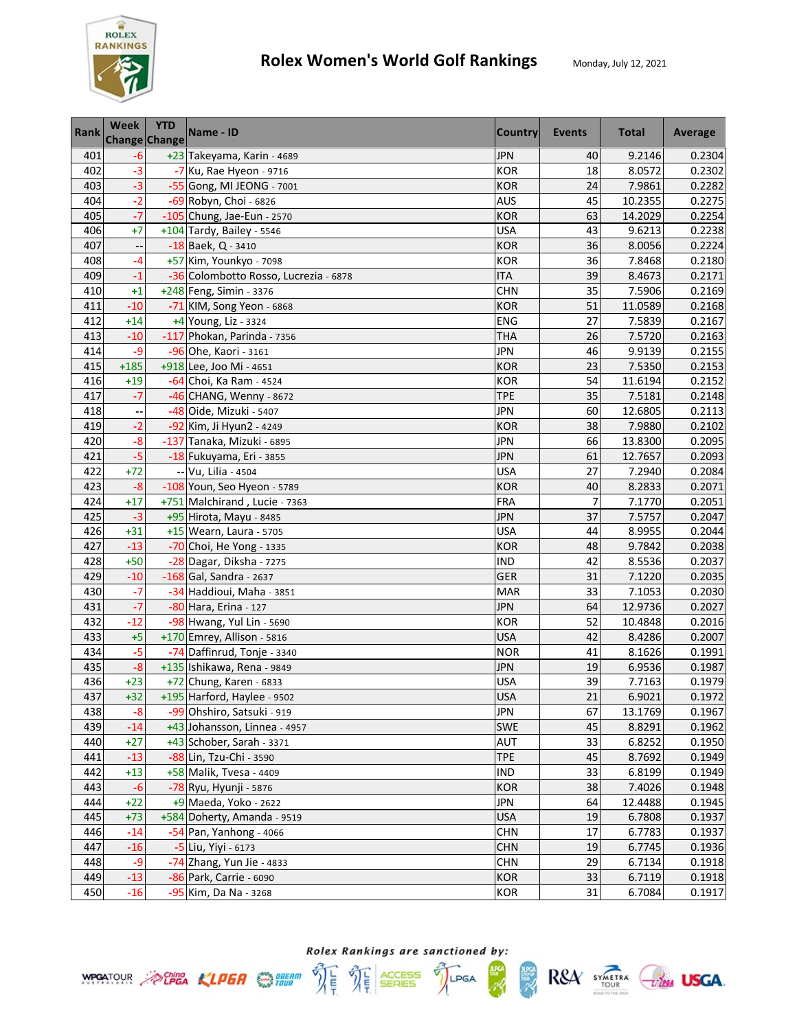

| Rank | Week   | <b>YTD</b><br><b>Change Change</b> | Name - ID                             | <b>Country</b> | Events | <b>Total</b> | Average |
|------|--------|------------------------------------|---------------------------------------|----------------|--------|--------------|---------|
| 401  | $-6$   |                                    | +23 Takeyama, Karin - 4689            | <b>JPN</b>     | 40     | 9.2146       | 0.2304  |
| 402  | $-3$   |                                    | $-7$ Ku, Rae Hyeon - 9716             | <b>KOR</b>     | 18     | 8.0572       | 0.2302  |
| 403  | $-3$   |                                    | -55 Gong, MI JEONG - 7001             | <b>KOR</b>     | 24     | 7.9861       | 0.2282  |
| 404  | $-2$   |                                    | -69 Robyn, Choi - 6826                | <b>AUS</b>     | 45     | 10.2355      | 0.2275  |
| 405  | $-7$   |                                    | -105 Chung, Jae-Eun - 2570            | <b>KOR</b>     | 63     | 14.2029      | 0.2254  |
| 406  | $+7$   |                                    | +104 Tardy, Bailey - 5546             | <b>USA</b>     | 43     | 9.6213       | 0.2238  |
| 407  | --     |                                    | -18 Baek, Q - 3410                    | <b>KOR</b>     | 36     | 8.0056       | 0.2224  |
| 408  | -4     |                                    | +57 Kim, Younkyo - 7098               | <b>KOR</b>     | 36     | 7.8468       | 0.2180  |
| 409  | $-1$   |                                    | -36 Colombotto Rosso, Lucrezia - 6878 | <b>ITA</b>     | 39     | 8.4673       | 0.2171  |
| 410  | $+1$   |                                    | +248 Feng, Simin - 3376               | <b>CHN</b>     | 35     | 7.5906       | 0.2169  |
| 411  | $-10$  |                                    | -71 KIM, Song Yeon - 6868             | <b>KOR</b>     | 51     | 11.0589      | 0.2168  |
| 412  | $+14$  |                                    | +4 Young, Liz - 3324                  | <b>ENG</b>     | 27     | 7.5839       | 0.2167  |
| 413  | $-10$  |                                    | -117 Phokan, Parinda - 7356           | <b>THA</b>     | 26     | 7.5720       | 0.2163  |
| 414  | $-9$   |                                    | -96 Ohe, Kaori - 3161                 | <b>JPN</b>     | 46     | 9.9139       | 0.2155  |
| 415  | $+185$ |                                    | +918 Lee, Joo Mi - 4651               | <b>KOR</b>     | 23     | 7.5350       | 0.2153  |
| 416  | $+19$  |                                    | -64 Choi, Ka Ram - 4524               | <b>KOR</b>     | 54     | 11.6194      | 0.2152  |
| 417  | $-7$   |                                    | -46 CHANG, Wenny - 8672               | <b>TPE</b>     | 35     | 7.5181       | 0.2148  |
| 418  |        |                                    | -48 Oide, Mizuki - 5407               | <b>JPN</b>     | 60     | 12.6805      | 0.2113  |
| 419  | $-2$   |                                    | -92 Kim, Ji Hyun2 - 4249              | <b>KOR</b>     | 38     | 7.9880       | 0.2102  |
| 420  | $-8$   |                                    | -137 Tanaka, Mizuki - 6895            | JPN            | 66     | 13.8300      | 0.2095  |
| 421  | $-5$   |                                    | -18 Fukuyama, Eri - 3855              | <b>JPN</b>     | 61     | 12.7657      | 0.2093  |
| 422  | $+72$  |                                    | -- Vu, Lilia - 4504                   | USA            | 27     | 7.2940       | 0.2084  |
| 423  | $-8$   |                                    | -108 Youn, Seo Hyeon - 5789           | <b>KOR</b>     | 40     | 8.2833       | 0.2071  |
| 424  | $+17$  |                                    | +751 Malchirand, Lucie - 7363         | <b>FRA</b>     | 7      | 7.1770       | 0.2051  |
| 425  | $-3$   |                                    | +95 Hirota, Mayu - 8485               | <b>JPN</b>     | 37     | 7.5757       | 0.2047  |
| 426  | $+31$  |                                    | +15 Wearn, Laura - 5705               | <b>USA</b>     | 44     | 8.9955       | 0.2044  |
| 427  | $-13$  |                                    | -70 Choi, He Yong - 1335              | <b>KOR</b>     | 48     | 9.7842       | 0.2038  |
| 428  | $+50$  |                                    | -28 Dagar, Diksha - 7275              | <b>IND</b>     | 42     | 8.5536       | 0.2037  |
| 429  | $-10$  |                                    | $-168$ Gal, Sandra - 2637             | <b>GER</b>     | 31     | 7.1220       | 0.2035  |
| 430  | $-7$   |                                    | -34 Haddioui, Maha - 3851             | <b>MAR</b>     | 33     | 7.1053       | 0.2030  |
| 431  | $-7$   |                                    | -80 Hara, Erina - 127                 | <b>JPN</b>     | 64     | 12.9736      | 0.2027  |
| 432  | $-12$  |                                    | -98 Hwang, Yul Lin - 5690             | <b>KOR</b>     | 52     | 10.4848      | 0.2016  |
| 433  | $+5$   |                                    | +170 Emrey, Allison - 5816            | <b>USA</b>     | 42     | 8.4286       | 0.2007  |
| 434  | $-5$   |                                    | -74 Daffinrud, Tonje - 3340           | <b>NOR</b>     | 41     | 8.1626       | 0.1991  |
| 435  | $-8$   |                                    | +135 Ishikawa, Rena - 9849            | <b>JPN</b>     | 19     | 6.9536       | 0.1987  |
| 436  | $+23$  |                                    | +72 Chung, Karen - 6833               | USA            | 39     | 7.7163       | 0.1979  |
| 437  | $+32$  |                                    | +195 Harford, Haylee - 9502           | <b>USA</b>     | 21     | 6.9021       | 0.1972  |
| 438  | $-8$   |                                    | -99 Ohshiro, Satsuki - 919            | <b>JPN</b>     | 67     | 13.1769      | 0.1967  |
| 439  | $-14$  |                                    | +43 Johansson, Linnea - 4957          | <b>SWE</b>     | 45     | 8.8291       | 0.1962  |
| 440  | $+27$  |                                    | +43 Schober, Sarah - 3371             | <b>AUT</b>     | 33     | 6.8252       | 0.1950  |
| 441  | $-13$  |                                    | -88 Lin, Tzu-Chi - 3590               | <b>TPE</b>     | 45     | 8.7692       | 0.1949  |
| 442  | $+13$  |                                    | +58 Malik, Tvesa - 4409               | <b>IND</b>     | 33     | 6.8199       | 0.1949  |
| 443  | $-6$   |                                    | -78 Ryu, Hyunji - 5876                | <b>KOR</b>     | 38     | 7.4026       | 0.1948  |
| 444  | $+22$  |                                    | +9 Maeda, Yoko - 2622                 | <b>JPN</b>     | 64     | 12.4488      | 0.1945  |
| 445  | $+73$  |                                    | +584 Doherty, Amanda - 9519           | <b>USA</b>     | 19     | 6.7808       | 0.1937  |
| 446  | $-14$  |                                    | -54 Pan, Yanhong - 4066               | <b>CHN</b>     | 17     | 6.7783       | 0.1937  |
| 447  | $-16$  |                                    | -5 Liu, Yiyi - 6173                   | <b>CHN</b>     | 19     | 6.7745       | 0.1936  |
| 448  | $-9$   |                                    | -74 Zhang, Yun Jie - 4833             | <b>CHN</b>     | 29     | 6.7134       | 0.1918  |
| 449  | $-13$  |                                    | -86 Park, Carrie - 6090               | <b>KOR</b>     | 33     | 6.7119       | 0.1918  |
| 450  | $-16$  |                                    | -95 Kim, Da Na - 3268                 | KOR            | 31     | 6.7084       | 0.1917  |

**ANG**<br>SEBRE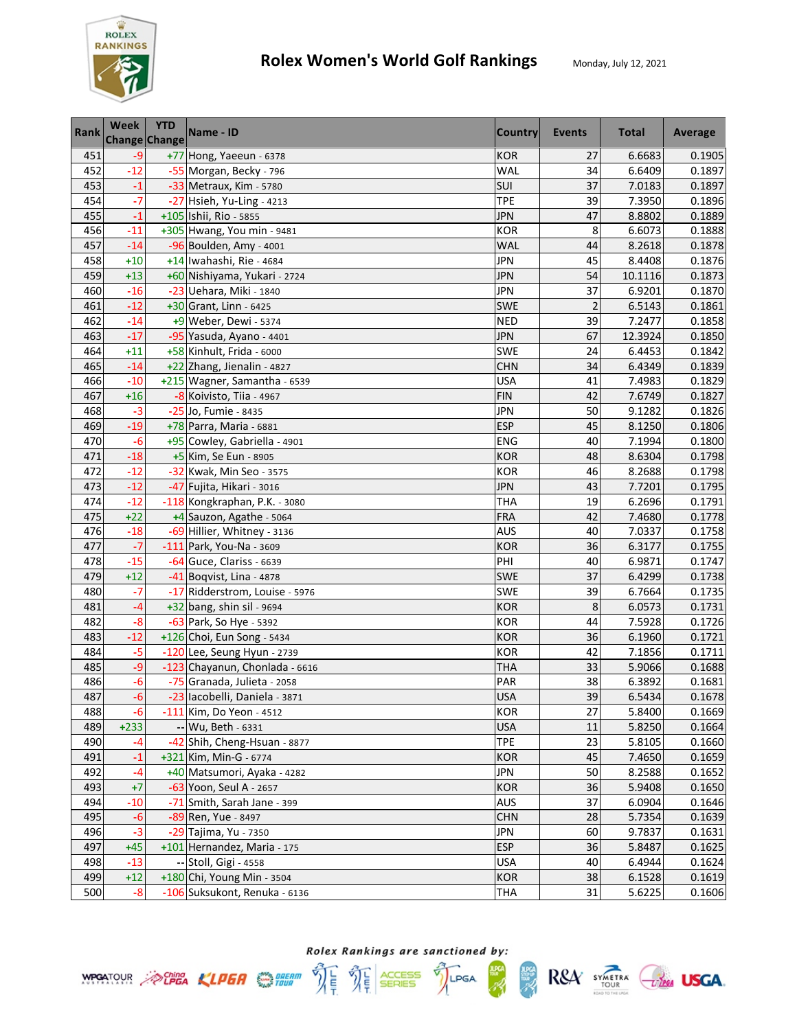

| <b>Rank</b> | <b>Week</b> | <b>YTD</b><br>Change Change | Name - ID                      | <b>Country</b> | Events         | <b>Total</b> | Average |
|-------------|-------------|-----------------------------|--------------------------------|----------------|----------------|--------------|---------|
| 451         | $-9$        |                             | +77 Hong, Yaeeun - 6378        | <b>KOR</b>     | 27             | 6.6683       | 0.1905  |
| 452         | $-12$       |                             | -55 Morgan, Becky - 796        | WAL            | 34             | 6.6409       | 0.1897  |
| 453         | $-1$        |                             | -33 Metraux, Kim - 5780        | SUI            | 37             | 7.0183       | 0.1897  |
| 454         | $-7$        |                             | -27 Hsieh, Yu-Ling - 4213      | <b>TPE</b>     | 39             | 7.3950       | 0.1896  |
| 455         | $-1$        |                             | +105 Ishii, Rio - 5855         | <b>JPN</b>     | 47             | 8.8802       | 0.1889  |
| 456         | $-11$       |                             | +305 Hwang, You min - 9481     | <b>KOR</b>     | 8              | 6.6073       | 0.1888  |
| 457         | $-14$       |                             | -96 Boulden, Amy - 4001        | WAL            | 44             | 8.2618       | 0.1878  |
| 458         | $+10$       |                             | +14 Iwahashi, Rie - 4684       | <b>JPN</b>     | 45             | 8.4408       | 0.1876  |
| 459         | $+13$       |                             | +60 Nishiyama, Yukari - 2724   | <b>JPN</b>     | 54             | 10.1116      | 0.1873  |
| 460         | $-16$       |                             | -23 Uehara, Miki - 1840        | <b>JPN</b>     | 37             | 6.9201       | 0.1870  |
| 461         | $-12$       |                             | +30 Grant, Linn - 6425         | <b>SWE</b>     | $\overline{2}$ | 6.5143       | 0.1861  |
| 462         | $-14$       |                             | +9 Weber, Dewi - 5374          | <b>NED</b>     | 39             | 7.2477       | 0.1858  |
| 463         | $-17$       |                             | -95 Yasuda, Ayano - 4401       | <b>JPN</b>     | 67             | 12.3924      | 0.1850  |
| 464         | $+11$       |                             | +58 Kinhult, Frida - 6000      | SWE            | 24             | 6.4453       | 0.1842  |
| 465         | $-14$       |                             | +22 Zhang, Jienalin - 4827     | <b>CHN</b>     | 34             | 6.4349       | 0.1839  |
| 466         | $-10$       |                             | +215 Wagner, Samantha - 6539   | <b>USA</b>     | 41             | 7.4983       | 0.1829  |
| 467         | $+16$       |                             | -8 Koivisto, Tiia - 4967       | <b>FIN</b>     | 42             | 7.6749       | 0.1827  |
| 468         | $-3$        |                             | -25 Jo, Fumie - 8435           | <b>JPN</b>     | 50             | 9.1282       | 0.1826  |
| 469         | $-19$       |                             | +78 Parra, Maria - 6881        | <b>ESP</b>     | 45             | 8.1250       | 0.1806  |
| 470         | $-6$        |                             | +95 Cowley, Gabriella - 4901   | <b>ENG</b>     | 40             | 7.1994       | 0.1800  |
| 471         | $-18$       |                             | +5 Kim, Se Eun - 8905          | <b>KOR</b>     | 48             | 8.6304       | 0.1798  |
| 472         | $-12$       |                             | -32 Kwak, Min Seo - 3575       | <b>KOR</b>     | 46             | 8.2688       | 0.1798  |
| 473         | $-12$       |                             | -47 Fujita, Hikari - 3016      | <b>JPN</b>     | 43             | 7.7201       | 0.1795  |
| 474         | $-12$       |                             | -118 Kongkraphan, P.K. - 3080  | <b>THA</b>     | 19             | 6.2696       | 0.1791  |
| 475         | $+22$       |                             | +4 Sauzon, Agathe - 5064       | <b>FRA</b>     | 42             | 7.4680       | 0.1778  |
| 476         | $-18$       |                             | -69 Hillier, Whitney - 3136    | <b>AUS</b>     | 40             | 7.0337       | 0.1758  |
| 477         | $-7$        |                             | -111 Park, You-Na - 3609       | <b>KOR</b>     | 36             | 6.3177       | 0.1755  |
| 478         | $-15$       |                             | -64 Guce, Clariss - 6639       | PHI            | 40             | 6.9871       | 0.1747  |
| 479         | $+12$       |                             | -41 Boqvist, Lina - 4878       | SWE            | 37             | 6.4299       | 0.1738  |
| 480         | $-7$        |                             | -17 Ridderstrom, Louise - 5976 | SWE            | 39             | 6.7664       | 0.1735  |
| 481         | $-4$        |                             | +32 bang, shin sil - 9694      | <b>KOR</b>     | 8              | 6.0573       | 0.1731  |
| 482         | $-8$        |                             | -63 Park, So Hye - 5392        | <b>KOR</b>     | 44             | 7.5928       | 0.1726  |
| 483         | $-12$       |                             | +126 Choi, Eun Song - 5434     | <b>KOR</b>     | 36             | 6.1960       | 0.1721  |
| 484         | $-5$        |                             | -120 Lee, Seung Hyun - 2739    | <b>KOR</b>     | 42             | 7.1856       | 0.1711  |
| 485         | $-9$        |                             | -123 Chayanun, Chonlada - 6616 | <b>THA</b>     | 33             | 5.9066       | 0.1688  |
| 486         | -6          |                             | -75 Granada, Julieta - 2058    | PAR            | 38             | 6.3892       | 0.1681  |
| 487         | $-6$        |                             | -23 lacobelli, Daniela - 3871  | <b>USA</b>     | 39             | 6.5434       | 0.1678  |
| 488         | -6          |                             | -111 Kim, Do Yeon - 4512       | <b>KOR</b>     | 27             | 5.8400       | 0.1669  |
| 489         | $+233$      |                             | -- Wu, Beth - 6331             | <b>USA</b>     | 11             | 5.8250       | 0.1664  |
| 490         | -4          |                             | -42 Shih, Cheng-Hsuan - 8877   | <b>TPE</b>     | 23             | 5.8105       | 0.1660  |
| 491         | $-1$        |                             | $+321$ Kim, Min-G - 6774       | <b>KOR</b>     | 45             | 7.4650       | 0.1659  |
| 492         | -4          |                             | +40 Matsumori, Ayaka - 4282    | <b>JPN</b>     | 50             | 8.2588       | 0.1652  |
| 493         | $+7$        |                             | -63 Yoon, Seul A - 2657        | <b>KOR</b>     | 36             | 5.9408       | 0.1650  |
| 494         | $-10$       |                             | -71 Smith, Sarah Jane - 399    | <b>AUS</b>     | 37             | 6.0904       | 0.1646  |
| 495         | $-6$        |                             | -89 Ren, Yue - 8497            | <b>CHN</b>     | 28             | 5.7354       | 0.1639  |
| 496         | $-3$        |                             | -29 Tajima, Yu - 7350          | <b>JPN</b>     | 60             | 9.7837       | 0.1631  |
| 497         | $+45$       |                             | +101 Hernandez, Maria - 175    | <b>ESP</b>     | 36             | 5.8487       | 0.1625  |
| 498         | $-13$       |                             | -- Stoll, Gigi - 4558          | <b>USA</b>     | 40             | 6.4944       | 0.1624  |
| 499         | $+12$       |                             | +180 Chi, Young Min - 3504     | <b>KOR</b>     | 38             | 6.1528       | 0.1619  |
| 500         | $-8$        |                             | -106 Suksukont, Renuka - 6136  | THA            | 31             | 5.6225       | 0.1606  |

**ANG**<br>SEBRE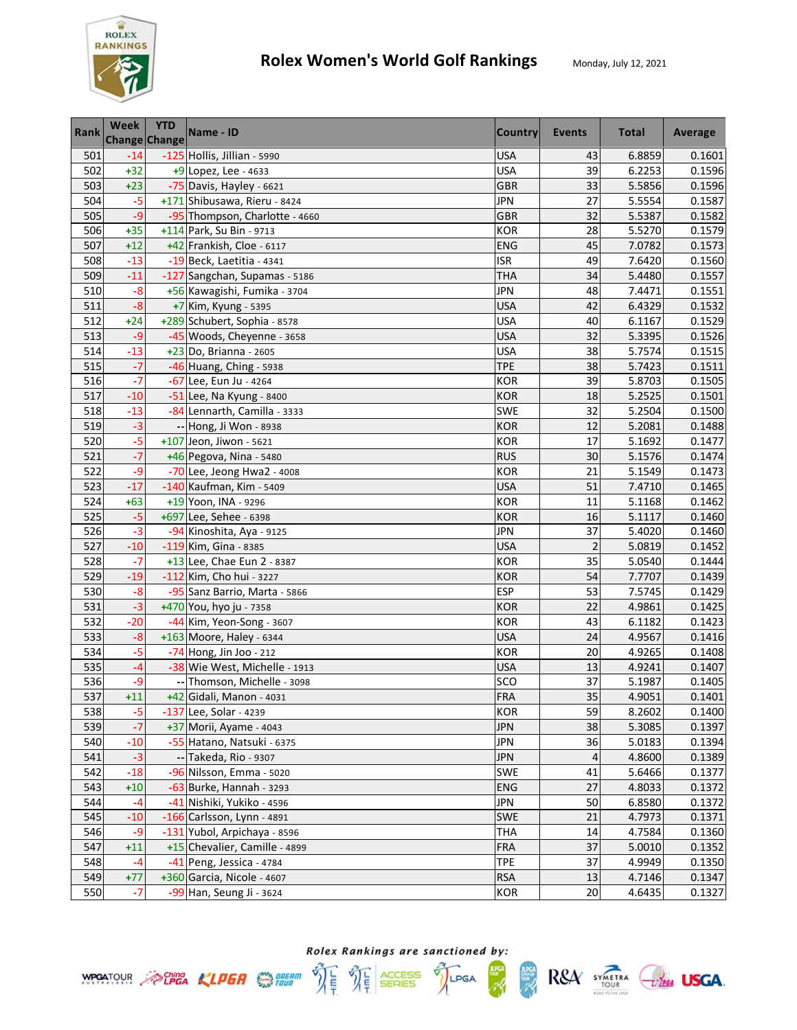

R&A SYMETRA CHEE USGA.

**HPCA** 

| Rank | Week  | <b>YTD</b><br>Change Change | Name - ID                      | <b>Country</b> | <b>Events</b>  | <b>Total</b> | Average |
|------|-------|-----------------------------|--------------------------------|----------------|----------------|--------------|---------|
| 501  | $-14$ |                             | -125 Hollis, Jillian - 5990    | <b>USA</b>     | 43             | 6.8859       | 0.1601  |
| 502  | $+32$ |                             | +9 Lopez, Lee - 4633           | <b>USA</b>     | 39             | 6.2253       | 0.1596  |
| 503  | $+23$ |                             | -75 Davis, Hayley - 6621       | <b>GBR</b>     | 33             | 5.5856       | 0.1596  |
| 504  | $-5$  |                             | +171 Shibusawa, Rieru - 8424   | <b>JPN</b>     | 27             | 5.5554       | 0.1587  |
| 505  | $-9$  |                             | -95 Thompson, Charlotte - 4660 | <b>GBR</b>     | 32             | 5.5387       | 0.1582  |
| 506  | $+35$ |                             | +114 Park, Su Bin - 9713       | KOR            | 28             | 5.5270       | 0.1579  |
| 507  | $+12$ |                             | +42 Frankish, Cloe - 6117      | <b>ENG</b>     | 45             | 7.0782       | 0.1573  |
| 508  | $-13$ |                             | -19 Beck, Laetitia - 4341      | ISR            | 49             | 7.6420       | 0.1560  |
| 509  | $-11$ |                             | -127 Sangchan, Supamas - 5186  | <b>THA</b>     | 34             | 5.4480       | 0.1557  |
| 510  | $-8$  |                             | +56 Kawagishi, Fumika - 3704   | <b>JPN</b>     | 48             | 7.4471       | 0.1551  |
| 511  | $-8$  |                             | +7 Kim, Kyung - 5395           | <b>USA</b>     | 42             | 6.4329       | 0.1532  |
| 512  | $+24$ |                             | +289 Schubert, Sophia - 8578   | <b>USA</b>     | 40             | 6.1167       | 0.1529  |
| 513  | $-9$  |                             | -45 Woods, Cheyenne - 3658     | <b>USA</b>     | 32             | 5.3395       | 0.1526  |
| 514  | $-13$ |                             | +23 Do, Brianna - 2605         | <b>USA</b>     | 38             | 5.7574       | 0.1515  |
| 515  | $-7$  |                             | -46 Huang, Ching - 5938        | <b>TPE</b>     | 38             | 5.7423       | 0.1511  |
| 516  | $-7$  |                             | -67 Lee, Eun Ju - 4264         | <b>KOR</b>     | 39             | 5.8703       | 0.1505  |
| 517  | $-10$ |                             | $-51$ Lee, Na Kyung - 8400     | <b>KOR</b>     | 18             | 5.2525       | 0.1501  |
| 518  | $-13$ |                             | -84 Lennarth, Camilla - 3333   | <b>SWE</b>     | 32             | 5.2504       | 0.1500  |
| 519  | $-3$  |                             | -- Hong, Ji Won - 8938         | <b>KOR</b>     | 12             | 5.2081       | 0.1488  |
| 520  | $-5$  |                             | $+107$ Jeon, Jiwon - 5621      | <b>KOR</b>     | 17             | 5.1692       | 0.1477  |
| 521  | $-7$  |                             | +46 Pegova, Nina - 5480        | <b>RUS</b>     | 30             | 5.1576       | 0.1474  |
| 522  | $-9$  |                             | $-70$ Lee, Jeong Hwa2 - 4008   | <b>KOR</b>     | 21             | 5.1549       | 0.1473  |
| 523  | $-17$ |                             | -140 Kaufman, Kim - 5409       | <b>USA</b>     | 51             | 7.4710       | 0.1465  |
| 524  | $+63$ |                             | +19 Yoon, INA - 9296           | KOR            | 11             | 5.1168       | 0.1462  |
| 525  | $-5$  |                             | +697 Lee, Sehee - 6398         | <b>KOR</b>     | 16             | 5.1117       | 0.1460  |
| 526  | $-3$  |                             | -94 Kinoshita, Aya - 9125      | <b>JPN</b>     | 37             | 5.4020       | 0.1460  |
| 527  | $-10$ |                             | $-119$ Kim, Gina - 8385        | <b>USA</b>     | $\overline{c}$ | 5.0819       | 0.1452  |
| 528  | $-7$  |                             | +13 Lee, Chae Eun 2 - 8387     | <b>KOR</b>     | 35             | 5.0540       | 0.1444  |
| 529  | $-19$ |                             | -112 Kim, Cho hui - 3227       | <b>KOR</b>     | 54             | 7.7707       | 0.1439  |
| 530  | $-8$  |                             | -95 Sanz Barrio, Marta - 5866  | <b>ESP</b>     | 53             | 7.5745       | 0.1429  |
| 531  | $-3$  |                             | +470 You, hyo ju - 7358        | <b>KOR</b>     | 22             | 4.9861       | 0.1425  |
| 532  | $-20$ |                             | -44 Kim, Yeon-Song - 3607      | <b>KOR</b>     | 43             | 6.1182       | 0.1423  |
| 533  | $-8$  |                             | +163 Moore, Haley - 6344       | <b>USA</b>     | 24             | 4.9567       | 0.1416  |
| 534  | $-5$  |                             | $-74$ Hong, Jin Joo - 212      | <b>KOR</b>     | 20             | 4.9265       | 0.1408  |
| 535  | $-4$  |                             | -38 Wie West, Michelle - 1913  | <b>USA</b>     | 13             | 4.9241       | 0.1407  |
| 536  | $-9$  |                             | -- Thomson, Michelle - 3098    | SCO            | 37             | 5.1987       | 0.1405  |
| 537  | $+11$ |                             | +42 Gidali, Manon - 4031       | <b>FRA</b>     | 35             | 4.9051       | 0.1401  |
| 538  | $-5$  |                             | -137 Lee, Solar - 4239         | <b>KOR</b>     | 59             | 8.2602       | 0.1400  |
| 539  | $-7$  |                             | +37 Morii, Ayame - 4043        | <b>JPN</b>     | 38             | 5.3085       | 0.1397  |
| 540  | $-10$ |                             | -55 Hatano, Natsuki - 6375     | <b>JPN</b>     | 36             | 5.0183       | 0.1394  |
| 541  | $-3$  |                             | -- Takeda, Rio - 9307          | <b>JPN</b>     | 4              | 4.8600       | 0.1389  |
| 542  | $-18$ |                             | -96 Nilsson, Emma - 5020       | <b>SWE</b>     | 41             | 5.6466       | 0.1377  |
| 543  | $+10$ |                             | -63 Burke, Hannah - 3293       | <b>ENG</b>     | 27             | 4.8033       | 0.1372  |
| 544  | $-4$  |                             | -41 Nishiki, Yukiko - 4596     | <b>JPN</b>     | 50             | 6.8580       | 0.1372  |
| 545  | $-10$ |                             | -166 Carlsson, Lynn - 4891     | <b>SWE</b>     | 21             | 4.7973       | 0.1371  |
| 546  | $-9$  |                             | -131 Yubol, Arpichaya - 8596   | <b>THA</b>     | 14             | 4.7584       | 0.1360  |
| 547  | $+11$ |                             | +15 Chevalier, Camille - 4899  | <b>FRA</b>     | 37             | 5.0010       | 0.1352  |
| 548  | $-4$  |                             | $-41$ Peng, Jessica - 4784     | <b>TPE</b>     | 37             | 4.9949       | 0.1350  |
| 549  | $+77$ |                             | +360 Garcia, Nicole - 4607     | <b>RSA</b>     | 13             | 4.7146       | 0.1347  |
| 550  | $-7$  |                             | -99 Han, Seung Ji - 3624       | <b>KOR</b>     | 20             | 4.6435       | 0.1327  |

Rolex Rankings are sanctioned by: **WPGATOUR** A CHEA KLPER SHEAR THE THE SERIES TILPGA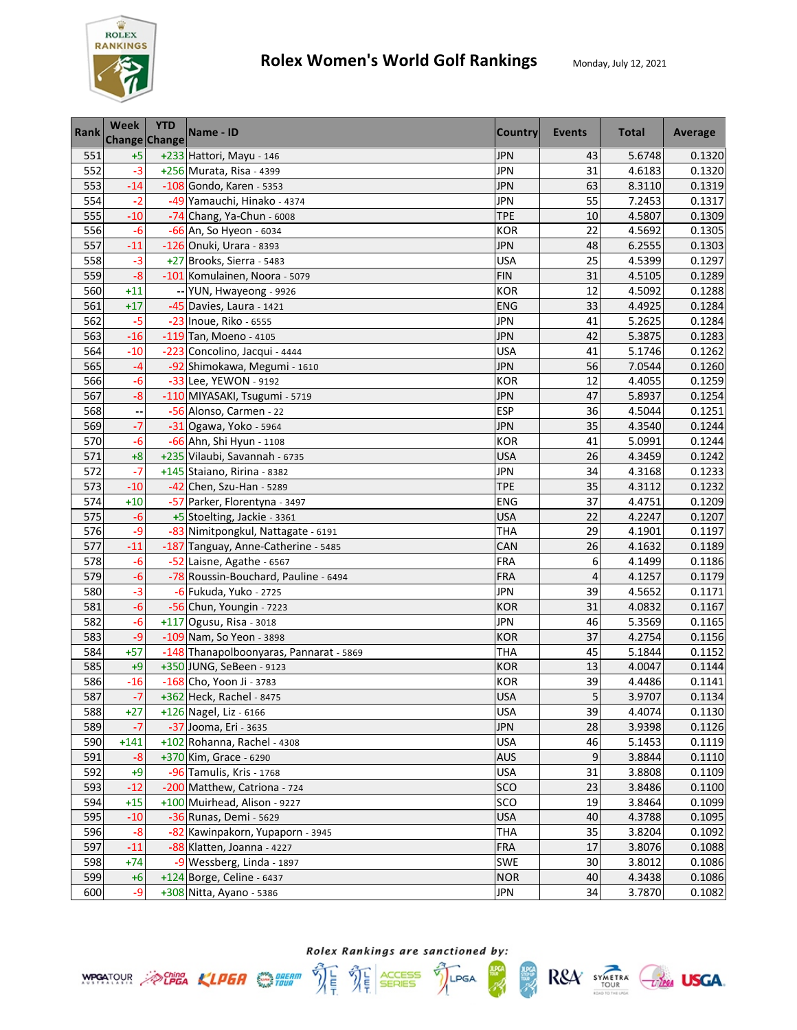

| <b>Rank</b> | Week               | <b>YTD</b><br>Change Change | Name - ID                               | <b>Country</b> | Events | <b>Total</b> | Average |
|-------------|--------------------|-----------------------------|-----------------------------------------|----------------|--------|--------------|---------|
| 551         | $+5$               |                             | +233 Hattori, Mayu - 146                | <b>JPN</b>     | 43     | 5.6748       | 0.1320  |
| 552         | $-3$               |                             | +256 Murata, Risa - 4399                | <b>JPN</b>     | 31     | 4.6183       | 0.1320  |
| 553         | $-14$              |                             | -108 Gondo, Karen - 5353                | <b>JPN</b>     | 63     | 8.3110       | 0.1319  |
| 554         | $-2$               |                             | -49 Yamauchi, Hinako - 4374             | <b>JPN</b>     | 55     | 7.2453       | 0.1317  |
| 555         | $-10$              |                             | $-74$ Chang, Ya-Chun - 6008             | <b>TPE</b>     | 10     | 4.5807       | 0.1309  |
| 556         | $-6$               |                             | -66 An, So Hyeon - 6034                 | KOR            | 22     | 4.5692       | 0.1305  |
| 557         | $-11$              |                             | -126 Onuki, Urara - 8393                | JPN            | 48     | 6.2555       | 0.1303  |
| 558         | $-3$               |                             | +27 Brooks, Sierra - 5483               | <b>USA</b>     | 25     | 4.5399       | 0.1297  |
| 559         | $-8$               |                             | -101 Komulainen, Noora - 5079           | <b>FIN</b>     | 31     | 4.5105       | 0.1289  |
| 560         | $+11$              |                             | -- YUN, Hwayeong - 9926                 | <b>KOR</b>     | 12     | 4.5092       | 0.1288  |
| 561         | $+17$              |                             | -45 Davies, Laura - 1421                | <b>ENG</b>     | 33     | 4.4925       | 0.1284  |
| 562         | $-5$               |                             | -23 Inoue, Riko - 6555                  | <b>JPN</b>     | 41     | 5.2625       | 0.1284  |
| 563         | $-16$              |                             | -119 Tan, Moeno - 4105                  | <b>JPN</b>     | 42     | 5.3875       | 0.1283  |
| 564         | $-10$              |                             | -223 Concolino, Jacqui - 4444           | <b>USA</b>     | 41     | 5.1746       | 0.1262  |
| 565         | $-4$               |                             | -92 Shimokawa, Megumi - 1610            | <b>JPN</b>     | 56     | 7.0544       | 0.1260  |
| 566         | $-6$               |                             | -33 Lee, YEWON - 9192                   | <b>KOR</b>     | 12     | 4.4055       | 0.1259  |
| 567         | $-8$               |                             | -110 MIYASAKI, Tsugumi - 5719           | <b>JPN</b>     | 47     | 5.8937       | 0.1254  |
| 568         | --                 |                             | -56 Alonso, Carmen - 22                 | <b>ESP</b>     | 36     | 4.5044       | 0.1251  |
| 569         | $-7$               |                             | -31 Ogawa, Yoko - 5964                  | <b>JPN</b>     | 35     | 4.3540       | 0.1244  |
| 570         | $-6$               |                             | -66 Ahn, Shi Hyun - 1108                | <b>KOR</b>     | 41     | 5.0991       | 0.1244  |
| 571         | $+8$               |                             | +235 Vilaubi, Savannah - 6735           | <b>USA</b>     | 26     | 4.3459       | 0.1242  |
| 572         | $\overline{\cdot}$ |                             | +145 Staiano, Ririna - 8382             | JPN            | 34     | 4.3168       | 0.1233  |
| 573         | $-10$              |                             | -42 Chen, Szu-Han - 5289                | <b>TPE</b>     | 35     | 4.3112       | 0.1232  |
| 574         | $+10$              |                             | -57 Parker, Florentyna - 3497           | ENG            | 37     | 4.4751       | 0.1209  |
| 575         | $-6$               |                             | +5 Stoelting, Jackie - 3361             | <b>USA</b>     | 22     | 4.2247       | 0.1207  |
| 576         | $-9$               |                             | -83 Nimitpongkul, Nattagate - 6191      | <b>THA</b>     | 29     | 4.1901       | 0.1197  |
| 577         | $-11$              |                             | -187 Tanguay, Anne-Catherine - 5485     | CAN            | 26     | 4.1632       | 0.1189  |
| 578         | $-6$               |                             | -52 Laisne, Agathe - 6567               | <b>FRA</b>     | 6      | 4.1499       | 0.1186  |
| 579         | $-6$               |                             | -78 Roussin-Bouchard, Pauline - 6494    | FRA            | 4      | 4.1257       | 0.1179  |
| 580         | $-3$               |                             | -6 Fukuda, Yuko - 2725                  | <b>JPN</b>     | 39     | 4.5652       | 0.1171  |
| 581         | $-6$               |                             | -56 Chun, Youngin - 7223                | <b>KOR</b>     | 31     | 4.0832       | 0.1167  |
| 582         | $-6$               |                             | $+117$ Ogusu, Risa - 3018               | <b>JPN</b>     | 46     | 5.3569       | 0.1165  |
| 583         | -9                 |                             | -109 Nam, So Yeon - 3898                | <b>KOR</b>     | 37     | 4.2754       | 0.1156  |
| 584         | $+57$              |                             | -148 Thanapolboonyaras, Pannarat - 5869 | <b>THA</b>     | 45     | 5.1844       | 0.1152  |
| 585         | $+9$               |                             | +350 JUNG, SeBeen - 9123                | <b>KOR</b>     | 13     | 4.0047       | 0.1144  |
| 586         | $-16$              |                             | -168 Cho, Yoon Ji - 3783                | <b>KOR</b>     | 39     | 4.4486       | 0.1141  |
| 587         | $-7$               |                             | +362 Heck, Rachel - 8475                | <b>USA</b>     | 5      | 3.9707       | 0.1134  |
| 588         | $+27$              |                             | +126 Nagel, Liz - 6166                  | <b>USA</b>     | 39     | 4.4074       | 0.1130  |
| 589         | $-7$               |                             | -37 Jooma, Eri - 3635                   | <b>JPN</b>     | 28     | 3.9398       | 0.1126  |
| 590         | $+141$             |                             | +102 Rohanna, Rachel - 4308             | <b>USA</b>     | 46     | 5.1453       | 0.1119  |
| 591         | $-8$               |                             | +370 Kim, Grace - 6290                  | <b>AUS</b>     | 9      | 3.8844       | 0.1110  |
| 592         | $+9$               |                             | -96 Tamulis, Kris - 1768                | <b>USA</b>     | 31     | 3.8808       | 0.1109  |
| 593         | $-12$              |                             | -200 Matthew, Catriona - 724            | SCO            | 23     | 3.8486       | 0.1100  |
| 594         | $+15$              |                             | +100 Muirhead, Alison - 9227            | SCO            | 19     | 3.8464       | 0.1099  |
| 595         | $-10$              |                             | -36 Runas, Demi - 5629                  | <b>USA</b>     | 40     | 4.3788       | 0.1095  |
| 596         | $-8$               |                             | -82 Kawinpakorn, Yupaporn - 3945        | <b>THA</b>     | 35     | 3.8204       | 0.1092  |
| 597         | $-11$              |                             | -88 Klatten, Joanna - 4227              | <b>FRA</b>     | 17     | 3.8076       | 0.1088  |
| 598         | $+74$              |                             | -9 Wessberg, Linda - 1897               | <b>SWE</b>     | 30     | 3.8012       | 0.1086  |
| 599         | $+6$               |                             | +124 Borge, Celine - 6437               | <b>NOR</b>     | 40     | 4.3438       | 0.1086  |
| 600         | $-9$               |                             | +308 Nitta, Ayano - 5386                | JPN            | 34     | 3.7870       | 0.1082  |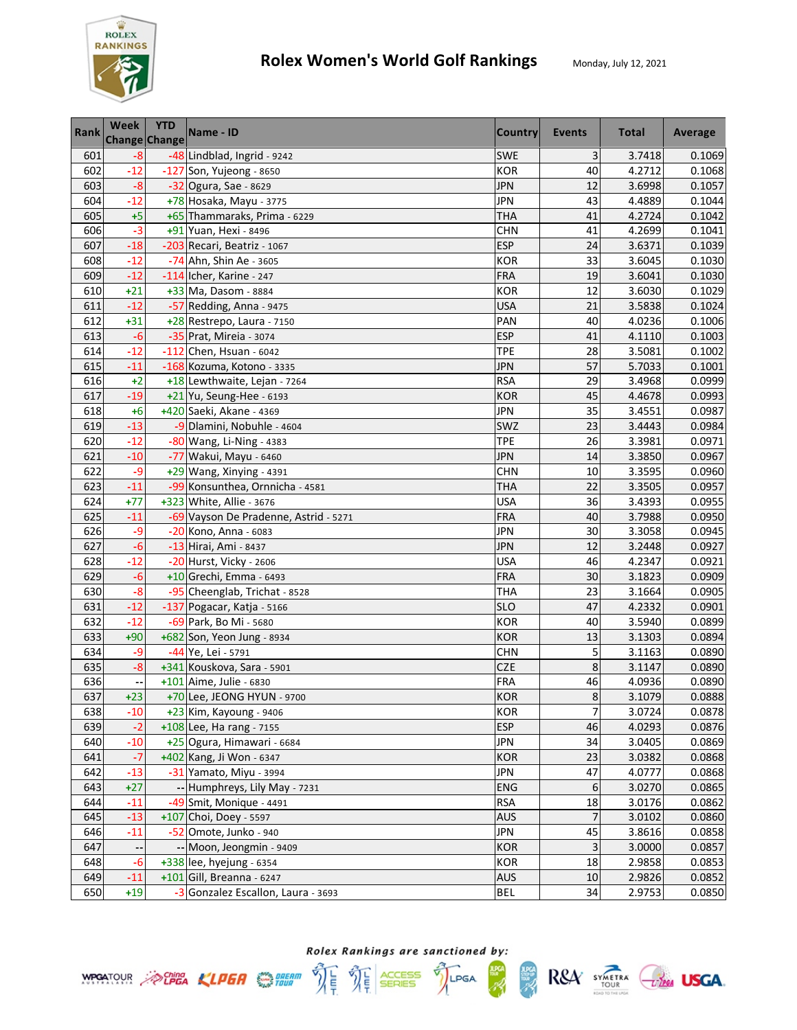

| Rank | Week  | <b>YTD</b><br>Change Change | Name - ID                             | <b>Country</b> | Events         | <b>Total</b> | Average |
|------|-------|-----------------------------|---------------------------------------|----------------|----------------|--------------|---------|
| 601  | $-8$  |                             | -48 Lindblad, Ingrid - 9242           | SWE            | 3              | 3.7418       | 0.1069  |
| 602  | $-12$ |                             | -127 Son, Yujeong - 8650              | <b>KOR</b>     | 40             | 4.2712       | 0.1068  |
| 603  | $-8$  |                             | -32 Ogura, Sae - 8629                 | <b>JPN</b>     | 12             | 3.6998       | 0.1057  |
| 604  | $-12$ |                             | +78 Hosaka, Mayu - 3775               | <b>JPN</b>     | 43             | 4.4889       | 0.1044  |
| 605  | $+5$  |                             | +65 Thammaraks, Prima - 6229          | <b>THA</b>     | 41             | 4.2724       | 0.1042  |
| 606  | $-3$  |                             | +91 Yuan, Hexi - 8496                 | <b>CHN</b>     | 41             | 4.2699       | 0.1041  |
| 607  | $-18$ |                             | -203 Recari, Beatriz - 1067           | <b>ESP</b>     | 24             | 3.6371       | 0.1039  |
| 608  | $-12$ |                             | -74 Ahn, Shin Ae - 3605               | <b>KOR</b>     | 33             | 3.6045       | 0.1030  |
| 609  | $-12$ |                             | $-114$ Icher, Karine - 247            | <b>FRA</b>     | 19             | 3.6041       | 0.1030  |
| 610  | $+21$ |                             | +33 Ma, Dasom - 8884                  | <b>KOR</b>     | 12             | 3.6030       | 0.1029  |
| 611  | $-12$ |                             | -57 Redding, Anna - 9475              | <b>USA</b>     | 21             | 3.5838       | 0.1024  |
| 612  | $+31$ |                             | +28 Restrepo, Laura - 7150            | PAN            | 40             | 4.0236       | 0.1006  |
| 613  | $-6$  |                             | -35 Prat, Mireia - 3074               | <b>ESP</b>     | 41             | 4.1110       | 0.1003  |
| 614  | $-12$ |                             | $-112$ Chen, Hsuan - 6042             | <b>TPE</b>     | 28             | 3.5081       | 0.1002  |
| 615  | $-11$ |                             | -168 Kozuma, Kotono - 3335            | <b>JPN</b>     | 57             | 5.7033       | 0.1001  |
| 616  | $+2$  |                             | +18 Lewthwaite, Lejan - 7264          | <b>RSA</b>     | 29             | 3.4968       | 0.0999  |
| 617  | $-19$ |                             | +21 Yu, Seung-Hee - 6193              | <b>KOR</b>     | 45             | 4.4678       | 0.0993  |
| 618  | $+6$  |                             | +420 Saeki, Akane - 4369              | <b>JPN</b>     | 35             | 3.4551       | 0.0987  |
| 619  | $-13$ |                             | -9 Dlamini, Nobuhle - 4604            | SWZ            | 23             | 3.4443       | 0.0984  |
| 620  | $-12$ |                             | -80 Wang, Li-Ning - 4383              | <b>TPE</b>     | 26             | 3.3981       | 0.0971  |
| 621  | $-10$ |                             | -77 Wakui, Mayu - 6460                | JPN            | 14             | 3.3850       | 0.0967  |
| 622  | -9    |                             | $+29$ Wang, Xinying - 4391            | <b>CHN</b>     | 10             | 3.3595       | 0.0960  |
| 623  | $-11$ |                             | -99 Konsunthea, Ornnicha - 4581       | <b>THA</b>     | 22             | 3.3505       | 0.0957  |
| 624  | $+77$ |                             | +323 White, Allie - 3676              | <b>USA</b>     | 36             | 3.4393       | 0.0955  |
| 625  | $-11$ |                             | -69 Vayson De Pradenne, Astrid - 5271 | FRA            | 40             | 3.7988       | 0.0950  |
| 626  | -9    |                             | -20 Kono, Anna - 6083                 | <b>JPN</b>     | 30             | 3.3058       | 0.0945  |
| 627  | $-6$  |                             | -13 Hirai, Ami - 8437                 | <b>JPN</b>     | 12             | 3.2448       | 0.0927  |
| 628  | $-12$ |                             | -20 Hurst, Vicky - 2606               | <b>USA</b>     | 46             | 4.2347       | 0.0921  |
| 629  | $-6$  |                             | +10 Grechi, Emma - 6493               | FRA            | 30             | 3.1823       | 0.0909  |
| 630  | $-8$  |                             | -95 Cheenglab, Trichat - 8528         | <b>THA</b>     | 23             | 3.1664       | 0.0905  |
| 631  | $-12$ |                             | -137 Pogacar, Katja - 5166            | <b>SLO</b>     | 47             | 4.2332       | 0.0901  |
| 632  | $-12$ |                             | -69 Park, Bo Mi - 5680                | <b>KOR</b>     | 40             | 3.5940       | 0.0899  |
| 633  | $+90$ |                             | +682 Son, Yeon Jung - 8934            | <b>KOR</b>     | 13             | 3.1303       | 0.0894  |
| 634  | $-9$  |                             | -44 Ye, Lei - 5791                    | <b>CHN</b>     | 5              | 3.1163       | 0.0890  |
| 635  | $-8$  |                             | +341 Kouskova, Sara - 5901            | <b>CZE</b>     | 8              | 3.1147       | 0.0890  |
| 636  |       |                             | +101 Aime, Julie - 6830               | <b>FRA</b>     | 46             | 4.0936       | 0.0890  |
| 637  | $+23$ |                             | +70 Lee, JEONG HYUN - 9700            | <b>KOR</b>     | $\bf 8$        | 3.1079       | 0.0888  |
| 638  | $-10$ |                             | +23 Kim, Kayoung - 9406               | <b>KOR</b>     | $\overline{7}$ | 3.0724       | 0.0878  |
| 639  | $-2$  |                             | +108 Lee, Ha rang - 7155              | <b>ESP</b>     | 46             | 4.0293       | 0.0876  |
| 640  | $-10$ |                             | +25 Ogura, Himawari - 6684            | <b>JPN</b>     | 34             | 3.0405       | 0.0869  |
| 641  | $-7$  |                             | +402 Kang, Ji Won - 6347              | <b>KOR</b>     | 23             | 3.0382       | 0.0868  |
| 642  | $-13$ |                             | -31 Yamato, Miyu - 3994               | <b>JPN</b>     | 47             | 4.0777       | 0.0868  |
| 643  | $+27$ |                             | -- Humphreys, Lily May - 7231         | <b>ENG</b>     | 6              | 3.0270       | 0.0865  |
| 644  | $-11$ |                             | -49 Smit, Monique - 4491              | <b>RSA</b>     | 18             | 3.0176       | 0.0862  |
| 645  | $-13$ |                             | +107 Choi, Doey - 5597                | <b>AUS</b>     | 7              | 3.0102       | 0.0860  |
| 646  | $-11$ |                             | -52 Omote, Junko - 940                | <b>JPN</b>     | 45             | 3.8616       | 0.0858  |
| 647  | ٠.    |                             | -- Moon, Jeongmin - 9409              | <b>KOR</b>     | 3              | 3.0000       | 0.0857  |
| 648  | $-6$  |                             | +338 lee, hyejung - 6354              | <b>KOR</b>     | 18             | 2.9858       | 0.0853  |
| 649  | $-11$ |                             | $+101$ Gill, Breanna - 6247           | <b>AUS</b>     | $10\,$         | 2.9826       | 0.0852  |
| 650  | $+19$ |                             | -3 Gonzalez Escallon, Laura - 3693    | <b>BEL</b>     | 34             | 2.9753       | 0.0850  |

**WPGATOUR** ACLIER CLIER STREAM  $\hat{W} = \frac{\sum_{i=1}^{n} C_i}{\sum_{i=1}^{n} C_i}$  SERIES

**ADCA**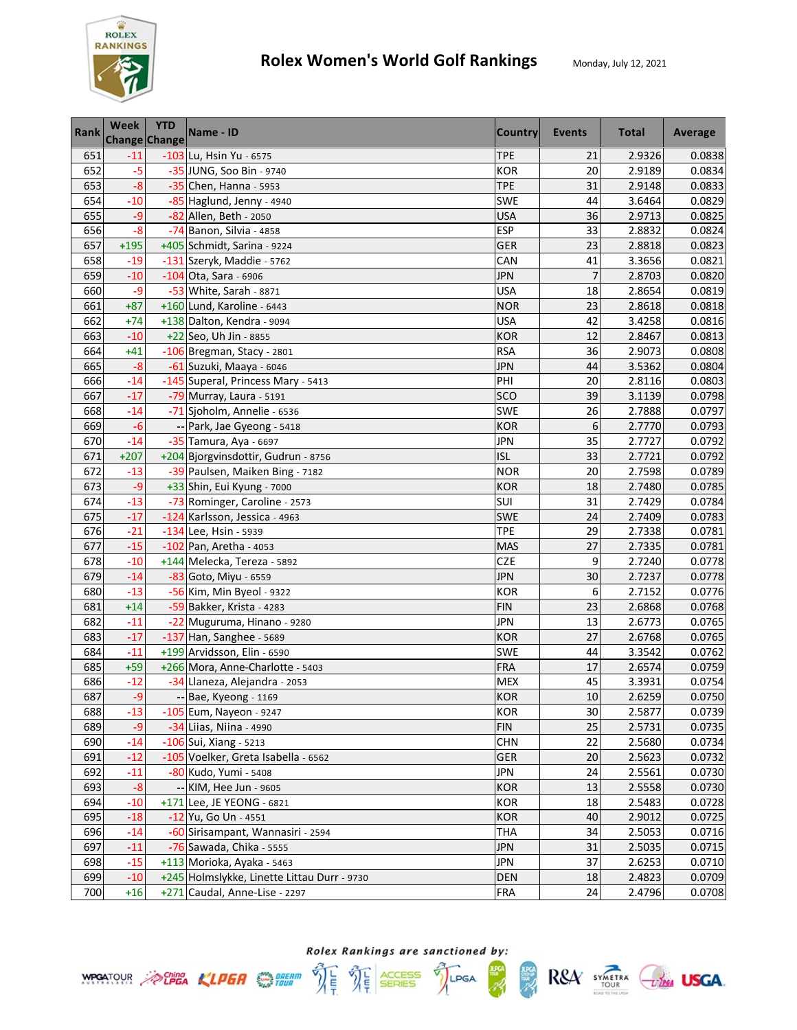

| <b>Rank</b> | Week   | <b>YTD</b><br>Change Change | Name - ID                                   | <b>Country</b> | Events         | <b>Total</b> | Average |
|-------------|--------|-----------------------------|---------------------------------------------|----------------|----------------|--------------|---------|
| 651         | $-11$  |                             | -103 Lu, Hsin Yu - 6575                     | <b>TPE</b>     | 21             | 2.9326       | 0.0838  |
| 652         | $-5$   |                             | -35 JUNG, Soo Bin - 9740                    | <b>KOR</b>     | 20             | 2.9189       | 0.0834  |
| 653         | $-8$   |                             | -35 Chen, Hanna - 5953                      | <b>TPE</b>     | 31             | 2.9148       | 0.0833  |
| 654         | $-10$  |                             | -85 Haglund, Jenny - 4940                   | <b>SWE</b>     | 44             | 3.6464       | 0.0829  |
| 655         | $-9$   |                             | -82 Allen, Beth - 2050                      | <b>USA</b>     | 36             | 2.9713       | 0.0825  |
| 656         | $-8$   |                             | -74 Banon, Silvia - 4858                    | <b>ESP</b>     | 33             | 2.8832       | 0.0824  |
| 657         | $+195$ |                             | +405 Schmidt, Sarina - 9224                 | <b>GER</b>     | 23             | 2.8818       | 0.0823  |
| 658         | $-19$  |                             | -131 Szeryk, Maddie - 5762                  | CAN            | 41             | 3.3656       | 0.0821  |
| 659         | $-10$  |                             | $-104$ Ota, Sara - 6906                     | <b>JPN</b>     | $\overline{7}$ | 2.8703       | 0.0820  |
| 660         | $-9$   |                             | -53 White, Sarah - 8871                     | <b>USA</b>     | 18             | 2.8654       | 0.0819  |
| 661         | $+87$  |                             | +160 Lund, Karoline - 6443                  | <b>NOR</b>     | 23             | 2.8618       | 0.0818  |
| 662         | $+74$  |                             | +138 Dalton, Kendra - 9094                  | <b>USA</b>     | 42             | 3.4258       | 0.0816  |
| 663         | $-10$  |                             | +22 Seo, Uh Jin - 8855                      | <b>KOR</b>     | 12             | 2.8467       | 0.0813  |
| 664         | $+41$  |                             | -106 Bregman, Stacy - 2801                  | <b>RSA</b>     | 36             | 2.9073       | 0.0808  |
| 665         | $-8$   |                             | -61 Suzuki, Maaya - 6046                    | <b>JPN</b>     | 44             | 3.5362       | 0.0804  |
| 666         | $-14$  |                             | -145 Superal, Princess Mary - 5413          | PHI            | 20             | 2.8116       | 0.0803  |
| 667         | $-17$  |                             | -79 Murray, Laura - 5191                    | SCO            | 39             | 3.1139       | 0.0798  |
| 668         | $-14$  |                             | -71 Sjoholm, Annelie - 6536                 | <b>SWE</b>     | 26             | 2.7888       | 0.0797  |
| 669         | $-6$   |                             | -- Park, Jae Gyeong - 5418                  | <b>KOR</b>     | 6              | 2.7770       | 0.0793  |
| 670         | $-14$  |                             | -35 Tamura, Aya - 6697                      | <b>JPN</b>     | 35             | 2.7727       | 0.0792  |
| 671         | $+207$ |                             | +204 Bjorgvinsdottir, Gudrun - 8756         | <b>ISL</b>     | 33             | 2.7721       | 0.0792  |
| 672         | $-13$  |                             | -39 Paulsen, Maiken Bing - 7182             | <b>NOR</b>     | 20             | 2.7598       | 0.0789  |
| 673         | $-9$   |                             | +33 Shin, Eui Kyung - 7000                  | <b>KOR</b>     | 18             | 2.7480       | 0.0785  |
| 674         | $-13$  |                             | -73 Rominger, Caroline - 2573               | SUI            | 31             | 2.7429       | 0.0784  |
| 675         | $-17$  |                             | -124 Karlsson, Jessica - 4963               | SWE            | 24             | 2.7409       | 0.0783  |
| 676         | $-21$  |                             | $-134$ Lee, Hsin - 5939                     | <b>TPE</b>     | 29             | 2.7338       | 0.0781  |
| 677         | $-15$  |                             | -102 Pan, Aretha - 4053                     | <b>MAS</b>     | 27             | 2.7335       | 0.0781  |
| 678         | $-10$  |                             | +144 Melecka, Tereza - 5892                 | CZE            | 9              | 2.7240       | 0.0778  |
| 679         | $-14$  |                             | -83 Goto, Miyu - 6559                       | <b>JPN</b>     | 30             | 2.7237       | 0.0778  |
| 680         | $-13$  |                             | -56 Kim, Min Byeol - 9322                   | <b>KOR</b>     | 6              | 2.7152       | 0.0776  |
| 681         | $+14$  |                             | -59 Bakker, Krista - 4283                   | <b>FIN</b>     | 23             | 2.6868       | 0.0768  |
| 682         | $-11$  |                             | -22 Muguruma, Hinano - 9280                 | <b>JPN</b>     | 13             | 2.6773       | 0.0765  |
| 683         | $-17$  |                             | -137 Han, Sanghee - 5689                    | <b>KOR</b>     | 27             | 2.6768       | 0.0765  |
| 684         | $-11$  |                             | +199 Arvidsson, Elin - 6590                 | SWE            | 44             | 3.3542       | 0.0762  |
| 685         | $+59$  |                             | +266 Mora, Anne-Charlotte - 5403            | <b>FRA</b>     | 17             | 2.6574       | 0.0759  |
| 686         | $-12$  |                             | -34 Llaneza, Alejandra - 2053               | <b>MEX</b>     | 45             | 3.3931       | 0.0754  |
| 687         | $-9$   |                             | -- Bae, Kyeong - 1169                       | KOR            | 10             | 2.6259       | 0.0750  |
| 688         | $-13$  |                             | $-105$ Eum, Nayeon - 9247                   | <b>KOR</b>     | 30             | 2.5877       | 0.0739  |
| 689         | $-9$   |                             | -34 Liias, Niina - 4990                     | <b>FIN</b>     | 25             | 2.5731       | 0.0735  |
| 690         | $-14$  |                             | -106 Sui, Xiang - 5213                      | <b>CHN</b>     | 22             | 2.5680       | 0.0734  |
| 691         | $-12$  |                             | -105 Voelker, Greta Isabella - 6562         | GER            | 20             | 2.5623       | 0.0732  |
| 692         | $-11$  |                             | -80 Kudo, Yumi - 5408                       | <b>JPN</b>     | 24             | 2.5561       | 0.0730  |
| 693         | $-8$   |                             | -- KIM, Hee Jun - 9605                      | <b>KOR</b>     | 13             | 2.5558       | 0.0730  |
| 694         | $-10$  |                             | +171 Lee, JE YEONG - 6821                   | <b>KOR</b>     | 18             | 2.5483       | 0.0728  |
| 695         | $-18$  |                             | $-12$ Yu, Go Un - 4551                      | <b>KOR</b>     | 40             | 2.9012       | 0.0725  |
| 696         | $-14$  |                             | -60 Sirisampant, Wannasiri - 2594           | THA            | 34             | 2.5053       | 0.0716  |
| 697         | $-11$  |                             | -76 Sawada, Chika - 5555                    | <b>JPN</b>     | 31             | 2.5035       | 0.0715  |
| 698         | $-15$  |                             | +113 Morioka, Ayaka - 5463                  | <b>JPN</b>     | 37             | 2.6253       | 0.0710  |
| 699         | $-10$  |                             | +245 Holmslykke, Linette Littau Durr - 9730 | <b>DEN</b>     | 18             | 2.4823       | 0.0709  |
| 700         | $+16$  |                             | +271 Caudal, Anne-Lise - 2297               | FRA            | 24             | 2.4796       | 0.0708  |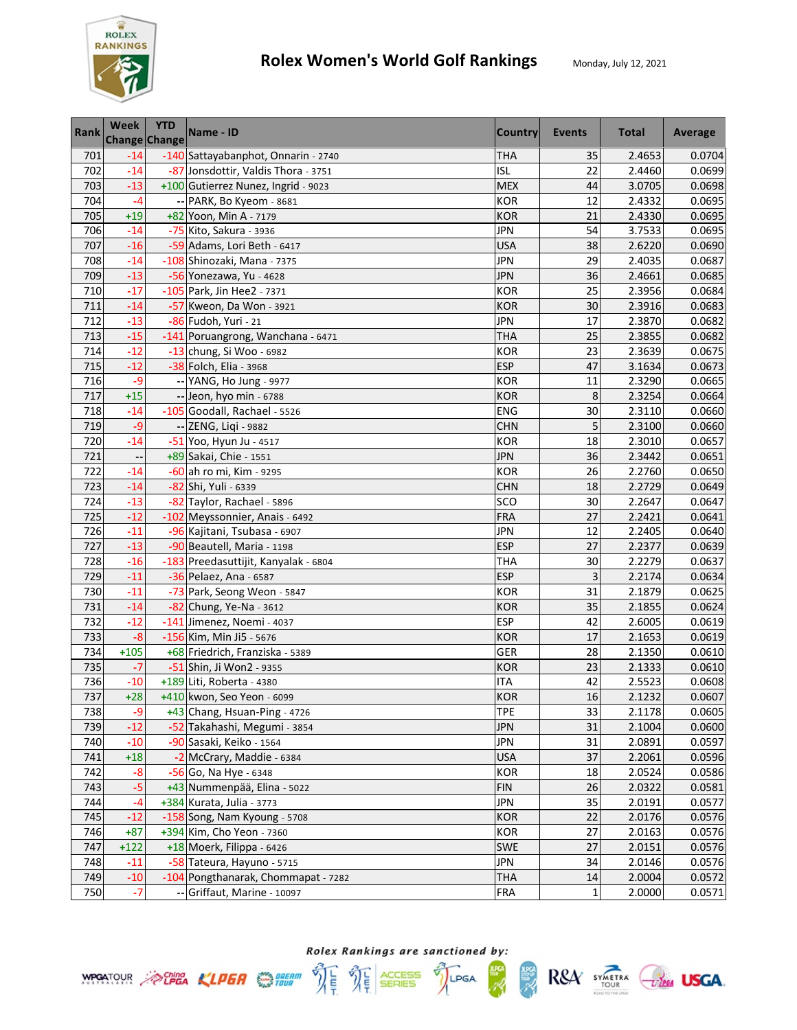

| Rank | Week   | <b>YTD</b><br>Change Change | Name - ID                            | <b>Country</b> | Events | <b>Total</b> | Average |
|------|--------|-----------------------------|--------------------------------------|----------------|--------|--------------|---------|
| 701  | $-14$  |                             | -140 Sattayabanphot, Onnarin - 2740  | <b>THA</b>     | 35     | 2.4653       | 0.0704  |
| 702  | $-14$  |                             | -87 Jonsdottir, Valdis Thora - 3751  | <b>ISL</b>     | 22     | 2.4460       | 0.0699  |
| 703  | $-13$  |                             | +100 Gutierrez Nunez, Ingrid - 9023  | <b>MEX</b>     | 44     | 3.0705       | 0.0698  |
| 704  | $-4$   |                             | -- PARK, Bo Kyeom - 8681             | <b>KOR</b>     | 12     | 2.4332       | 0.0695  |
| 705  | $+19$  |                             | +82 Yoon, Min A - 7179               | <b>KOR</b>     | 21     | 2.4330       | 0.0695  |
| 706  | $-14$  |                             | -75 Kito, Sakura - 3936              | JPN            | 54     | 3.7533       | 0.0695  |
| 707  | $-16$  |                             | -59 Adams, Lori Beth - 6417          | <b>USA</b>     | 38     | 2.6220       | 0.0690  |
| 708  | $-14$  |                             | -108 Shinozaki, Mana - 7375          | <b>JPN</b>     | 29     | 2.4035       | 0.0687  |
| 709  | $-13$  |                             | -56 Yonezawa, Yu - 4628              | <b>JPN</b>     | 36     | 2.4661       | 0.0685  |
| 710  | $-17$  |                             | -105 Park, Jin Hee2 - 7371           | <b>KOR</b>     | 25     | 2.3956       | 0.0684  |
| 711  | $-14$  |                             | -57 Kweon, Da Won - 3921             | <b>KOR</b>     | 30     | 2.3916       | 0.0683  |
| 712  | $-13$  |                             | -86 Fudoh, Yuri - 21                 | <b>JPN</b>     | 17     | 2.3870       | 0.0682  |
| 713  | $-15$  |                             | -141 Poruangrong, Wanchana - 6471    | <b>THA</b>     | 25     | 2.3855       | 0.0682  |
| 714  | $-12$  |                             | $-13$ chung, Si Woo - 6982           | <b>KOR</b>     | 23     | 2.3639       | 0.0675  |
| 715  | $-12$  |                             | -38 Folch, Elia - 3968               | <b>ESP</b>     | 47     | 3.1634       | 0.0673  |
| 716  | $-9$   |                             | -- YANG, Ho Jung - 9977              | <b>KOR</b>     | 11     | 2.3290       | 0.0665  |
| 717  | $+15$  |                             | -- Jeon, hyo min - 6788              | <b>KOR</b>     | 8      | 2.3254       | 0.0664  |
| 718  | $-14$  |                             | -105 Goodall, Rachael - 5526         | <b>ENG</b>     | 30     | 2.3110       | 0.0660  |
| 719  | $-9$   |                             | -- ZENG, Liqi - 9882                 | <b>CHN</b>     | 5      | 2.3100       | 0.0660  |
| 720  | $-14$  |                             | -51 Yoo, Hyun Ju - 4517              | <b>KOR</b>     | 18     | 2.3010       | 0.0657  |
| 721  | --     |                             | +89 Sakai, Chie - 1551               | <b>JPN</b>     | 36     | 2.3442       | 0.0651  |
| 722  | $-14$  |                             | $-60$ ah ro mi, Kim - 9295           | <b>KOR</b>     | 26     | 2.2760       | 0.0650  |
| 723  | $-14$  |                             | -82 Shi, Yuli - 6339                 | <b>CHN</b>     | 18     | 2.2729       | 0.0649  |
| 724  | $-13$  |                             | -82 Taylor, Rachael - 5896           | SCO            | 30     | 2.2647       | 0.0647  |
| 725  | $-12$  |                             | -102 Meyssonnier, Anais - 6492       | <b>FRA</b>     | 27     | 2.2421       | 0.0641  |
| 726  | $-11$  |                             | -96 Kajitani, Tsubasa - 6907         | <b>JPN</b>     | 12     | 2.2405       | 0.0640  |
| 727  | $-13$  |                             | -90 Beautell, Maria - 1198           | <b>ESP</b>     | 27     | 2.2377       | 0.0639  |
| 728  | $-16$  |                             | -183 Preedasuttijit, Kanyalak - 6804 | <b>THA</b>     | 30     | 2.2279       | 0.0637  |
| 729  | $-11$  |                             | -36 Pelaez, Ana - 6587               | <b>ESP</b>     | 3      | 2.2174       | 0.0634  |
| 730  | $-11$  |                             | -73 Park, Seong Weon - 5847          | <b>KOR</b>     | 31     | 2.1879       | 0.0625  |
| 731  | $-14$  |                             | -82 Chung, Ye-Na - 3612              | <b>KOR</b>     | 35     | 2.1855       | 0.0624  |
| 732  | $-12$  |                             | -141 Jimenez, Noemi - 4037           | <b>ESP</b>     | 42     | 2.6005       | 0.0619  |
| 733  | $-8$   |                             | $-156$ Kim, Min Ji5 - 5676           | <b>KOR</b>     | 17     | 2.1653       | 0.0619  |
| 734  | $+105$ |                             | +68 Friedrich, Franziska - 5389      | GER            | 28     | 2.1350       | 0.0610  |
| 735  | $-7$   |                             | -51 Shin, Ji Won2 - 9355             | <b>KOR</b>     | 23     | 2.1333       | 0.0610  |
| 736  | $-10$  |                             | +189 Liti, Roberta - 4380            | <b>ITA</b>     | 42     | 2.5523       | 0.0608  |
| 737  | $+28$  |                             | +410 kwon, Seo Yeon - 6099           | <b>KOR</b>     | 16     | 2.1232       | 0.0607  |
| 738  | $-9$   |                             | +43 Chang, Hsuan-Ping - 4726         | <b>TPE</b>     | 33     | 2.1178       | 0.0605  |
| 739  | $-12$  |                             | -52 Takahashi, Megumi - 3854         | <b>JPN</b>     | 31     | 2.1004       | 0.0600  |
| 740  | $-10$  |                             | -90 Sasaki, Keiko - 1564             | <b>JPN</b>     | 31     | 2.0891       | 0.0597  |
| 741  | $+18$  |                             | -2 McCrary, Maddie - 6384            | <b>USA</b>     | 37     | 2.2061       | 0.0596  |
| 742  | $-8$   |                             | -56 Go, Na Hye - 6348                | <b>KOR</b>     | 18     | 2.0524       | 0.0586  |
| 743  | $-5$   |                             | +43 Nummenpää, Elina - 5022          | <b>FIN</b>     | 26     | 2.0322       | 0.0581  |
| 744  | $-4$   |                             | +384 Kurata, Julia - 3773            | <b>JPN</b>     | 35     | 2.0191       | 0.0577  |
| 745  | $-12$  |                             | -158 Song, Nam Kyoung - 5708         | <b>KOR</b>     | 22     | 2.0176       | 0.0576  |
| 746  | $+87$  |                             | +394 Kim, Cho Yeon - 7360            | <b>KOR</b>     | 27     | 2.0163       | 0.0576  |
| 747  | $+122$ |                             | +18 Moerk, Filippa - 6426            | <b>SWE</b>     | 27     | 2.0151       | 0.0576  |
| 748  | $-11$  |                             | -58 Tateura, Hayuno - 5715           | JPN            | 34     | 2.0146       | 0.0576  |
| 749  | $-10$  |                             | -104 Pongthanarak, Chommapat - 7282  | THA            | 14     | 2.0004       | 0.0572  |
| 750  | $-7$   |                             | Griffaut, Marine - 10097             | <b>FRA</b>     | 1      | 2.0000       | 0.0571  |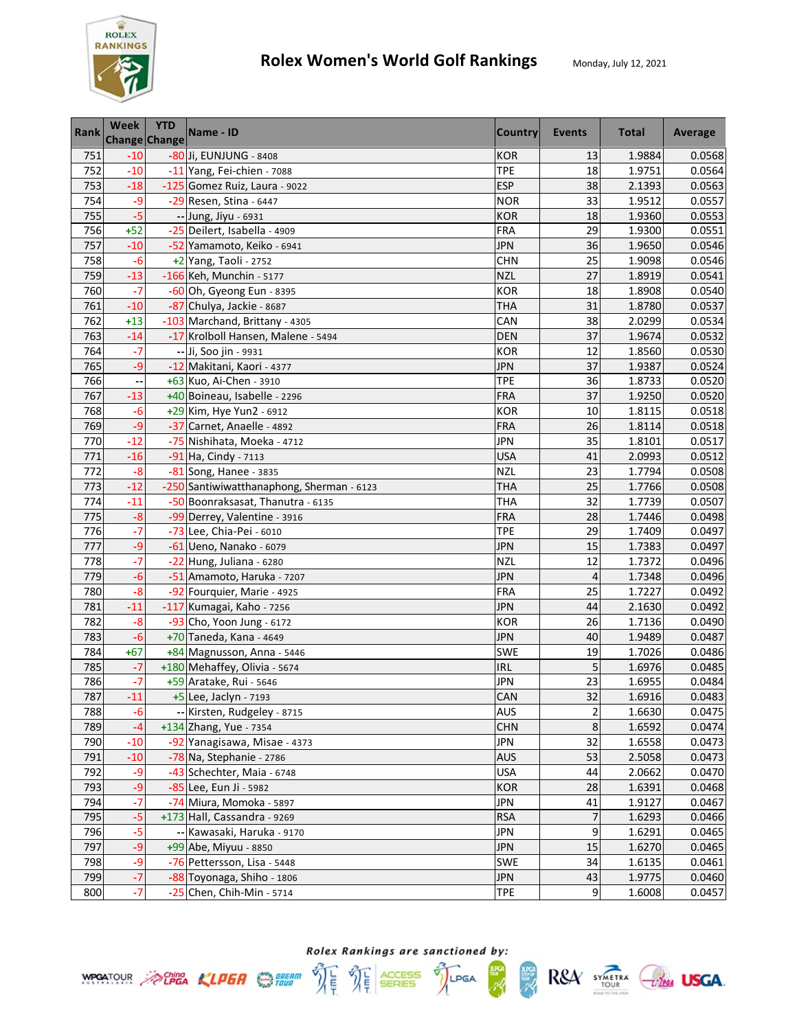

| Rank             | <b>Week</b>        | <b>YTD</b><br><b>Change Change</b> | Name - ID                                 | <b>Country</b> | Events                  | <b>Total</b> | Average |
|------------------|--------------------|------------------------------------|-------------------------------------------|----------------|-------------------------|--------------|---------|
| 751              | $-10$              |                                    | -80 Ji, EUNJUNG - 8408                    | <b>KOR</b>     | 13                      | 1.9884       | 0.0568  |
| 752              | $-10$              |                                    | -11 Yang, Fei-chien - 7088                | <b>TPE</b>     | 18                      | 1.9751       | 0.0564  |
| 753              | $-18$              |                                    | -125 Gomez Ruiz, Laura - 9022             | <b>ESP</b>     | 38                      | 2.1393       | 0.0563  |
| 754              | -9                 |                                    | -29 Resen, Stina - 6447                   | <b>NOR</b>     | 33                      | 1.9512       | 0.0557  |
| 755              | $-5$               |                                    | -- Jung, Jiyu - 6931                      | <b>KOR</b>     | 18                      | 1.9360       | 0.0553  |
| 756              | $+52$              |                                    | -25 Deilert, Isabella - 4909              | <b>FRA</b>     | 29                      | 1.9300       | 0.0551  |
| 757              | $-10$              |                                    | -52 Yamamoto, Keiko - 6941                | <b>JPN</b>     | 36                      | 1.9650       | 0.0546  |
| 758              | $-6$               |                                    | +2 Yang, Taoli - 2752                     | <b>CHN</b>     | 25                      | 1.9098       | 0.0546  |
| 759              | $-13$              |                                    | -166 Keh, Munchin - 5177                  | <b>NZL</b>     | 27                      | 1.8919       | 0.0541  |
| 760              | $-7$               |                                    | -60 Oh, Gyeong Eun - 8395                 | <b>KOR</b>     | 18                      | 1.8908       | 0.0540  |
| 761              | $-10$              |                                    | -87 Chulya, Jackie - 8687                 | <b>THA</b>     | 31                      | 1.8780       | 0.0537  |
| 762              | $+13$              |                                    | -103 Marchand, Brittany - 4305            | CAN            | 38                      | 2.0299       | 0.0534  |
| 763              | $-14$              |                                    | -17 Krolboll Hansen, Malene - 5494        | <b>DEN</b>     | 37                      | 1.9674       | 0.0532  |
| 764              | $-7$               |                                    | -- Ji, Soo jin - 9931                     | <b>KOR</b>     | 12                      | 1.8560       | 0.0530  |
| 765              | $-9$               |                                    | -12 Makitani, Kaori - 4377                | <b>JPN</b>     | 37                      | 1.9387       | 0.0524  |
| 766              |                    |                                    | +63 Kuo, Ai-Chen - 3910                   | <b>TPE</b>     | 36                      | 1.8733       | 0.0520  |
| 767              | $-13$              |                                    | +40 Boineau, Isabelle - 2296              | <b>FRA</b>     | 37                      | 1.9250       | 0.0520  |
| 768              | $-6$               |                                    | +29 Kim, Hye Yun2 - 6912                  | <b>KOR</b>     | 10                      | 1.8115       | 0.0518  |
| 769              | $-9$               |                                    | -37 Carnet, Anaelle - 4892                | <b>FRA</b>     | 26                      | 1.8114       | 0.0518  |
| 770              | $-12$              |                                    | -75 Nishihata, Moeka - 4712               | <b>JPN</b>     | 35                      | 1.8101       | 0.0517  |
| 771              | $-16$              |                                    | -91 Ha, Cindy - 7113                      | <b>USA</b>     | 41                      | 2.0993       | 0.0512  |
| 772              | $-8$               |                                    | -81 Song, Hanee - 3835                    | <b>NZL</b>     | 23                      | 1.7794       | 0.0508  |
| 773              | $-12$              |                                    | -250 Santiwiwatthanaphong, Sherman - 6123 | THA            | 25                      | 1.7766       | 0.0508  |
| $\overline{774}$ | $-11$              |                                    | -50 Boonraksasat, Thanutra - 6135         | <b>THA</b>     | 32                      | 1.7739       | 0.0507  |
| 775              | $-8$               |                                    | -99 Derrey, Valentine - 3916              | <b>FRA</b>     | 28                      | 1.7446       | 0.0498  |
| 776              | $-7$               |                                    | -73 Lee, Chia-Pei - 6010                  | <b>TPE</b>     | 29                      | 1.7409       | 0.0497  |
| 777              | $-9$               |                                    | -61 Ueno, Nanako - 6079                   | <b>JPN</b>     | 15                      | 1.7383       | 0.0497  |
| 778              | $-7$               |                                    | $-22$ Hung, Juliana - 6280                | <b>NZL</b>     | 12                      | 1.7372       | 0.0496  |
| 779              | $-6$               |                                    | -51 Amamoto, Haruka - 7207                | <b>JPN</b>     | $\overline{4}$          | 1.7348       | 0.0496  |
| 780              | $-8$               |                                    | -92 Fourquier, Marie - 4925               | <b>FRA</b>     | 25                      | 1.7227       | 0.0492  |
| 781              | $-11$              |                                    | -117 Kumagai, Kaho - 7256                 | <b>JPN</b>     | 44                      | 2.1630       | 0.0492  |
| 782              | $-8$               |                                    | -93 Cho, Yoon Jung - 6172                 | <b>KOR</b>     | 26                      | 1.7136       | 0.0490  |
| 783              | $-6$               |                                    | +70 Taneda, Kana - 4649                   | <b>JPN</b>     | 40                      | 1.9489       | 0.0487  |
| 784              | $+67$              |                                    | +84 Magnusson, Anna - 5446                | <b>SWE</b>     | 19                      | 1.7026       | 0.0486  |
| 785              | $-7$               |                                    | +180 Mehaffey, Olivia - 5674              | <b>IRL</b>     | 5                       | 1.6976       | 0.0485  |
| 786              | -7                 |                                    | +59 Aratake, Rui - 5646                   | <b>JPN</b>     | 23                      | 1.6955       | 0.0484  |
| 787              | $-11$              |                                    | +5 Lee, Jaclyn - 7193                     | CAN            | 32                      | 1.6916       | 0.0483  |
| 788              | -6                 |                                    | -- Kirsten, Rudgeley - 8715               | <b>AUS</b>     | $\overline{\mathbf{c}}$ | 1.6630       | 0.0475  |
| 789              | $-4$               |                                    | +134 Zhang, Yue - 7354                    | <b>CHN</b>     | 8                       | 1.6592       | 0.0474  |
| 790              | $-10$              |                                    | -92 Yanagisawa, Misae - 4373              | <b>JPN</b>     | 32                      | 1.6558       | 0.0473  |
| 791              | $-10$              |                                    | -78 Na, Stephanie - 2786                  | <b>AUS</b>     | 53                      | 2.5058       | 0.0473  |
| 792              | -9                 |                                    | -43 Schechter, Maia - 6748                | <b>USA</b>     | 44                      | 2.0662       | 0.0470  |
| 793              | $-9$               |                                    | -85 Lee, Eun Ji - 5982                    | <b>KOR</b>     | 28                      | 1.6391       | 0.0468  |
| 794              | $\overline{\cdot}$ |                                    | -74 Miura, Momoka - 5897                  | <b>JPN</b>     | 41                      | 1.9127       | 0.0467  |
| 795              | $-5$               |                                    | +173 Hall, Cassandra - 9269               | <b>RSA</b>     | 7                       | 1.6293       | 0.0466  |
| 796              | $-5$               |                                    | -- Kawasaki, Haruka - 9170                | <b>JPN</b>     | 9                       | 1.6291       | 0.0465  |
| 797              | $-9$               |                                    | +99 Abe, Miyuu - 8850                     | <b>JPN</b>     | 15                      | 1.6270       | 0.0465  |
| 798              | -9                 |                                    | -76 Pettersson, Lisa - 5448               | SWE            | 34                      | 1.6135       | 0.0461  |
| 799              | $-7$               |                                    | -88 Toyonaga, Shiho - 1806                | <b>JPN</b>     | 43                      | 1.9775       | 0.0460  |
| 800              | $-7$               |                                    | $-25$ Chen, Chih-Min - 5714               | <b>TPE</b>     | 9                       | 1.6008       | 0.0457  |





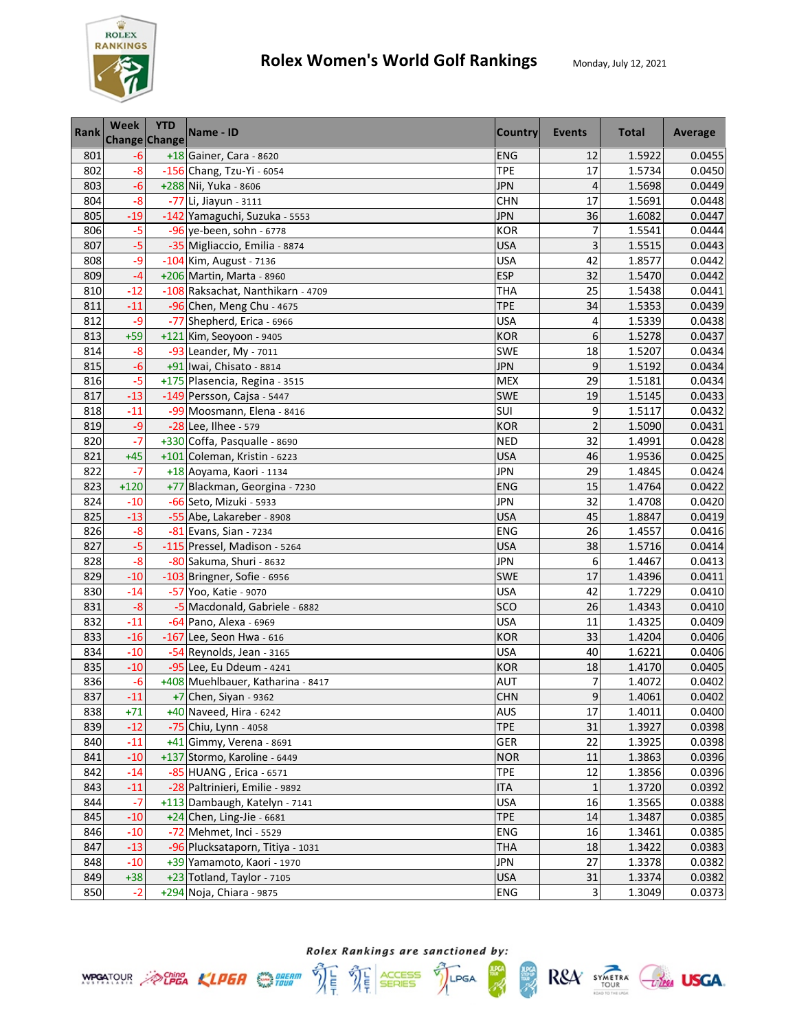

| Rank | <b>Week</b> | <b>YTD</b><br>Change Change | Name - ID                         | <b>Country</b> | Events         | <b>Total</b> | Average |
|------|-------------|-----------------------------|-----------------------------------|----------------|----------------|--------------|---------|
| 801  | -6          |                             | +18 Gainer, Cara - 8620           | <b>ENG</b>     | 12             | 1.5922       | 0.0455  |
| 802  | $-8$        |                             | -156 Chang, Tzu-Yi - 6054         | <b>TPE</b>     | 17             | 1.5734       | 0.0450  |
| 803  | $-6$        |                             | +288 Nii, Yuka - 8606             | <b>JPN</b>     | $\overline{4}$ | 1.5698       | 0.0449  |
| 804  | $-8$        |                             | -77 Li, Jiayun - 3111             | <b>CHN</b>     | 17             | 1.5691       | 0.0448  |
| 805  | $-19$       |                             | -142 Yamaguchi, Suzuka - 5553     | <b>JPN</b>     | 36             | 1.6082       | 0.0447  |
| 806  | $-5$        |                             | $-96$ ye-been, sohn - 6778        | <b>KOR</b>     | 7              | 1.5541       | 0.0444  |
| 807  | $-5$        |                             | -35 Migliaccio, Emilia - 8874     | <b>USA</b>     | 3              | 1.5515       | 0.0443  |
| 808  | -9          |                             | -104 Kim, August - 7136           | <b>USA</b>     | 42             | 1.8577       | 0.0442  |
| 809  | $-4$        |                             | +206 Martin, Marta - 8960         | <b>ESP</b>     | 32             | 1.5470       | 0.0442  |
| 810  | $-12$       |                             | -108 Raksachat, Nanthikarn - 4709 | <b>THA</b>     | 25             | 1.5438       | 0.0441  |
| 811  | $-11$       |                             | -96 Chen, Meng Chu - 4675         | <b>TPE</b>     | 34             | 1.5353       | 0.0439  |
| 812  | $-9$        |                             | -77 Shepherd, Erica - 6966        | <b>USA</b>     | 4              | 1.5339       | 0.0438  |
| 813  | $+59$       |                             | +121 Kim, Seoyoon - 9405          | <b>KOR</b>     | 6              | 1.5278       | 0.0437  |
| 814  | $-8$        |                             | -93 Leander, My - 7011            | SWE            | 18             | 1.5207       | 0.0434  |
| 815  | $-6$        |                             | +91 Iwai, Chisato - 8814          | <b>JPN</b>     | 9              | 1.5192       | 0.0434  |
| 816  | $-5$        |                             | +175 Plasencia, Regina - 3515     | <b>MEX</b>     | 29             | 1.5181       | 0.0434  |
| 817  | $-13$       |                             | -149 Persson, Cajsa - 5447        | SWE            | 19             | 1.5145       | 0.0433  |
| 818  | $-11$       |                             | -99 Moosmann, Elena - 8416        | SUI            | 9              | 1.5117       | 0.0432  |
| 819  | $-9$        |                             | -28 Lee, Ilhee - 579              | <b>KOR</b>     | $\overline{2}$ | 1.5090       | 0.0431  |
| 820  | $-7$        |                             | +330 Coffa, Pasqualle - 8690      | <b>NED</b>     | 32             | 1.4991       | 0.0428  |
| 821  | $+45$       |                             | +101 Coleman, Kristin - 6223      | <b>USA</b>     | 46             | 1.9536       | 0.0425  |
| 822  | $-7$        |                             | +18 Aoyama, Kaori - 1134          | <b>JPN</b>     | 29             | 1.4845       | 0.0424  |
| 823  | $+120$      |                             | +77 Blackman, Georgina - 7230     | <b>ENG</b>     | 15             | 1.4764       | 0.0422  |
| 824  | $-10$       |                             | -66 Seto, Mizuki - 5933           | <b>JPN</b>     | 32             | 1.4708       | 0.0420  |
| 825  | $-13$       |                             | -55 Abe, Lakareber - 8908         | <b>USA</b>     | 45             | 1.8847       | 0.0419  |
| 826  | $-8$        |                             | -81 Evans, Sian - 7234            | ENG            | 26             | 1.4557       | 0.0416  |
| 827  | $-5$        |                             | -115 Pressel, Madison - 5264      | <b>USA</b>     | 38             | 1.5716       | 0.0414  |
| 828  | $-8$        |                             | -80 Sakuma, Shuri - 8632          | <b>JPN</b>     | 6              | 1.4467       | 0.0413  |
| 829  | $-10$       |                             | -103 Bringner, Sofie - 6956       | <b>SWE</b>     | 17             | 1.4396       | 0.0411  |
| 830  | $-14$       |                             | -57 Yoo, Katie - 9070             | <b>USA</b>     | 42             | 1.7229       | 0.0410  |
| 831  | $-8$        |                             | -5 Macdonald, Gabriele - 6882     | SCO            | 26             | 1.4343       | 0.0410  |
| 832  | $-11$       |                             | -64 Pano, Alexa - 6969            | <b>USA</b>     | 11             | 1.4325       | 0.0409  |
| 833  | $-16$       |                             | $-167$ Lee, Seon Hwa - 616        | <b>KOR</b>     | 33             | 1.4204       | 0.0406  |
| 834  | $-10$       |                             | -54 Reynolds, Jean - 3165         | <b>USA</b>     | 40             | 1.6221       | 0.0406  |
| 835  | $-10$       |                             | -95 Lee, Eu Ddeum - 4241          | <b>KOR</b>     | 18             | 1.4170       | 0.0405  |
| 836  | -6          |                             | +408 Muehlbauer, Katharina - 8417 | <b>AUT</b>     | $\overline{7}$ | 1.4072       | 0.0402  |
| 837  | $-11$       |                             | +7 Chen, Siyan - 9362             | <b>CHN</b>     | 9              | 1.4061       | 0.0402  |
| 838  | $+71$       |                             | +40 Naveed, Hira - 6242           | AUS            | 17             | 1.4011       | 0.0400  |
| 839  | $-12$       |                             | -75 Chiu, Lynn - 4058             | <b>TPE</b>     | 31             | 1.3927       | 0.0398  |
| 840  | $-11$       |                             | +41 Gimmy, Verena - 8691          | GER            | 22             | 1.3925       | 0.0398  |
| 841  | $-10$       |                             | +137 Stormo, Karoline - 6449      | <b>NOR</b>     | 11             | 1.3863       | 0.0396  |
| 842  | $-14$       |                             | -85 HUANG, Erica - 6571           | <b>TPE</b>     | 12             | 1.3856       | 0.0396  |
| 843  | $-11$       |                             | -28 Paltrinieri, Emilie - 9892    | <b>ITA</b>     | 1              | 1.3720       | 0.0392  |
| 844  | $-7$        |                             | +113 Dambaugh, Katelyn - 7141     | <b>USA</b>     | 16             | 1.3565       | 0.0388  |
| 845  | $-10$       |                             | $+24$ Chen, Ling-Jie - 6681       | <b>TPE</b>     | 14             | 1.3487       | 0.0385  |
| 846  | $-10$       |                             | -72 Mehmet, Inci - 5529           | <b>ENG</b>     | 16             | 1.3461       | 0.0385  |
| 847  | $-13$       |                             | -96 Plucksataporn, Titiya - 1031  | <b>THA</b>     | 18             | 1.3422       | 0.0383  |
| 848  | $-10$       |                             | +39 Yamamoto, Kaori - 1970        | JPN            | 27             | 1.3378       | 0.0382  |
| 849  | $+38$       |                             | +23 Totland, Taylor - 7105        | <b>USA</b>     | 31             | 1.3374       | 0.0382  |
| 850  | $-2$        |                             | +294 Noja, Chiara - 9875          | ENG            | 3              | 1.3049       | 0.0373  |



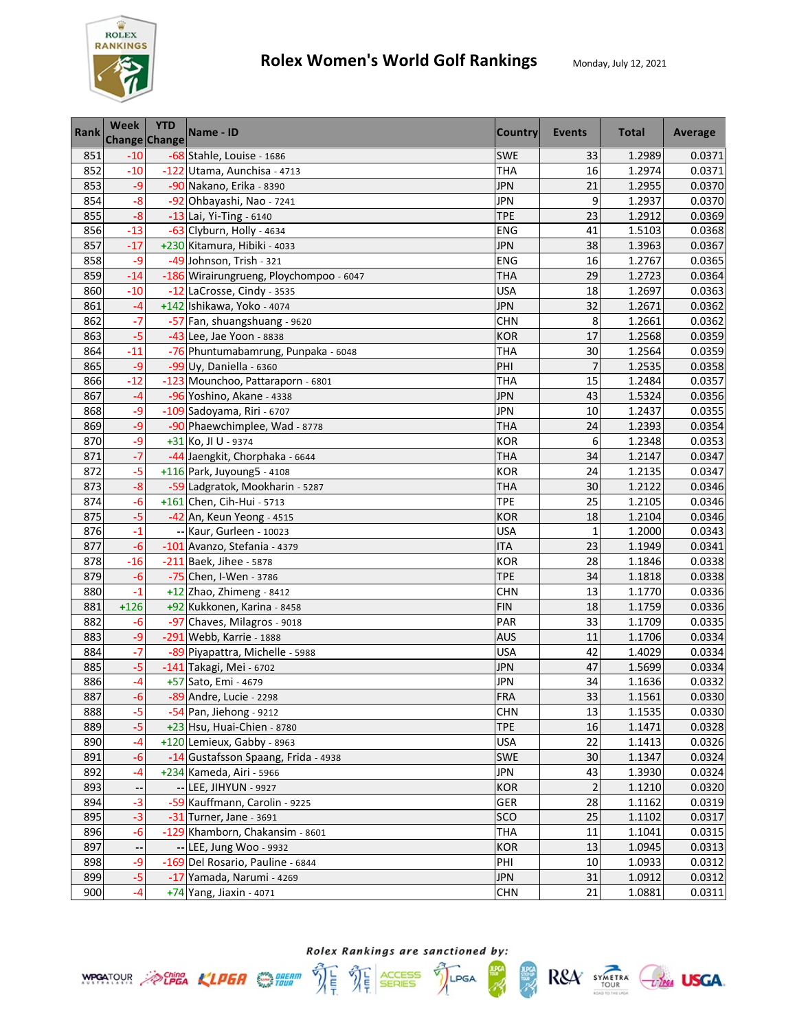

| <b>Rank</b> | <b>Week</b> | <b>YTD</b><br><b>Change Change</b> | Name - ID                               | <b>Country</b> | Events         | <b>Total</b> | Average |
|-------------|-------------|------------------------------------|-----------------------------------------|----------------|----------------|--------------|---------|
| 851         | $-10$       |                                    | -68 Stahle, Louise - 1686               | <b>SWE</b>     | 33             | 1.2989       | 0.0371  |
| 852         | $-10$       |                                    | -122 Utama, Aunchisa - 4713             | <b>THA</b>     | 16             | 1.2974       | 0.0371  |
| 853         | $-9$        |                                    | -90 Nakano, Erika - 8390                | <b>JPN</b>     | 21             | 1.2955       | 0.0370  |
| 854         | $-8$        |                                    | -92 Ohbayashi, Nao - 7241               | <b>JPN</b>     | 9              | 1.2937       | 0.0370  |
| 855         | $-8$        |                                    | $-13$ Lai, Yi-Ting - 6140               | <b>TPE</b>     | 23             | 1.2912       | 0.0369  |
| 856         | $-13$       |                                    | -63 Clyburn, Holly - 4634               | ENG            | 41             | 1.5103       | 0.0368  |
| 857         | $-17$       |                                    | +230 Kitamura, Hibiki - 4033            | <b>JPN</b>     | 38             | 1.3963       | 0.0367  |
| 858         | -9          |                                    | -49 Johnson, Trish - 321                | ENG            | 16             | 1.2767       | 0.0365  |
| 859         | $-14$       |                                    | -186 Wirairungrueng, Ploychompoo - 6047 | <b>THA</b>     | 29             | 1.2723       | 0.0364  |
| 860         | $-10$       |                                    | -12 LaCrosse, Cindy - 3535              | <b>USA</b>     | 18             | 1.2697       | 0.0363  |
| 861         | $-4$        |                                    | +142 Ishikawa, Yoko - 4074              | <b>JPN</b>     | 32             | 1.2671       | 0.0362  |
| 862         | $-7$        |                                    | -57 Fan, shuangshuang - 9620            | <b>CHN</b>     | 8              | 1.2661       | 0.0362  |
| 863         | $-5$        |                                    | -43 Lee, Jae Yoon - 8838                | <b>KOR</b>     | 17             | 1.2568       | 0.0359  |
| 864         | $-11$       |                                    | -76 Phuntumabamrung, Punpaka - 6048     | <b>THA</b>     | 30             | 1.2564       | 0.0359  |
| 865         | $-9$        |                                    | $-99$ Uy, Daniella - 6360               | PHI            | $\overline{7}$ | 1.2535       | 0.0358  |
| 866         | $-12$       |                                    | -123 Mounchoo, Pattaraporn - 6801       | <b>THA</b>     | 15             | 1.2484       | 0.0357  |
| 867         | $-4$        |                                    | -96 Yoshino, Akane - 4338               | <b>JPN</b>     | 43             | 1.5324       | 0.0356  |
| 868         | -9          |                                    | -109 Sadoyama, Riri - 6707              | <b>JPN</b>     | 10             | 1.2437       | 0.0355  |
| 869         | $-9$        |                                    | -90 Phaewchimplee, Wad - 8778           | <b>THA</b>     | 24             | 1.2393       | 0.0354  |
| 870         | -9          |                                    | +31 Ko, JI U - 9374                     | <b>KOR</b>     | 6              | 1.2348       | 0.0353  |
| 871         | $-7$        |                                    | -44 Jaengkit, Chorphaka - 6644          | <b>THA</b>     | 34             | 1.2147       | 0.0347  |
| 872         | $-5$        |                                    | +116 Park, Juyoung5 - 4108              | <b>KOR</b>     | 24             | 1.2135       | 0.0347  |
| 873         | $-8$        |                                    | -59 Ladgratok, Mookharin - 5287         | <b>THA</b>     | 30             | 1.2122       | 0.0346  |
| 874         | $-6$        |                                    | +161 Chen, Cih-Hui - 5713               | <b>TPE</b>     | 25             | 1.2105       | 0.0346  |
| 875         | $-5$        |                                    | -42 An, Keun Yeong - 4515               | <b>KOR</b>     | 18             | 1.2104       | 0.0346  |
| 876         | $-1$        |                                    | -- Kaur, Gurleen - 10023                | <b>USA</b>     | $\mathbf{1}$   | 1.2000       | 0.0343  |
| 877         | $-6$        |                                    | -101 Avanzo, Stefania - 4379            | <b>ITA</b>     | 23             | 1.1949       | 0.0341  |
| 878         | $-16$       |                                    | -211 Baek, Jihee - 5878                 | <b>KOR</b>     | 28             | 1.1846       | 0.0338  |
| 879         | $-6$        |                                    | -75 Chen, I-Wen - 3786                  | <b>TPE</b>     | 34             | 1.1818       | 0.0338  |
| 880         | $-1$        |                                    | +12 Zhao, Zhimeng - 8412                | <b>CHN</b>     | 13             | 1.1770       | 0.0336  |
| 881         | $+126$      |                                    | +92 Kukkonen, Karina - 8458             | <b>FIN</b>     | 18             | 1.1759       | 0.0336  |
| 882         | $-6$        |                                    | -97 Chaves, Milagros - 9018             | PAR            | 33             | 1.1709       | 0.0335  |
| 883         | -9          |                                    | -291 Webb, Karrie - 1888                | <b>AUS</b>     | 11             | 1.1706       | 0.0334  |
| 884         | $-7$        |                                    | -89 Piyapattra, Michelle - 5988         | <b>USA</b>     | 42             | 1.4029       | 0.0334  |
| 885         | $-5$        |                                    | -141 Takagi, Mei - 6702                 | <b>JPN</b>     | 47             | 1.5699       | 0.0334  |
| 886         | $-4$        |                                    | +57 Sato, Emi - 4679                    | <b>JPN</b>     | 34             | 1.1636       | 0.0332  |
| 887         | $-6$        |                                    | -89 Andre, Lucie - 2298                 | <b>FRA</b>     | 33             | 1.1561       | 0.0330  |
| 888         | $-5$        |                                    | -54 Pan, Jiehong - 9212                 | <b>CHN</b>     | 13             | 1.1535       | 0.0330  |
| 889         | $-5$        |                                    | +23 Hsu, Huai-Chien - 8780              | <b>TPE</b>     | 16             | 1.1471       | 0.0328  |
| 890         | -4          |                                    | +120 Lemieux, Gabby - 8963              | <b>USA</b>     | 22             | 1.1413       | 0.0326  |
| 891         | $-6$        |                                    | -14 Gustafsson Spaang, Frida - 4938     | SWE            | 30             | 1.1347       | 0.0324  |
| 892         | $-4$        |                                    | +234 Kameda, Airi - 5966                | <b>JPN</b>     | 43             | 1.3930       | 0.0324  |
| 893         |             |                                    | -- LEE, JIHYUN - 9927                   | <b>KOR</b>     | $\overline{2}$ | 1.1210       | 0.0320  |
| 894         | $-3$        |                                    | -59 Kauffmann, Carolin - 9225           | GER            | 28             | 1.1162       | 0.0319  |
| 895         | $-3$        |                                    | -31 Turner, Jane - 3691                 | <b>SCO</b>     | 25             | 1.1102       | 0.0317  |
| 896         | $-6$        |                                    | -129 Khamborn, Chakansim - 8601         | <b>THA</b>     | 11             | 1.1041       | 0.0315  |
| 897         | --          |                                    | -- LEE, Jung Woo - 9932                 | <b>KOR</b>     | 13             | 1.0945       | 0.0313  |
| 898         | -9          |                                    | -169 Del Rosario, Pauline - 6844        | PHI            | 10             | 1.0933       | 0.0312  |
| 899         | $-5$        |                                    | -17 Yamada, Narumi - 4269               | <b>JPN</b>     | 31             | 1.0912       | 0.0312  |
| 900         | $-4$        |                                    | +74 Yang, Jiaxin - 4071                 | <b>CHN</b>     | 21             | 1.0881       | 0.0311  |

**ANG**<br>SEBRE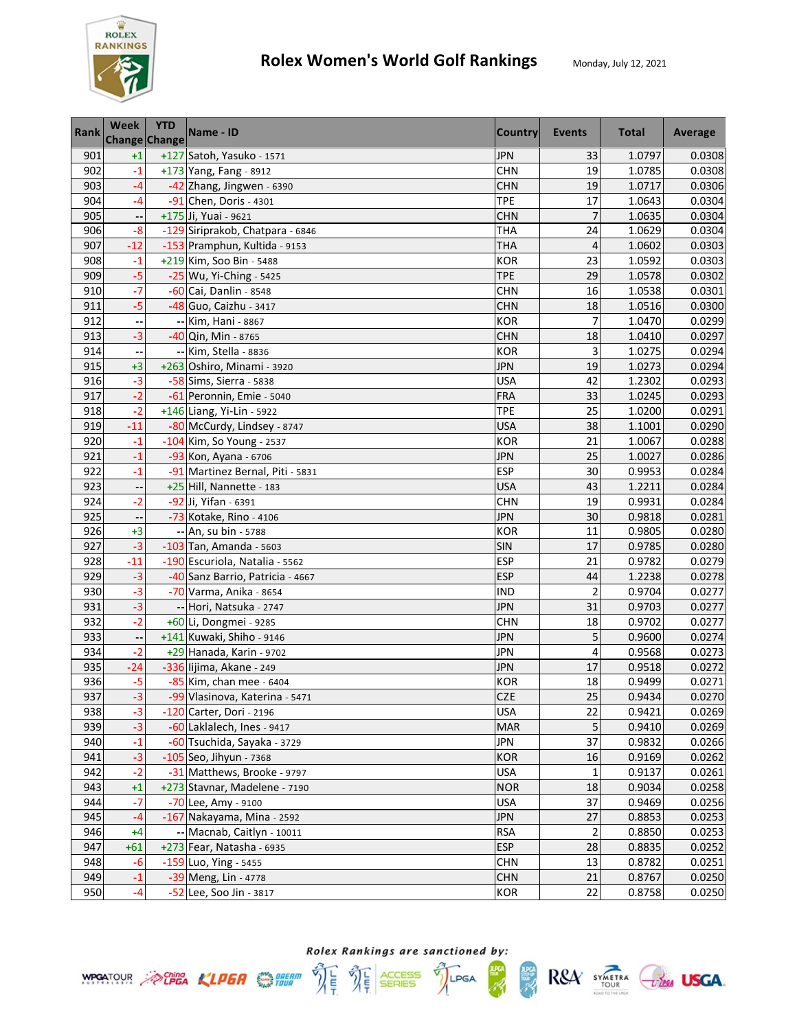

| Rank | <b>Week</b><br>Change Change | <b>YTD</b> | Name - ID                        | <b>Country</b> | Events         | <b>Total</b> | Average |
|------|------------------------------|------------|----------------------------------|----------------|----------------|--------------|---------|
| 901  | $+1$                         |            | +127 Satoh, Yasuko - 1571        | <b>JPN</b>     | 33             | 1.0797       | 0.0308  |
| 902  | $-1$                         |            | +173 Yang, Fang - 8912           | <b>CHN</b>     | 19             | 1.0785       | 0.0308  |
| 903  | -4                           |            | -42 Zhang, Jingwen - 6390        | <b>CHN</b>     | 19             | 1.0717       | 0.0306  |
| 904  | -4                           |            | -91 Chen, Doris - 4301           | <b>TPE</b>     | 17             | 1.0643       | 0.0304  |
| 905  |                              |            | +175 Ji, Yuai - 9621             | <b>CHN</b>     | 7              | 1.0635       | 0.0304  |
| 906  | $-8$                         |            | -129 Siriprakob, Chatpara - 6846 | <b>THA</b>     | 24             | 1.0629       | 0.0304  |
| 907  | $-12$                        |            | -153 Pramphun, Kultida - 9153    | <b>THA</b>     | $\overline{4}$ | 1.0602       | 0.0303  |
| 908  | $-1$                         |            | +219 Kim, Soo Bin - 5488         | <b>KOR</b>     | 23             | 1.0592       | 0.0303  |
| 909  | $-5$                         |            | -25 Wu, Yi-Ching - 5425          | <b>TPE</b>     | 29             | 1.0578       | 0.0302  |
| 910  | $-7$                         |            | -60 Cai, Danlin - 8548           | <b>CHN</b>     | 16             | 1.0538       | 0.0301  |
| 911  | $-5$                         |            | -48 Guo, Caizhu - 3417           | <b>CHN</b>     | 18             | 1.0516       | 0.0300  |
| 912  |                              |            | -- Kim, Hani - 8867              | <b>KOR</b>     | 7              | 1.0470       | 0.0299  |
| 913  | $-3$                         |            | -40 Qin, Min - 8765              | <b>CHN</b>     | 18             | 1.0410       | 0.0297  |
| 914  |                              |            | -- Kim, Stella - 8836            | <b>KOR</b>     | 3              | 1.0275       | 0.0294  |
| 915  | $+3$                         |            | +263 Oshiro, Minami - 3920       | <b>JPN</b>     | 19             | 1.0273       | 0.0294  |
| 916  | $-3$                         |            | -58 Sims, Sierra - 5838          | <b>USA</b>     | 42             | 1.2302       | 0.0293  |
| 917  | $-2$                         |            | -61 Peronnin, Emie - 5040        | FRA            | 33             | 1.0245       | 0.0293  |
| 918  | $-2$                         |            | +146 Liang, Yi-Lin - 5922        | <b>TPE</b>     | 25             | 1.0200       | 0.0291  |
| 919  | $-11$                        |            | -80 McCurdy, Lindsey - 8747      | <b>USA</b>     | 38             | 1.1001       | 0.0290  |
| 920  | $-1$                         |            | -104 Kim, So Young - 2537        | <b>KOR</b>     | 21             | 1.0067       | 0.0288  |
| 921  | $-1$                         |            | -93 Kon, Ayana - 6706            | <b>JPN</b>     | 25             | 1.0027       | 0.0286  |
| 922  | $-1$                         |            | -91 Martinez Bernal, Piti - 5831 | <b>ESP</b>     | 30             | 0.9953       | 0.0284  |
| 923  | --                           |            | +25 Hill, Nannette - 183         | <b>USA</b>     | 43             | 1.2211       | 0.0284  |
| 924  | $-2$                         |            | -92 Ji, Yifan - 6391             | <b>CHN</b>     | 19             | 0.9931       | 0.0284  |
| 925  |                              |            | -73 Kotake, Rino - 4106          | <b>JPN</b>     | 30             | 0.9818       | 0.0281  |
| 926  | $+3$                         |            | -- An, su bin - 5788             | <b>KOR</b>     | 11             | 0.9805       | 0.0280  |
| 927  | $-3$                         |            | -103 Tan, Amanda - 5603          | SIN            | 17             | 0.9785       | 0.0280  |
| 928  | $-11$                        |            | -190 Escuriola, Natalia - 5562   | <b>ESP</b>     | 21             | 0.9782       | 0.0279  |
| 929  | $-3$                         |            | -40 Sanz Barrio, Patricia - 4667 | <b>ESP</b>     | 44             | 1.2238       | 0.0278  |
| 930  | $-3$                         |            | -70 Varma, Anika - 8654          | <b>IND</b>     | $\overline{2}$ | 0.9704       | 0.0277  |
| 931  | $-3$                         |            | -- Hori, Natsuka - 2747          | <b>JPN</b>     | 31             | 0.9703       | 0.0277  |
| 932  | $-2$                         |            | +60 Li, Dongmei - 9285           | <b>CHN</b>     | 18             | 0.9702       | 0.0277  |
| 933  |                              |            | +141 Kuwaki, Shiho - 9146        | <b>JPN</b>     | 5              | 0.9600       | 0.0274  |
| 934  | $-2$                         |            | +29 Hanada, Karin - 9702         | <b>JPN</b>     | 4              | 0.9568       | 0.0273  |
| 935  | $-24$                        |            | -336 lijima, Akane - 249         | <b>JPN</b>     | 17             | 0.9518       | 0.0272  |
| 936  | $-5$                         |            | -85 Kim, chan mee - 6404         | <b>KOR</b>     | 18             | 0.9499       | 0.0271  |
| 937  | $-3$                         |            | -99 Vlasinova, Katerina - 5471   | <b>CZE</b>     | 25             | 0.9434       | 0.0270  |
| 938  | $-3$                         |            | -120 Carter, Dori - 2196         | <b>USA</b>     | 22             | 0.9421       | 0.0269  |
| 939  | $-3$                         |            | -60 Laklalech, Ines - 9417       | <b>MAR</b>     | 5              | 0.9410       | 0.0269  |
| 940  | $-1$                         |            | -60 Tsuchida, Sayaka - 3729      | <b>JPN</b>     | 37             | 0.9832       | 0.0266  |
| 941  | $-3$                         |            | $-105$ Seo, Jihyun - 7368        | <b>KOR</b>     | 16             | 0.9169       | 0.0262  |
| 942  | $-2$                         |            | -31 Matthews, Brooke - 9797      | <b>USA</b>     | 1              | 0.9137       | 0.0261  |
| 943  | $+1$                         |            | +273 Stavnar, Madelene - 7190    | <b>NOR</b>     | 18             | 0.9034       | 0.0258  |
| 944  | $-7$                         |            | -70 Lee, Amy - 9100              | <b>USA</b>     | 37             | 0.9469       | 0.0256  |
| 945  | $-4$                         |            | -167 Nakayama, Mina - 2592       | <b>JPN</b>     | 27             | 0.8853       | 0.0253  |
| 946  | $+4$                         |            | -- Macnab, Caitlyn - 10011       | <b>RSA</b>     | $\overline{c}$ | 0.8850       | 0.0253  |
| 947  | $+61$                        |            | +273 Fear, Natasha - 6935        | <b>ESP</b>     | 28             | 0.8835       | 0.0252  |
| 948  | $-6$                         |            | -159 Luo, Ying - 5455            | <b>CHN</b>     | 13             | 0.8782       | 0.0251  |
| 949  | $-1$                         |            | -39 Meng, Lin - 4778             | <b>CHN</b>     | 21             | 0.8767       | 0.0250  |
| 950  | $-4$                         |            | -52 Lee, Soo Jin - 3817          | <b>KOR</b>     | 22             | 0.8758       | 0.0250  |



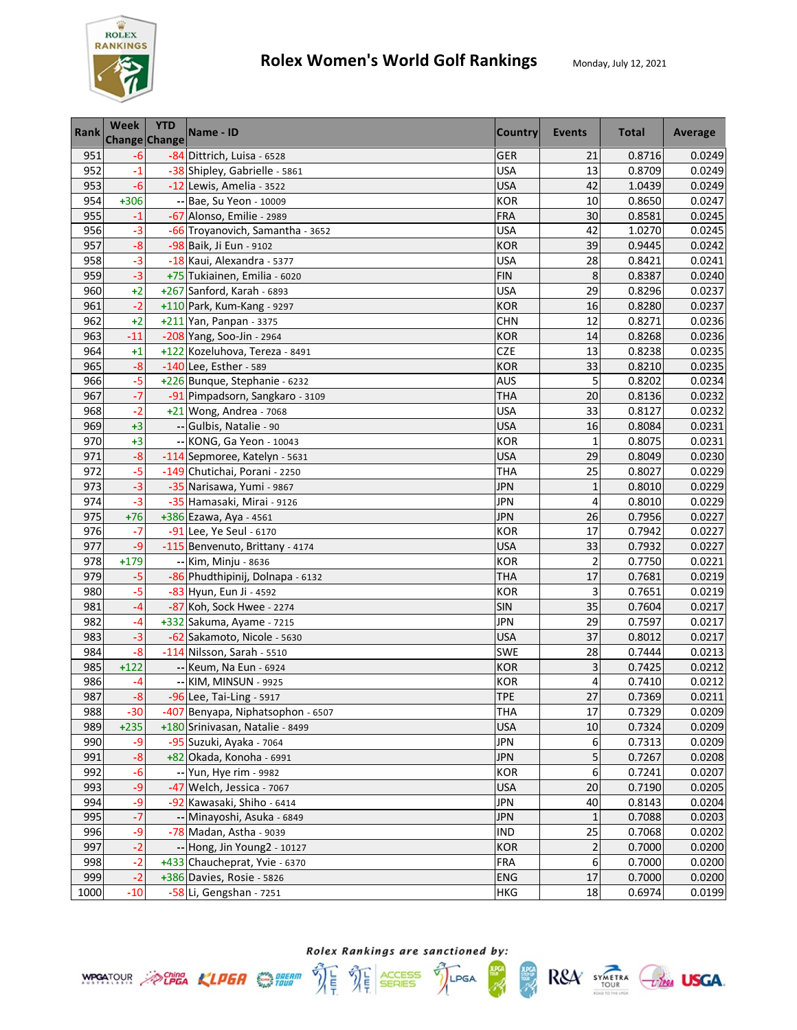

| Rank | Week   | <b>YTD</b><br><b>Change Change</b> | Name - ID                         | <b>Country</b> | Events                  | <b>Total</b> | Average |
|------|--------|------------------------------------|-----------------------------------|----------------|-------------------------|--------------|---------|
| 951  | $-6$   |                                    | -84 Dittrich, Luisa - 6528        | <b>GER</b>     | 21                      | 0.8716       | 0.0249  |
| 952  | $-1$   |                                    | -38 Shipley, Gabrielle - 5861     | <b>USA</b>     | 13                      | 0.8709       | 0.0249  |
| 953  | $-6$   |                                    | -12 Lewis, Amelia - 3522          | <b>USA</b>     | 42                      | 1.0439       | 0.0249  |
| 954  | +306   |                                    | -- Bae, Su Yeon - 10009           | <b>KOR</b>     | 10                      | 0.8650       | 0.0247  |
| 955  | $-1$   |                                    | -67 Alonso, Emilie - 2989         | <b>FRA</b>     | 30                      | 0.8581       | 0.0245  |
| 956  | $-3$   |                                    | -66 Troyanovich, Samantha - 3652  | <b>USA</b>     | 42                      | 1.0270       | 0.0245  |
| 957  | $-8$   |                                    | -98 Baik, Ji Eun - 9102           | <b>KOR</b>     | 39                      | 0.9445       | 0.0242  |
| 958  | $-3$   |                                    | -18 Kaui, Alexandra - 5377        | USA            | 28                      | 0.8421       | 0.0241  |
| 959  | $-3$   |                                    | +75 Tukiainen, Emilia - 6020      | <b>FIN</b>     | 8                       | 0.8387       | 0.0240  |
| 960  | $+2$   |                                    | +267 Sanford, Karah - 6893        | <b>USA</b>     | 29                      | 0.8296       | 0.0237  |
| 961  | $-2$   |                                    | +110 Park, Kum-Kang - 9297        | <b>KOR</b>     | 16                      | 0.8280       | 0.0237  |
| 962  | $+2$   |                                    | +211 Yan, Panpan - 3375           | <b>CHN</b>     | 12                      | 0.8271       | 0.0236  |
| 963  | $-11$  |                                    | -208 Yang, Soo-Jin - 2964         | <b>KOR</b>     | 14                      | 0.8268       | 0.0236  |
| 964  | $+1$   |                                    | +122 Kozeluhova, Tereza - 8491    | CZE            | 13                      | 0.8238       | 0.0235  |
| 965  | $-8$   |                                    | -140 Lee, Esther - 589            | <b>KOR</b>     | 33                      | 0.8210       | 0.0235  |
| 966  | $-5$   |                                    | +226 Bunque, Stephanie - 6232     | <b>AUS</b>     | 5                       | 0.8202       | 0.0234  |
| 967  | $-7$   |                                    | -91 Pimpadsorn, Sangkaro - 3109   | <b>THA</b>     | 20                      | 0.8136       | 0.0232  |
| 968  | $-2$   |                                    | +21 Wong, Andrea - 7068           | <b>USA</b>     | 33                      | 0.8127       | 0.0232  |
| 969  | $+3$   |                                    | -- Gulbis, Natalie - 90           | <b>USA</b>     | 16                      | 0.8084       | 0.0231  |
| 970  | $+3$   |                                    | -- KONG, Ga Yeon - 10043          | <b>KOR</b>     | $\mathbf{1}$            | 0.8075       | 0.0231  |
| 971  | $-8$   |                                    | -114 Sepmoree, Katelyn - 5631     | <b>USA</b>     | 29                      | 0.8049       | 0.0230  |
| 972  | $-5$   |                                    | -149 Chutichai, Porani - 2250     | THA            | 25                      | 0.8027       | 0.0229  |
| 973  | $-3$   |                                    | -35 Narisawa, Yumi - 9867         | JPN            | $\mathbf{1}$            | 0.8010       | 0.0229  |
| 974  | $-3$   |                                    | -35 Hamasaki, Mirai - 9126        | <b>JPN</b>     | 4                       | 0.8010       | 0.0229  |
| 975  | $+76$  |                                    | +386 Ezawa, Aya - 4561            | <b>JPN</b>     | 26                      | 0.7956       | 0.0227  |
| 976  | $-7$   |                                    | -91 Lee, Ye Seul - 6170           | <b>KOR</b>     | 17                      | 0.7942       | 0.0227  |
| 977  | $-9$   |                                    | -115 Benvenuto, Brittany - 4174   | <b>USA</b>     | 33                      | 0.7932       | 0.0227  |
| 978  | $+179$ |                                    | -- Kim, Minju - 8636              | <b>KOR</b>     | $\overline{c}$          | 0.7750       | 0.0221  |
| 979  | $-5$   |                                    | -86 Phudthipinij, Dolnapa - 6132  | <b>THA</b>     | 17                      | 0.7681       | 0.0219  |
| 980  | $-5$   |                                    | -83 Hyun, Eun Ji - 4592           | <b>KOR</b>     | 3                       | 0.7651       | 0.0219  |
| 981  | $-4$   |                                    | -87 Koh, Sock Hwee - 2274         | SIN            | 35                      | 0.7604       | 0.0217  |
| 982  | $-4$   |                                    | +332 Sakuma, Ayame - 7215         | <b>JPN</b>     | 29                      | 0.7597       | 0.0217  |
| 983  | $-3$   |                                    | -62 Sakamoto, Nicole - 5630       | <b>USA</b>     | 37                      | 0.8012       | 0.0217  |
| 984  | $-8$   |                                    | -114 Nilsson, Sarah - 5510        | SWE            | 28                      | 0.7444       | 0.0213  |
| 985  | $+122$ |                                    | -- Keum, Na Eun - 6924            | <b>KOR</b>     | 3                       | 0.7425       | 0.0212  |
| 986  | -4     |                                    | -- KIM, MINSUN - 9925             | <b>KOR</b>     | 4                       | 0.7410       | 0.0212  |
| 987  | $-8$   |                                    | -96 Lee, Tai-Ling - 5917          | <b>TPE</b>     | 27                      | 0.7369       | 0.0211  |
| 988  | $-30$  |                                    | -407 Benyapa, Niphatsophon - 6507 | <b>THA</b>     | 17                      | 0.7329       | 0.0209  |
| 989  | $+235$ |                                    | +180 Srinivasan, Natalie - 8499   | <b>USA</b>     | 10                      | 0.7324       | 0.0209  |
| 990  | -9     |                                    | -95 Suzuki, Ayaka - 7064          | <b>JPN</b>     | 6                       | 0.7313       | 0.0209  |
| 991  | $-8$   |                                    | +82 Okada, Konoha - 6991          | <b>JPN</b>     | 5                       | 0.7267       | 0.0208  |
| 992  | $-6$   |                                    | -- Yun, Hye rim - 9982            | <b>KOR</b>     | 6                       | 0.7241       | 0.0207  |
| 993  | $-9$   |                                    | -47 Welch, Jessica - 7067         | <b>USA</b>     | 20                      | 0.7190       | 0.0205  |
| 994  | -9     |                                    | -92 Kawasaki, Shiho - 6414        | <b>JPN</b>     | 40                      | 0.8143       | 0.0204  |
| 995  | $-7$   |                                    | -- Minayoshi, Asuka - 6849        | <b>JPN</b>     | $\mathbf{1}$            | 0.7088       | 0.0203  |
| 996  | -9     |                                    | -78 Madan, Astha - 9039           | <b>IND</b>     | 25                      | 0.7068       | 0.0202  |
| 997  | $-2$   |                                    | -- Hong, Jin Young2 - 10127       | <b>KOR</b>     | $\overline{\mathbf{c}}$ | 0.7000       | 0.0200  |
| 998  | $-2$   |                                    | +433 Chaucheprat, Yvie - 6370     | <b>FRA</b>     | 6                       | 0.7000       | 0.0200  |
| 999  | $-2$   |                                    | +386 Davies, Rosie - 5826         | <b>ENG</b>     | 17                      | 0.7000       | 0.0200  |
| 1000 | $-10$  |                                    | -58 Li, Gengshan - 7251           | <b>HKG</b>     | 18                      | 0.6974       | 0.0199  |

**ANG**<br>SEBRE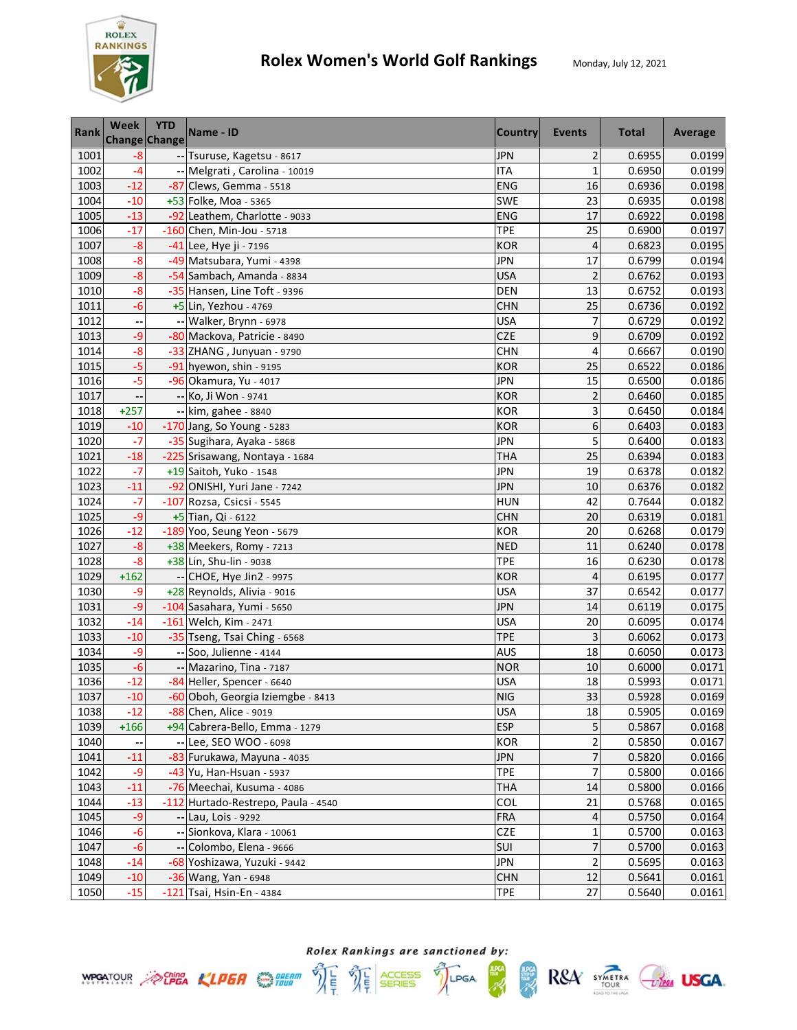

| Rank | <b>Week</b> | <b>YTD</b><br>Change Change | Name - ID                           | <b>Country</b> | Events         | <b>Total</b> | Average |
|------|-------------|-----------------------------|-------------------------------------|----------------|----------------|--------------|---------|
| 1001 | -8          |                             | -- Tsuruse, Kagetsu - 8617          | <b>JPN</b>     | $\overline{2}$ | 0.6955       | 0.0199  |
| 1002 | $-4$        |                             | -- Melgrati, Carolina - 10019       | <b>ITA</b>     | $\mathbf{1}$   | 0.6950       | 0.0199  |
| 1003 | $-12$       |                             | -87 Clews, Gemma - 5518             | ENG            | 16             | 0.6936       | 0.0198  |
| 1004 | $-10$       |                             | +53 Folke, Moa - 5365               | <b>SWE</b>     | 23             | 0.6935       | 0.0198  |
| 1005 | $-13$       |                             | -92 Leathem, Charlotte - 9033       | <b>ENG</b>     | 17             | 0.6922       | 0.0198  |
| 1006 | $-17$       |                             | -160 Chen, Min-Jou - 5718           | <b>TPE</b>     | 25             | 0.6900       | 0.0197  |
| 1007 | $-8$        |                             | -41 Lee, Hye ji - 7196              | <b>KOR</b>     | $\overline{4}$ | 0.6823       | 0.0195  |
| 1008 | $-8$        |                             | -49 Matsubara, Yumi - 4398          | JPN            | 17             | 0.6799       | 0.0194  |
| 1009 | $-8$        |                             | -54 Sambach, Amanda - 8834          | <b>USA</b>     | $\overline{2}$ | 0.6762       | 0.0193  |
| 1010 | $-8$        |                             | -35 Hansen, Line Toft - 9396        | <b>DEN</b>     | 13             | 0.6752       | 0.0193  |
| 1011 | $-6$        |                             | +5 Lin, Yezhou - 4769               | <b>CHN</b>     | 25             | 0.6736       | 0.0192  |
| 1012 |             |                             | -- Walker, Brynn - 6978             | <b>USA</b>     | 7              | 0.6729       | 0.0192  |
| 1013 | $-9$        |                             | -80 Mackova, Patricie - 8490        | CZE            | 9              | 0.6709       | 0.0192  |
| 1014 | $-8$        |                             | -33 ZHANG, Junyuan - 9790           | <b>CHN</b>     | 4              | 0.6667       | 0.0190  |
| 1015 | $-5$        |                             | $-91$ hyewon, shin - 9195           | <b>KOR</b>     | 25             | 0.6522       | 0.0186  |
| 1016 | $-5$        |                             | -96 Okamura, Yu - 4017              | <b>JPN</b>     | 15             | 0.6500       | 0.0186  |
| 1017 |             |                             | -- Ko, Ji Won - 9741                | <b>KOR</b>     | $\overline{c}$ | 0.6460       | 0.0185  |
| 1018 | $+257$      |                             | -- kim, gahee - 8840                | <b>KOR</b>     | 3              | 0.6450       | 0.0184  |
| 1019 | $-10$       |                             | -170 Jang, So Young - 5283          | <b>KOR</b>     | 6              | 0.6403       | 0.0183  |
| 1020 | $-7$        |                             | -35 Sugihara, Ayaka - 5868          | <b>JPN</b>     | 5              | 0.6400       | 0.0183  |
| 1021 | $-18$       |                             | -225 Srisawang, Nontaya - 1684      | THA            | 25             | 0.6394       | 0.0183  |
| 1022 | $-7$        |                             | +19 Saitoh, Yuko - 1548             | JPN            | 19             | 0.6378       | 0.0182  |
| 1023 | $-11$       |                             | -92 ONISHI, Yuri Jane - 7242        | JPN            | 10             | 0.6376       | 0.0182  |
| 1024 | -7          |                             | -107 Rozsa, Csicsi - 5545           | <b>HUN</b>     | 42             | 0.7644       | 0.0182  |
| 1025 | $-9$        |                             | +5 Tian, Qi - 6122                  | <b>CHN</b>     | 20             | 0.6319       | 0.0181  |
| 1026 | $-12$       |                             | -189 Yoo, Seung Yeon - 5679         | <b>KOR</b>     | 20             | 0.6268       | 0.0179  |
| 1027 | $-8$        |                             | +38 Meekers, Romy - 7213            | <b>NED</b>     | 11             | 0.6240       | 0.0178  |
| 1028 | $-8$        |                             | +38 Lin, Shu-lin - 9038             | <b>TPE</b>     | 16             | 0.6230       | 0.0178  |
| 1029 | $+162$      |                             | -- CHOE, Hye Jin2 - 9975            | <b>KOR</b>     | 4              | 0.6195       | 0.0177  |
| 1030 | -9          |                             | +28 Reynolds, Alivia - 9016         | <b>USA</b>     | 37             | 0.6542       | 0.0177  |
| 1031 | -9          |                             | -104 Sasahara, Yumi - 5650          | <b>JPN</b>     | 14             | 0.6119       | 0.0175  |
| 1032 | $-14$       |                             | $-161$ Welch, Kim - 2471            | <b>USA</b>     | 20             | 0.6095       | 0.0174  |
| 1033 | $-10$       |                             | -35 Tseng, Tsai Ching - 6568        | <b>TPE</b>     | 3              | 0.6062       | 0.0173  |
| 1034 | -9          |                             | -- Soo, Julienne - 4144             | <b>AUS</b>     | 18             | 0.6050       | 0.0173  |
| 1035 | $-6$        |                             | -- Mazarino, Tina - 7187            | <b>NOR</b>     | 10             | 0.6000       | 0.0171  |
| 1036 | $-12$       |                             | -84 Heller, Spencer - 6640          | <b>USA</b>     | 18             | 0.5993       | 0.0171  |
| 1037 | $-10$       |                             | -60 Oboh, Georgia Iziemgbe - 8413   | <b>NIG</b>     | 33             | 0.5928       | 0.0169  |
| 1038 | $-12$       |                             | -88 Chen, Alice - 9019              | <b>USA</b>     | 18             | 0.5905       | 0.0169  |
| 1039 | $+166$      |                             | +94 Cabrera-Bello, Emma - 1279      | <b>ESP</b>     | 5              | 0.5867       | 0.0168  |
| 1040 |             |                             | -- Lee, SEO WOO - 6098              | KOR            | 2              | 0.5850       | 0.0167  |
| 1041 | $-11$       |                             | -83 Furukawa, Mayuna - 4035         | <b>JPN</b>     | 7              | 0.5820       | 0.0166  |
| 1042 | -9          |                             | -43 Yu, Han-Hsuan - 5937            | <b>TPE</b>     | 7              | 0.5800       | 0.0166  |
| 1043 | $-11$       |                             | -76 Meechai, Kusuma - 4086          | <b>THA</b>     | 14             | 0.5800       | 0.0166  |
| 1044 | $-13$       |                             | -112 Hurtado-Restrepo, Paula - 4540 | COL            | 21             | 0.5768       | 0.0165  |
| 1045 | $-9$        |                             | -- Lau, Lois - 9292                 | <b>FRA</b>     | 4              | 0.5750       | 0.0164  |
| 1046 | $-6$        |                             | -- Sionkova, Klara - 10061          | <b>CZE</b>     | 1              | 0.5700       | 0.0163  |
| 1047 | $-6$        |                             | -- Colombo, Elena - 9666            | SUI            | 7              | 0.5700       | 0.0163  |
| 1048 | $-14$       |                             | -68 Yoshizawa, Yuzuki - 9442        | <b>JPN</b>     | $\overline{2}$ | 0.5695       | 0.0163  |
| 1049 | $-10$       |                             | -36 Wang, Yan - 6948                | <b>CHN</b>     | 12             | 0.5641       | 0.0161  |
| 1050 | $-15$       |                             | -121 Tsai, Hsin-En - 4384           | <b>TPE</b>     | 27             | 0.5640       | 0.0161  |





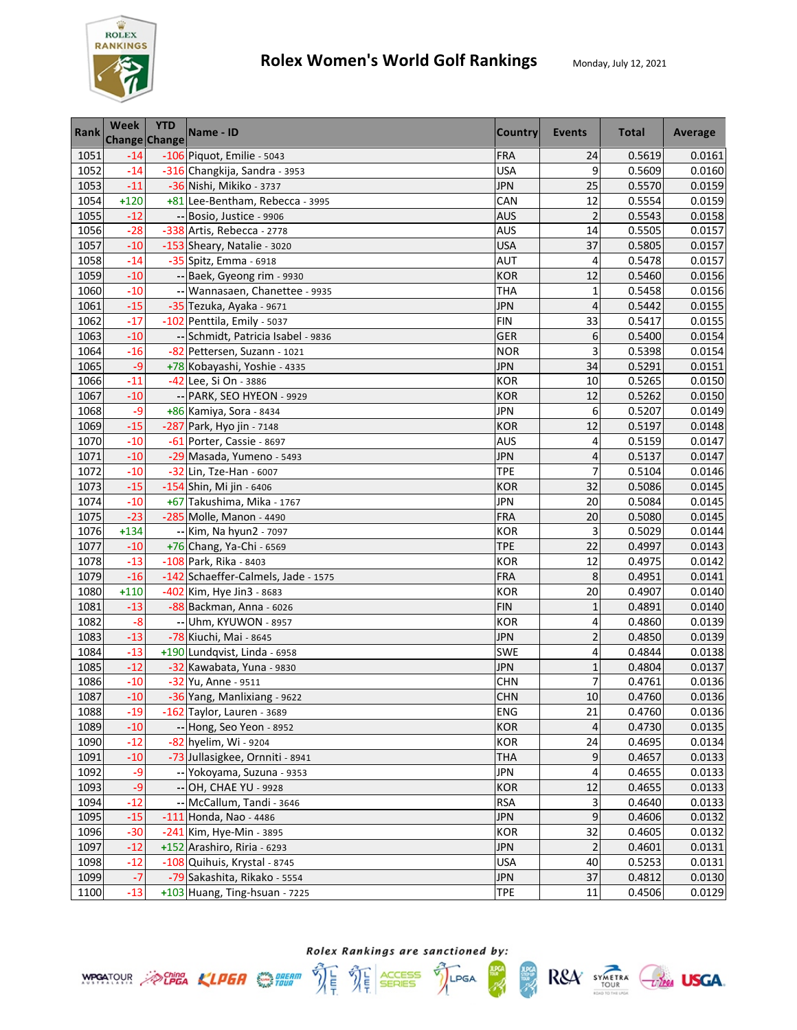

| <b>Rank</b> | Week   | <b>YTD</b><br>Change Change | Name - ID                           | <b>Country</b> | <b>Events</b>           | <b>Total</b> | Average |
|-------------|--------|-----------------------------|-------------------------------------|----------------|-------------------------|--------------|---------|
| 1051        | $-14$  |                             | $-106$ Piquot, Emilie - 5043        | <b>FRA</b>     | 24                      | 0.5619       | 0.0161  |
| 1052        | $-14$  |                             | -316 Changkija, Sandra - 3953       | <b>USA</b>     | 9                       | 0.5609       | 0.0160  |
| 1053        | $-11$  |                             | -36 Nishi, Mikiko - 3737            | <b>JPN</b>     | 25                      | 0.5570       | 0.0159  |
| 1054        | $+120$ |                             | +81 Lee-Bentham, Rebecca - 3995     | CAN            | 12                      | 0.5554       | 0.0159  |
| 1055        | $-12$  |                             | -- Bosio, Justice - 9906            | <b>AUS</b>     | $\overline{2}$          | 0.5543       | 0.0158  |
| 1056        | $-28$  |                             | -338 Artis, Rebecca - 2778          | AUS            | 14                      | 0.5505       | 0.0157  |
| 1057        | $-10$  |                             | -153 Sheary, Natalie - 3020         | <b>USA</b>     | 37                      | 0.5805       | 0.0157  |
| 1058        | $-14$  |                             | -35 Spitz, Emma - 6918              | AUT            | 4                       | 0.5478       | 0.0157  |
| 1059        | $-10$  |                             | -- Baek, Gyeong rim - 9930          | <b>KOR</b>     | 12                      | 0.5460       | 0.0156  |
| 1060        | $-10$  |                             | -- Wannasaen, Chanettee - 9935      | <b>THA</b>     | $\mathbf{1}$            | 0.5458       | 0.0156  |
| 1061        | $-15$  |                             | -35 Tezuka, Ayaka - 9671            | <b>JPN</b>     | 4                       | 0.5442       | 0.0155  |
| 1062        | $-17$  |                             | -102 Penttila, Emily - 5037         | <b>FIN</b>     | 33                      | 0.5417       | 0.0155  |
| 1063        | $-10$  |                             | -- Schmidt, Patricia Isabel - 9836  | <b>GER</b>     | 6                       | 0.5400       | 0.0154  |
| 1064        | $-16$  |                             | -82 Pettersen, Suzann - 1021        | <b>NOR</b>     | 3                       | 0.5398       | 0.0154  |
| 1065        | $-9$   |                             | +78 Kobayashi, Yoshie - 4335        | <b>JPN</b>     | 34                      | 0.5291       | 0.0151  |
| 1066        | $-11$  |                             | -42 Lee, Si On - 3886               | <b>KOR</b>     | 10                      | 0.5265       | 0.0150  |
| 1067        | $-10$  |                             | -- PARK, SEO HYEON - 9929           | <b>KOR</b>     | 12                      | 0.5262       | 0.0150  |
| 1068        | -9     |                             | +86 Kamiya, Sora - 8434             | <b>JPN</b>     | 6                       | 0.5207       | 0.0149  |
| 1069        | $-15$  |                             | -287 Park, Hyo jin - 7148           | <b>KOR</b>     | 12                      | 0.5197       | 0.0148  |
| 1070        | $-10$  |                             | -61 Porter, Cassie - 8697           | AUS            | 4                       | 0.5159       | 0.0147  |
| 1071        | $-10$  |                             | -29 Masada, Yumeno - 5493           | JPN            | 4                       | 0.5137       | 0.0147  |
| 1072        | $-10$  |                             | -32 Lin, Tze-Han - 6007             | <b>TPE</b>     | $\overline{7}$          | 0.5104       | 0.0146  |
| 1073        | $-15$  |                             | -154 Shin, Mi jin - 6406            | <b>KOR</b>     | 32                      | 0.5086       | 0.0145  |
| 1074        | $-10$  |                             | +67 Takushima, Mika - 1767          | <b>JPN</b>     | 20                      | 0.5084       | 0.0145  |
| 1075        | $-23$  |                             | -285 Molle, Manon - 4490            | FRA            | 20                      | 0.5080       | 0.0145  |
| 1076        | $+134$ |                             | -- Kim, Na hyun2 - 7097             | <b>KOR</b>     | 3                       | 0.5029       | 0.0144  |
| 1077        | $-10$  |                             | +76 Chang, Ya-Chi - 6569            | <b>TPE</b>     | 22                      | 0.4997       | 0.0143  |
| 1078        | $-13$  |                             | -108 Park, Rika - 8403              | <b>KOR</b>     | 12                      | 0.4975       | 0.0142  |
| 1079        | $-16$  |                             | -142 Schaeffer-Calmels, Jade - 1575 | <b>FRA</b>     | 8                       | 0.4951       | 0.0141  |
| 1080        | $+110$ |                             | -402 Kim, Hye Jin3 - 8683           | <b>KOR</b>     | 20                      | 0.4907       | 0.0140  |
| 1081        | $-13$  |                             | -88 Backman, Anna - 6026            | <b>FIN</b>     | $\mathbf{1}$            | 0.4891       | 0.0140  |
| 1082        | $-8$   |                             | -- Uhm, KYUWON - 8957               | <b>KOR</b>     | 4                       | 0.4860       | 0.0139  |
| 1083        | $-13$  |                             | -78 Kiuchi, Mai - 8645              | <b>JPN</b>     | $\overline{\mathbf{c}}$ | 0.4850       | 0.0139  |
| 1084        | $-13$  |                             | +190 Lundqvist, Linda - 6958        | SWE            | 4                       | 0.4844       | 0.0138  |
| 1085        | $-12$  |                             | -32 Kawabata, Yuna - 9830           | <b>JPN</b>     | $\mathbf{1}$            | 0.4804       | 0.0137  |
| 1086        | $-10$  |                             | -32 Yu, Anne - 9511                 | <b>CHN</b>     | $\overline{7}$          | 0.4761       | 0.0136  |
| 1087        | $-10$  |                             | -36 Yang, Manlixiang - 9622         | <b>CHN</b>     | 10                      | 0.4760       | 0.0136  |
| 1088        | $-19$  |                             | -162 Taylor, Lauren - 3689          | ENG            | 21                      | 0.4760       | 0.0136  |
| 1089        | $-10$  |                             | -- Hong, Seo Yeon - 8952            | <b>KOR</b>     | $\overline{4}$          | 0.4730       | 0.0135  |
| 1090        | $-12$  |                             | -82 hyelim, Wi - 9204               | <b>KOR</b>     | 24                      | 0.4695       | 0.0134  |
| 1091        | $-10$  |                             | -73 Jullasigkee, Ornniti - 8941     | <b>THA</b>     | 9                       | 0.4657       | 0.0133  |
| 1092        | $-9$   |                             | -- Yokoyama, Suzuna - 9353          | <b>JPN</b>     | 4                       | 0.4655       | 0.0133  |
| 1093        | $-9$   |                             | -- OH, CHAE YU - 9928               | <b>KOR</b>     | 12                      | 0.4655       | 0.0133  |
| 1094        | $-12$  |                             | -- McCallum, Tandi - 3646           | <b>RSA</b>     | 3                       | 0.4640       | 0.0133  |
| 1095        | $-15$  |                             | $-111$ Honda, Nao - 4486            | <b>JPN</b>     | $\mathsf 9$             | 0.4606       | 0.0132  |
| 1096        | $-30$  |                             | $-241$ Kim, Hye-Min - 3895          | KOR            | 32                      | 0.4605       | 0.0132  |
| 1097        | $-12$  |                             | +152 Arashiro, Riria - 6293         | <b>JPN</b>     | $\overline{2}$          | 0.4601       | 0.0131  |
| 1098        | $-12$  |                             | -108 Quihuis, Krystal - 8745        | <b>USA</b>     | 40                      | 0.5253       | 0.0131  |
| 1099        | $-7$   |                             | -79 Sakashita, Rikako - 5554        | JPN            | 37                      | 0.4812       | 0.0130  |
| 1100        | $-13$  |                             | +103 Huang, Ting-hsuan - 7225       | <b>TPE</b>     | 11                      | 0.4506       | 0.0129  |



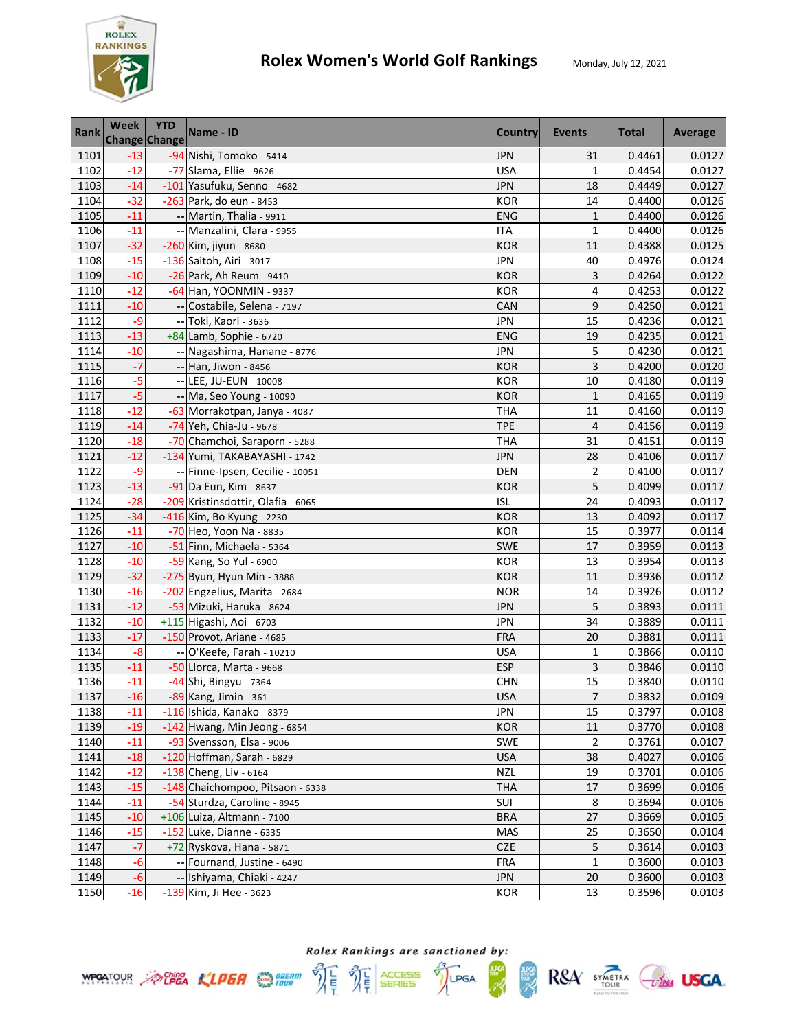

| Rank | Week  | <b>YTD</b><br>Change Change | Name - ID                          | <b>Country</b> | Events                  | <b>Total</b> | Average |
|------|-------|-----------------------------|------------------------------------|----------------|-------------------------|--------------|---------|
| 1101 | $-13$ |                             | -94 Nishi, Tomoko - 5414           | <b>JPN</b>     | 31                      | 0.4461       | 0.0127  |
| 1102 | $-12$ |                             | -77 Slama, Ellie - 9626            | <b>USA</b>     | $\mathbf{1}$            | 0.4454       | 0.0127  |
| 1103 | $-14$ |                             | -101 Yasufuku, Senno - 4682        | <b>JPN</b>     | 18                      | 0.4449       | 0.0127  |
| 1104 | $-32$ |                             | -263 Park, do eun - 8453           | <b>KOR</b>     | 14                      | 0.4400       | 0.0126  |
| 1105 | $-11$ |                             | -- Martin, Thalia - 9911           | <b>ENG</b>     | $\mathbf{1}$            | 0.4400       | 0.0126  |
| 1106 | $-11$ |                             | -- Manzalini, Clara - 9955         | <b>ITA</b>     | $\mathbf{1}$            | 0.4400       | 0.0126  |
| 1107 | $-32$ |                             | $-260$ Kim, jiyun - 8680           | <b>KOR</b>     | 11                      | 0.4388       | 0.0125  |
| 1108 | $-15$ |                             | -136 Saitoh, Airi - 3017           | <b>JPN</b>     | 40                      | 0.4976       | 0.0124  |
| 1109 | $-10$ |                             | -26 Park, Ah Reum - 9410           | <b>KOR</b>     | 3                       | 0.4264       | 0.0122  |
| 1110 | $-12$ |                             | -64 Han, YOONMIN - 9337            | <b>KOR</b>     | 4                       | 0.4253       | 0.0122  |
| 1111 | $-10$ |                             | -- Costabile, Selena - 7197        | CAN            | 9                       | 0.4250       | 0.0121  |
| 1112 | $-9$  |                             | -- Toki, Kaori - 3636              | <b>JPN</b>     | 15                      | 0.4236       | 0.0121  |
| 1113 | $-13$ |                             | $+84$ Lamb, Sophie - 6720          | <b>ENG</b>     | 19                      | 0.4235       | 0.0121  |
| 1114 | $-10$ |                             | -- Nagashima, Hanane - 8776        | <b>JPN</b>     | 5                       | 0.4230       | 0.0121  |
| 1115 | $-7$  |                             | -- Han, Jiwon - 8456               | <b>KOR</b>     | 3                       | 0.4200       | 0.0120  |
| 1116 | $-5$  |                             | -- LEE, JU-EUN - 10008             | <b>KOR</b>     | 10                      | 0.4180       | 0.0119  |
| 1117 | $-5$  |                             | -- Ma, Seo Young - 10090           | <b>KOR</b>     | $\mathbf{1}$            | 0.4165       | 0.0119  |
| 1118 | $-12$ |                             | -63 Morrakotpan, Janya - 4087      | <b>THA</b>     | 11                      | 0.4160       | 0.0119  |
| 1119 | $-14$ |                             | -74 Yeh, Chia-Ju - 9678            | <b>TPE</b>     | $\overline{4}$          | 0.4156       | 0.0119  |
| 1120 | $-18$ |                             | -70 Chamchoi, Saraporn - 5288      | <b>THA</b>     | 31                      | 0.4151       | 0.0119  |
| 1121 | $-12$ |                             | -134 Yumi, TAKABAYASHI - 1742      | <b>JPN</b>     | 28                      | 0.4106       | 0.0117  |
| 1122 | $-9$  |                             | -- Finne-Ipsen, Cecilie - 10051    | <b>DEN</b>     | $\overline{2}$          | 0.4100       | 0.0117  |
| 1123 | $-13$ |                             | -91 Da Eun, Kim - 8637             | <b>KOR</b>     | 5                       | 0.4099       | 0.0117  |
| 1124 | $-28$ |                             | -209 Kristinsdottir, Olafia - 6065 | ISL            | 24                      | 0.4093       | 0.0117  |
| 1125 | $-34$ |                             | -416 Kim, Bo Kyung - 2230          | <b>KOR</b>     | 13                      | 0.4092       | 0.0117  |
| 1126 | $-11$ |                             | -70 Heo, Yoon Na - 8835            | <b>KOR</b>     | 15                      | 0.3977       | 0.0114  |
| 1127 | $-10$ |                             | -51 Finn, Michaela - 5364          | <b>SWE</b>     | 17                      | 0.3959       | 0.0113  |
| 1128 | $-10$ |                             | -59 Kang, So Yul - 6900            | <b>KOR</b>     | 13                      | 0.3954       | 0.0113  |
| 1129 | $-32$ |                             | -275 Byun, Hyun Min - 3888         | <b>KOR</b>     | 11                      | 0.3936       | 0.0112  |
| 1130 | $-16$ |                             | -202 Engzelius, Marita - 2684      | <b>NOR</b>     | 14                      | 0.3926       | 0.0112  |
| 1131 | $-12$ |                             | -53 Mizuki, Haruka - 8624          | <b>JPN</b>     | 5                       | 0.3893       | 0.0111  |
| 1132 | $-10$ |                             | +115 Higashi, Aoi - 6703           | <b>JPN</b>     | 34                      | 0.3889       | 0.0111  |
| 1133 | $-17$ |                             | -150 Provot, Ariane - 4685         | <b>FRA</b>     | 20                      | 0.3881       | 0.0111  |
| 1134 | $-8$  |                             | -- O'Keefe, Farah - 10210          | <b>USA</b>     | $\mathbf{1}$            | 0.3866       | 0.0110  |
| 1135 | $-11$ |                             | -50 Llorca, Marta - 9668           | <b>ESP</b>     | 3                       | 0.3846       | 0.0110  |
| 1136 | $-11$ |                             | -44 Shi, Bingyu - 7364             | <b>CHN</b>     | 15                      | 0.3840       | 0.0110  |
| 1137 | $-16$ |                             | -89 Kang, Jimin - 361              | <b>USA</b>     | $\overline{z}$          | 0.3832       | 0.0109  |
| 1138 | $-11$ |                             | -116 Ishida, Kanako - 8379         | <b>JPN</b>     | 15                      | 0.3797       | 0.0108  |
| 1139 | $-19$ |                             | -142 Hwang, Min Jeong - 6854       | <b>KOR</b>     | 11                      | 0.3770       | 0.0108  |
| 1140 | $-11$ |                             | -93 Svensson, Elsa - 9006          | SWE            | $\overline{\mathbf{c}}$ | 0.3761       | 0.0107  |
| 1141 | $-18$ |                             | $-120$ Hoffman, Sarah - 6829       | <b>USA</b>     | 38                      | 0.4027       | 0.0106  |
| 1142 | $-12$ |                             | $-138$ Cheng, Liv - 6164           | <b>NZL</b>     | 19                      | 0.3701       | 0.0106  |
| 1143 | $-15$ |                             | -148 Chaichompoo, Pitsaon - 6338   | <b>THA</b>     | 17                      | 0.3699       | 0.0106  |
| 1144 | $-11$ |                             | -54 Sturdza, Caroline - 8945       | SUI            | 8                       | 0.3694       | 0.0106  |
| 1145 | $-10$ |                             | +106 Luiza, Altmann - 7100         | <b>BRA</b>     | 27                      | 0.3669       | 0.0105  |
| 1146 | $-15$ |                             | -152 Luke, Dianne - 6335           | <b>MAS</b>     | 25                      | 0.3650       | 0.0104  |
| 1147 | $-7$  |                             | +72 Ryskova, Hana - 5871           | CZE            | 5                       | 0.3614       | 0.0103  |
| 1148 | $-6$  |                             | -- Fournand, Justine - 6490        | <b>FRA</b>     | $\mathbf{1}$            | 0.3600       | 0.0103  |
| 1149 | $-6$  |                             | -- Ishiyama, Chiaki - 4247         | <b>JPN</b>     | 20                      | 0.3600       | 0.0103  |
| 1150 | $-16$ |                             | -139 Kim, Ji Hee - 3623            | <b>KOR</b>     | 13                      | 0.3596       | 0.0103  |

**ANG**<br>SEBRE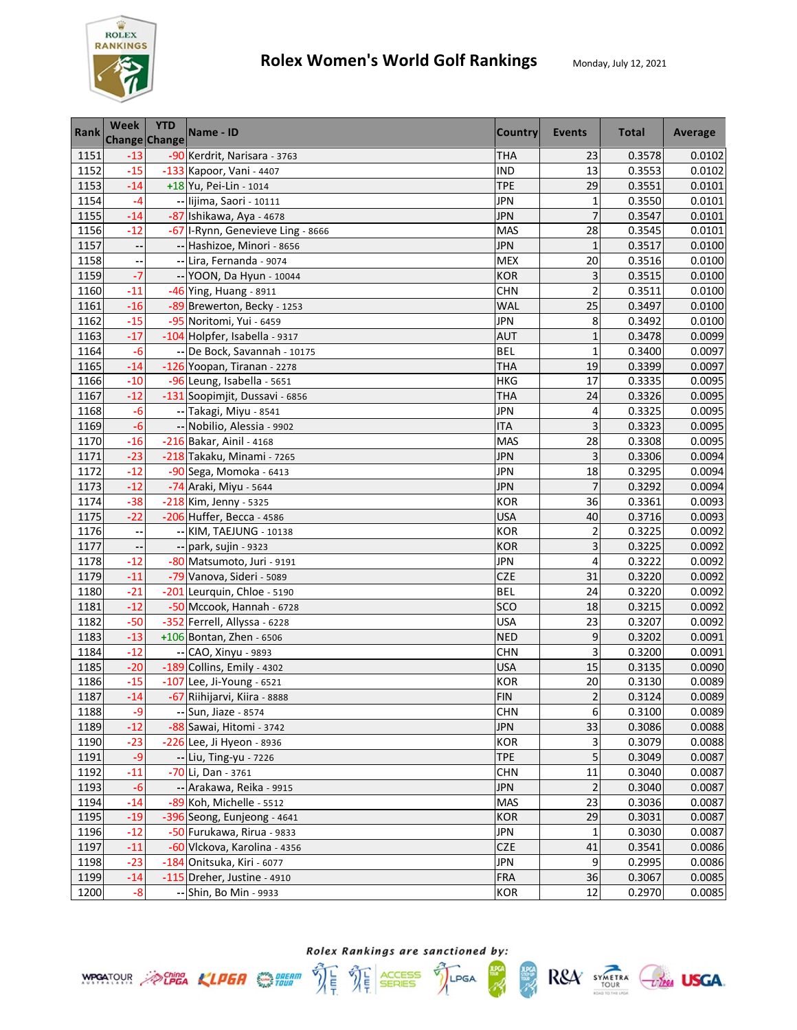

| <b>Rank</b> | Week                     | <b>YTD</b><br>Change Change | Name - ID                         | <b>Country</b> | <b>Events</b>  | <b>Total</b> | Average |
|-------------|--------------------------|-----------------------------|-----------------------------------|----------------|----------------|--------------|---------|
| 1151        | $-13$                    |                             | -90 Kerdrit, Narisara - 3763      | <b>THA</b>     | 23             | 0.3578       | 0.0102  |
| 1152        | $-15$                    |                             | -133 Kapoor, Vani - 4407          | <b>IND</b>     | 13             | 0.3553       | 0.0102  |
| 1153        | $-14$                    |                             | +18 Yu, Pei-Lin - 1014            | <b>TPE</b>     | 29             | 0.3551       | 0.0101  |
| 1154        | $-4$                     |                             | -- lijima, Saori - 10111          | <b>JPN</b>     | $\mathbf{1}$   | 0.3550       | 0.0101  |
| 1155        | $-14$                    |                             | -87 Ishikawa, Aya - 4678          | <b>JPN</b>     | 7              | 0.3547       | 0.0101  |
| 1156        | $-12$                    |                             | -67 I-Rynn, Genevieve Ling - 8666 | <b>MAS</b>     | 28             | 0.3545       | 0.0101  |
| 1157        | $\overline{\phantom{a}}$ |                             | -- Hashizoe, Minori - 8656        | <b>JPN</b>     | $\mathbf{1}$   | 0.3517       | 0.0100  |
| 1158        |                          |                             | -- Lira, Fernanda - 9074          | <b>MEX</b>     | 20             | 0.3516       | 0.0100  |
| 1159        | $-7$                     |                             | -- YOON, Da Hyun - 10044          | <b>KOR</b>     | 3              | 0.3515       | 0.0100  |
| 1160        | $-11$                    |                             | -46 Ying, Huang - 8911            | <b>CHN</b>     | $\overline{c}$ | 0.3511       | 0.0100  |
| 1161        | $-16$                    |                             | -89 Brewerton, Becky - 1253       | <b>WAL</b>     | 25             | 0.3497       | 0.0100  |
| 1162        | $-15$                    |                             | -95 Noritomi, Yui - 6459          | <b>JPN</b>     | 8              | 0.3492       | 0.0100  |
| 1163        | $-17$                    |                             | -104 Holpfer, Isabella - 9317     | <b>AUT</b>     | $\mathbf{1}$   | 0.3478       | 0.0099  |
| 1164        | $-6$                     |                             | -- De Bock, Savannah - 10175      | <b>BEL</b>     | $\mathbf{1}$   | 0.3400       | 0.0097  |
| 1165        | $-14$                    |                             | -126 Yoopan, Tiranan - 2278       | <b>THA</b>     | 19             | 0.3399       | 0.0097  |
| 1166        | $-10$                    |                             | -96 Leung, Isabella - 5651        | <b>HKG</b>     | 17             | 0.3335       | 0.0095  |
| 1167        | $-12$                    |                             | -131 Soopimjit, Dussavi - 6856    | <b>THA</b>     | 24             | 0.3326       | 0.0095  |
| 1168        | $-6$                     |                             | -- Takagi, Miyu - 8541            | <b>JPN</b>     | 4              | 0.3325       | 0.0095  |
| 1169        | $-6$                     |                             | -- Nobilio, Alessia - 9902        | <b>ITA</b>     | 3              | 0.3323       | 0.0095  |
| 1170        | $-16$                    |                             | -216 Bakar, Ainil - 4168          | <b>MAS</b>     | 28             | 0.3308       | 0.0095  |
| 1171        | $-23$                    |                             | -218 Takaku, Minami - 7265        | JPN            | 3              | 0.3306       | 0.0094  |
| 1172        | $-12$                    |                             | -90 Sega, Momoka - 6413           | <b>JPN</b>     | 18             | 0.3295       | 0.0094  |
| 1173        | $-12$                    |                             | -74 Araki, Miyu - 5644            | <b>JPN</b>     | $\overline{7}$ | 0.3292       | 0.0094  |
| 1174        | $-38$                    |                             | -218 Kim, Jenny - 5325            | <b>KOR</b>     | 36             | 0.3361       | 0.0093  |
| 1175        | $-22$                    |                             | -206 Huffer, Becca - 4586         | <b>USA</b>     | 40             | 0.3716       | 0.0093  |
| 1176        | $\overline{\phantom{a}}$ |                             | -- KIM, TAEJUNG - 10138           | <b>KOR</b>     | 2              | 0.3225       | 0.0092  |
| 1177        | ٠.                       |                             | -- park, sujin - 9323             | <b>KOR</b>     | 3              | 0.3225       | 0.0092  |
| 1178        | $-12$                    |                             | -80 Matsumoto, Juri - 9191        | <b>JPN</b>     | 4              | 0.3222       | 0.0092  |
| 1179        | $-11$                    |                             | -79 Vanova, Sideri - 5089         | <b>CZE</b>     | 31             | 0.3220       | 0.0092  |
| 1180        | $-21$                    |                             | -201 Leurquin, Chloe - 5190       | <b>BEL</b>     | 24             | 0.3220       | 0.0092  |
| 1181        | $-12$                    |                             | -50 Mccook, Hannah - 6728         | SCO            | 18             | 0.3215       | 0.0092  |
| 1182        | $-50$                    |                             | -352 Ferrell, Allyssa - 6228      | <b>USA</b>     | 23             | 0.3207       | 0.0092  |
| 1183        | $-13$                    |                             | +106 Bontan, Zhen - 6506          | <b>NED</b>     | 9              | 0.3202       | 0.0091  |
| 1184        | $-12$                    |                             | -- CAO, Xinyu - 9893              | <b>CHN</b>     | 3              | 0.3200       | 0.0091  |
| 1185        | $-20$                    |                             | -189 Collins, Emily - 4302        | <b>USA</b>     | 15             | 0.3135       | 0.0090  |
| 1186        | $-15$                    |                             | -107 Lee, Ji-Young - 6521         | <b>KOR</b>     | 20             | 0.3130       | 0.0089  |
| 1187        | $-14$                    |                             | -67 Riihijarvi, Kiira - 8888      | <b>FIN</b>     | $\overline{2}$ | 0.3124       | 0.0089  |
| 1188        | $-9$                     |                             | -- Sun, Jiaze - 8574              | <b>CHN</b>     | 6              | 0.3100       | 0.0089  |
| 1189        | $-12$                    |                             | -88 Sawai, Hitomi - 3742          | <b>JPN</b>     | 33             | 0.3086       | 0.0088  |
| 1190        | $-23$                    |                             | -226 Lee, Ji Hyeon - 8936         | <b>KOR</b>     | 3              | 0.3079       | 0.0088  |
| 1191        | $-9$                     |                             | -- Liu, Ting-yu - 7226            | <b>TPE</b>     | 5              | 0.3049       | 0.0087  |
| 1192        | $-11$                    |                             | -70 Li, Dan - 3761                | <b>CHN</b>     | 11             | 0.3040       | 0.0087  |
| 1193        | $-6$                     |                             | -- Arakawa, Reika - 9915          | <b>JPN</b>     | $\overline{2}$ | 0.3040       | 0.0087  |
| 1194        | $-14$                    |                             | -89 Koh, Michelle - 5512          | <b>MAS</b>     | 23             | 0.3036       | 0.0087  |
| 1195        | $-19$                    |                             | -396 Seong, Eunjeong - 4641       | <b>KOR</b>     | 29             | 0.3031       | 0.0087  |
| 1196        | $-12$                    |                             | -50 Furukawa, Rirua - 9833        | <b>JPN</b>     | 1              | 0.3030       | 0.0087  |
| 1197        | $-11$                    |                             | -60 Vlckova, Karolina - 4356      | <b>CZE</b>     | 41             | 0.3541       | 0.0086  |
| 1198        | $-23$                    |                             | -184 Onitsuka, Kiri - 6077        | <b>JPN</b>     | 9              | 0.2995       | 0.0086  |
| 1199        | $-14$                    |                             | $-115$ Dreher, Justine - 4910     | <b>FRA</b>     | 36             | 0.3067       | 0.0085  |
| 1200        | $-8$                     |                             | -- Shin, Bo Min - 9933            | <b>KOR</b>     | 12             | 0.2970       | 0.0085  |





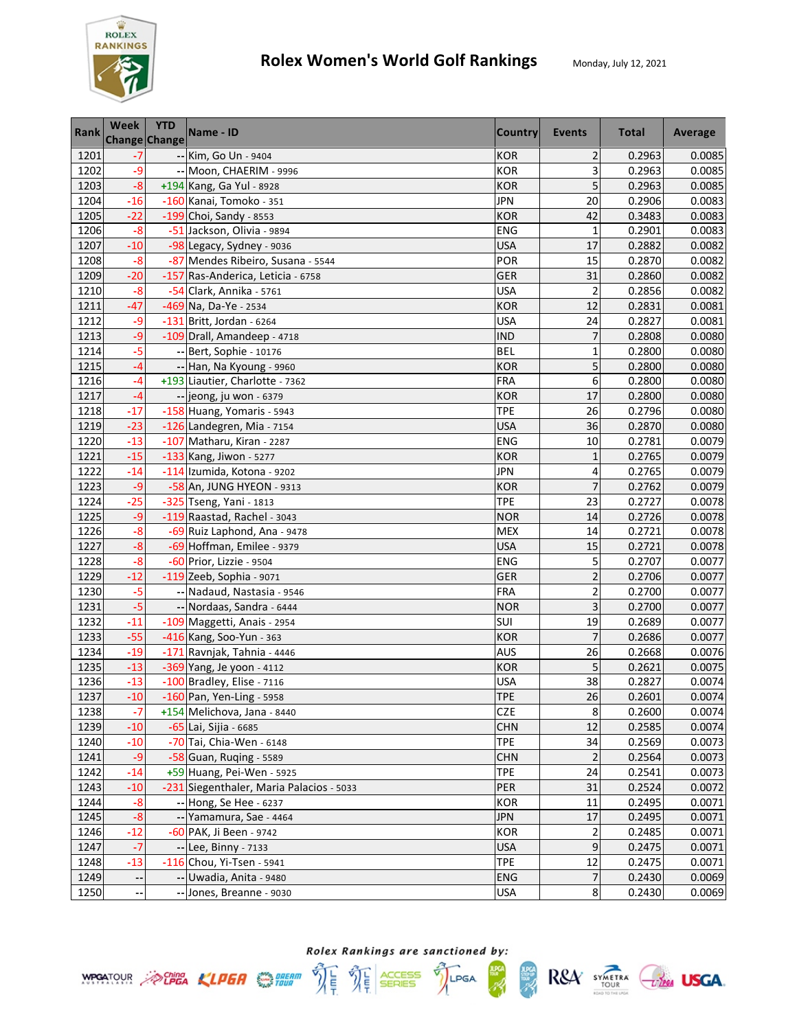

| <b>Rank</b> | Week  | <b>YTD</b><br><b>Change Change</b> | Name - ID                                | <b>Country</b> | Events                  | <b>Total</b> | Average |
|-------------|-------|------------------------------------|------------------------------------------|----------------|-------------------------|--------------|---------|
| 1201        | -7    |                                    | -- Kim, Go Un - 9404                     | <b>KOR</b>     | $\overline{\mathbf{c}}$ | 0.2963       | 0.0085  |
| 1202        | $-9$  |                                    | -- Moon, CHAERIM - 9996                  | <b>KOR</b>     | 3                       | 0.2963       | 0.0085  |
| 1203        | $-8$  |                                    | +194 Kang, Ga Yul - 8928                 | <b>KOR</b>     | 5                       | 0.2963       | 0.0085  |
| 1204        | $-16$ |                                    | -160 Kanai, Tomoko - 351                 | <b>JPN</b>     | 20                      | 0.2906       | 0.0083  |
| 1205        | $-22$ |                                    | $-199$ Choi, Sandy - 8553                | <b>KOR</b>     | 42                      | 0.3483       | 0.0083  |
| 1206        | $-8$  |                                    | -51 Jackson, Olivia - 9894               | ENG            | $\mathbf{1}$            | 0.2901       | 0.0083  |
| 1207        | $-10$ |                                    | -98 Legacy, Sydney - 9036                | <b>USA</b>     | 17                      | 0.2882       | 0.0082  |
| 1208        | $-8$  |                                    | -87 Mendes Ribeiro, Susana - 5544        | POR            | 15                      | 0.2870       | 0.0082  |
| 1209        | $-20$ |                                    | -157 Ras-Anderica, Leticia - 6758        | <b>GER</b>     | 31                      | 0.2860       | 0.0082  |
| 1210        | $-8$  |                                    | -54 Clark, Annika - 5761                 | <b>USA</b>     | $\overline{\mathbf{c}}$ | 0.2856       | 0.0082  |
| 1211        | $-47$ |                                    | -469 Na, Da-Ye - 2534                    | <b>KOR</b>     | 12                      | 0.2831       | 0.0081  |
| 1212        | $-9$  |                                    | $-131$ Britt, Jordan - 6264              | <b>USA</b>     | 24                      | 0.2827       | 0.0081  |
| 1213        | $-9$  |                                    | -109 Drall, Amandeep - 4718              | <b>IND</b>     | 7                       | 0.2808       | 0.0080  |
| 1214        | $-5$  |                                    | -- Bert, Sophie - 10176                  | <b>BEL</b>     | $\mathbf{1}$            | 0.2800       | 0.0080  |
| 1215        | $-4$  |                                    | -- Han, Na Kyoung - 9960                 | <b>KOR</b>     | 5                       | 0.2800       | 0.0080  |
| 1216        | $-4$  |                                    | +193 Liautier, Charlotte - 7362          | <b>FRA</b>     | 6                       | 0.2800       | 0.0080  |
| 1217        | $-4$  |                                    | -- jeong, ju won - 6379                  | <b>KOR</b>     | 17                      | 0.2800       | 0.0080  |
| 1218        | $-17$ |                                    | -158 Huang, Yomaris - 5943               | <b>TPE</b>     | 26                      | 0.2796       | 0.0080  |
| 1219        | $-23$ |                                    | $-126$ Landegren, Mia - 7154             | <b>USA</b>     | 36                      | 0.2870       | 0.0080  |
| 1220        | $-13$ |                                    | -107 Matharu, Kiran - 2287               | <b>ENG</b>     | 10                      | 0.2781       | 0.0079  |
| 1221        | $-15$ |                                    | $-133$ Kang, Jiwon - 5277                | <b>KOR</b>     | $\mathbf{1}$            | 0.2765       | 0.0079  |
| 1222        | $-14$ |                                    | -114 Izumida, Kotona - 9202              | JPN            | 4                       | 0.2765       | 0.0079  |
| 1223        | $-9$  |                                    | -58 An, JUNG HYEON - 9313                | <b>KOR</b>     | $\overline{7}$          | 0.2762       | 0.0079  |
| 1224        | $-25$ |                                    | -325 Tseng, Yani - 1813                  | <b>TPE</b>     | 23                      | 0.2727       | 0.0078  |
| 1225        | $-9$  |                                    | -119 Raastad, Rachel - 3043              | <b>NOR</b>     | 14                      | 0.2726       | 0.0078  |
| 1226        | $-8$  |                                    | -69 Ruiz Laphond, Ana - 9478             | <b>MEX</b>     | 14                      | 0.2721       | 0.0078  |
| 1227        | $-8$  |                                    | -69 Hoffman, Emilee - 9379               | <b>USA</b>     | 15                      | 0.2721       | 0.0078  |
| 1228        | $-8$  |                                    | -60 Prior, Lizzie - 9504                 | ENG            | 5                       | 0.2707       | 0.0077  |
| 1229        | $-12$ |                                    | $-119$ Zeeb, Sophia - 9071               | <b>GER</b>     | $\overline{\mathbf{c}}$ | 0.2706       | 0.0077  |
| 1230        | $-5$  |                                    | -- Nadaud, Nastasia - 9546               | <b>FRA</b>     | $\overline{c}$          | 0.2700       | 0.0077  |
| 1231        | $-5$  |                                    | -- Nordaas, Sandra - 6444                | <b>NOR</b>     | 3                       | 0.2700       | 0.0077  |
| 1232        | $-11$ |                                    | -109 Maggetti, Anais - 2954              | SUI            | 19                      | 0.2689       | 0.0077  |
| 1233        | $-55$ |                                    | -416 Kang, Soo-Yun - 363                 | <b>KOR</b>     | $\overline{7}$          | 0.2686       | 0.0077  |
| 1234        | $-19$ |                                    | -171 Ravnjak, Tahnia - 4446              | AUS            | 26                      | 0.2668       | 0.0076  |
| 1235        | $-13$ |                                    | -369 Yang, Je yoon - 4112                | <b>KOR</b>     | 5                       | 0.2621       | 0.0075  |
| 1236        | $-13$ |                                    | -100 Bradley, Elise - 7116               | USA            | 38                      | 0.2827       | 0.0074  |
| 1237        | $-10$ |                                    | -160 Pan, Yen-Ling - 5958                | <b>TPE</b>     | 26                      | 0.2601       | 0.0074  |
| 1238        | $-7$  |                                    | +154 Melichova, Jana - 8440              | <b>CZE</b>     | $\bf 8$                 | 0.2600       | 0.0074  |
| 1239        | $-10$ |                                    | -65 Lai, Sijia - 6685                    | <b>CHN</b>     | 12                      | 0.2585       | 0.0074  |
| 1240        | $-10$ |                                    | -70 Tai, Chia-Wen - 6148                 | <b>TPE</b>     | 34                      | 0.2569       | 0.0073  |
| 1241        | $-9$  |                                    | $-58$ Guan, Ruging - 5589                | <b>CHN</b>     | $\overline{2}$          | 0.2564       | 0.0073  |
| 1242        | $-14$ |                                    | +59 Huang, Pei-Wen - 5925                | <b>TPE</b>     | 24                      | 0.2541       | 0.0073  |
| 1243        | $-10$ |                                    | -231 Siegenthaler, Maria Palacios - 5033 | PER            | 31                      | 0.2524       | 0.0072  |
| 1244        | $-8$  |                                    | -- Hong, Se Hee - 6237                   | <b>KOR</b>     | 11                      | 0.2495       | 0.0071  |
| 1245        | $-8$  |                                    | -- Yamamura, Sae - 4464                  | <b>JPN</b>     | 17                      | 0.2495       | 0.0071  |
| 1246        | $-12$ |                                    | -60 PAK, Ji Been - 9742                  | <b>KOR</b>     | $\overline{\mathbf{c}}$ | 0.2485       | 0.0071  |
| 1247        | $-7$  |                                    | -- Lee, Binny - 7133                     | <b>USA</b>     | 9                       | 0.2475       | 0.0071  |
| 1248        | $-13$ |                                    | $-116$ Chou, Yi-Tsen - 5941              | <b>TPE</b>     | 12                      | 0.2475       | 0.0071  |
| 1249        | --    |                                    | -- Uwadia, Anita - 9480                  | ENG            | $\overline{7}$          | 0.2430       | 0.0069  |
| 1250        |       |                                    | -- Jones, Breanne - 9030                 | <b>USA</b>     | 8                       | 0.2430       | 0.0069  |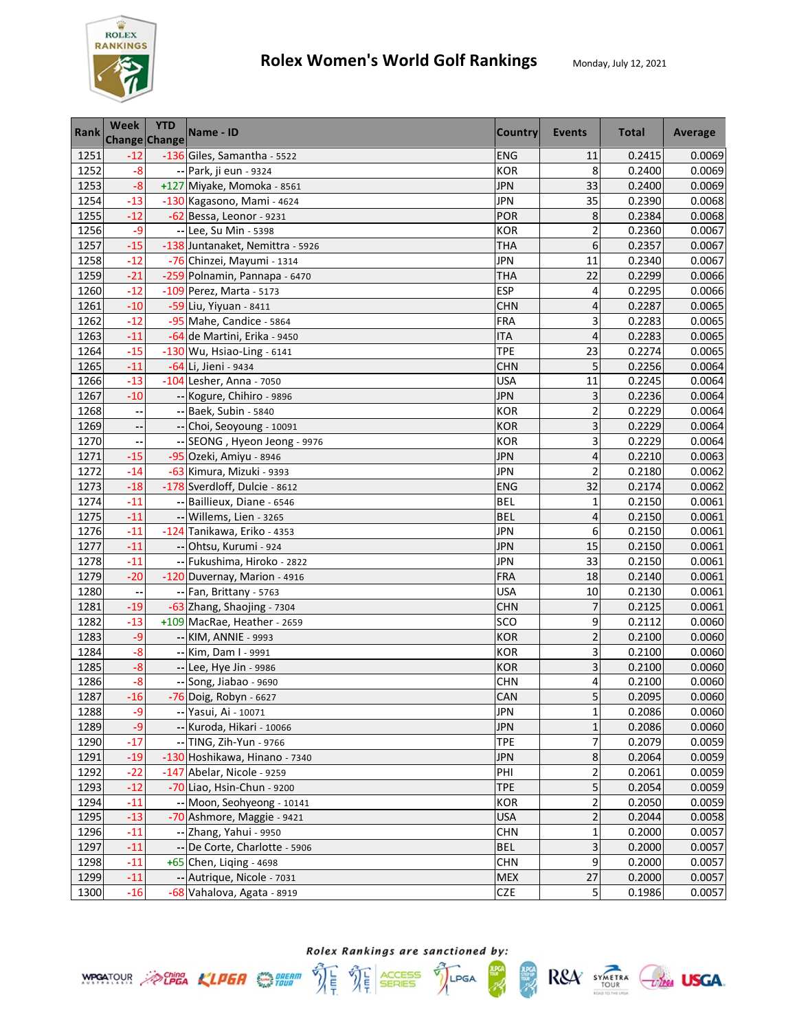

| Rank | Week                     | <b>YTD</b><br><b>Change Change</b> | Name - ID                        | <b>Country</b> | Events                  | <b>Total</b> | Average |
|------|--------------------------|------------------------------------|----------------------------------|----------------|-------------------------|--------------|---------|
| 1251 | $-12$                    |                                    | -136 Giles, Samantha - 5522      | <b>ENG</b>     | 11                      | 0.2415       | 0.0069  |
| 1252 | $-8$                     |                                    | -- Park, ji eun - 9324           | <b>KOR</b>     | 8                       | 0.2400       | 0.0069  |
| 1253 | $-8$                     |                                    | +127 Miyake, Momoka - 8561       | <b>JPN</b>     | 33                      | 0.2400       | 0.0069  |
| 1254 | $-13$                    |                                    | -130 Kagasono, Mami - 4624       | <b>JPN</b>     | 35                      | 0.2390       | 0.0068  |
| 1255 | $-12$                    |                                    | $-62$ Bessa, Leonor - 9231       | POR            | 8                       | 0.2384       | 0.0068  |
| 1256 | -9                       |                                    | -- Lee, Su Min - 5398            | <b>KOR</b>     | $\overline{c}$          | 0.2360       | 0.0067  |
| 1257 | $-15$                    |                                    | -138 Juntanaket, Nemittra - 5926 | THA            | 6                       | 0.2357       | 0.0067  |
| 1258 | $-12$                    |                                    | -76 Chinzei, Mayumi - 1314       | <b>JPN</b>     | 11                      | 0.2340       | 0.0067  |
| 1259 | $-21$                    |                                    | -259 Polnamin, Pannapa - 6470    | <b>THA</b>     | 22                      | 0.2299       | 0.0066  |
| 1260 | $-12$                    |                                    | -109 Perez, Marta - 5173         | <b>ESP</b>     | 4                       | 0.2295       | 0.0066  |
| 1261 | $-10$                    |                                    | -59 Liu, Yiyuan - 8411           | <b>CHN</b>     | 4                       | 0.2287       | 0.0065  |
| 1262 | $-12$                    |                                    | -95 Mahe, Candice - 5864         | <b>FRA</b>     | 3                       | 0.2283       | 0.0065  |
| 1263 | $-11$                    |                                    | -64 de Martini, Erika - 9450     | <b>ITA</b>     | 4                       | 0.2283       | 0.0065  |
| 1264 | $-15$                    |                                    | $-130$ Wu, Hsiao-Ling - 6141     | <b>TPE</b>     | 23                      | 0.2274       | 0.0065  |
| 1265 | $-11$                    |                                    | -64 Li, Jieni - 9434             | <b>CHN</b>     | 5                       | 0.2256       | 0.0064  |
| 1266 | $-13$                    |                                    | $-104$ Lesher, Anna - 7050       | <b>USA</b>     | 11                      | 0.2245       | 0.0064  |
| 1267 | $-10$                    |                                    | -- Kogure, Chihiro - 9896        | <b>JPN</b>     | 3                       | 0.2236       | 0.0064  |
| 1268 | --                       |                                    | -- Baek, Subin - 5840            | <b>KOR</b>     | $\overline{c}$          | 0.2229       | 0.0064  |
| 1269 | --                       |                                    | -- Choi, Seoyoung - 10091        | <b>KOR</b>     | 3                       | 0.2229       | 0.0064  |
| 1270 | ٠.                       |                                    | -- SEONG, Hyeon Jeong - 9976     | <b>KOR</b>     | 3                       | 0.2229       | 0.0064  |
| 1271 | $-15$                    |                                    | -95 Ozeki, Amiyu - 8946          | <b>JPN</b>     | 4                       | 0.2210       | 0.0063  |
| 1272 | $-14$                    |                                    | -63 Kimura, Mizuki - 9393        | JPN            | $\overline{c}$          | 0.2180       | 0.0062  |
| 1273 | $-18$                    |                                    | -178 Sverdloff, Dulcie - 8612    | <b>ENG</b>     | 32                      | 0.2174       | 0.0062  |
| 1274 | $-11$                    |                                    | -- Baillieux, Diane - 6546       | <b>BEL</b>     | $\mathbf{1}$            | 0.2150       | 0.0061  |
| 1275 | $-11$                    |                                    | -- Willems, Lien - 3265          | <b>BEL</b>     | 4                       | 0.2150       | 0.0061  |
| 1276 | $-11$                    |                                    | -124 Tanikawa, Eriko - 4353      | <b>JPN</b>     | 6                       | 0.2150       | 0.0061  |
| 1277 | $-11$                    |                                    | -- Ohtsu, Kurumi - 924           | <b>JPN</b>     | 15                      | 0.2150       | 0.0061  |
| 1278 | $-11$                    |                                    | -- Fukushima, Hiroko - 2822      | <b>JPN</b>     | 33                      | 0.2150       | 0.0061  |
| 1279 | $-20$                    |                                    | -120 Duvernay, Marion - 4916     | <b>FRA</b>     | 18                      | 0.2140       | 0.0061  |
| 1280 | $\overline{\phantom{a}}$ |                                    | -- Fan, Brittany - 5763          | <b>USA</b>     | 10                      | 0.2130       | 0.0061  |
| 1281 | $-19$                    |                                    | -63 Zhang, Shaojing - 7304       | <b>CHN</b>     | $\overline{7}$          | 0.2125       | 0.0061  |
| 1282 | $-13$                    |                                    | +109 MacRae, Heather - 2659      | SCO            | 9                       | 0.2112       | 0.0060  |
| 1283 | $-9$                     |                                    | -- KIM, ANNIE - 9993             | <b>KOR</b>     | $\overline{2}$          | 0.2100       | 0.0060  |
| 1284 | $-8$                     |                                    | -- Kim, Dam I - 9991             | <b>KOR</b>     | 3                       | 0.2100       | 0.0060  |
| 1285 | $-8$                     |                                    | -- Lee, Hye Jin - 9986           | <b>KOR</b>     | 3                       | 0.2100       | 0.0060  |
| 1286 | -8                       |                                    | -- Song, Jiabao - 9690           | <b>CHN</b>     | 4                       | 0.2100       | 0.0060  |
| 1287 | $-16$                    |                                    | -76 Doig, Robyn - 6627           | CAN            | 5                       | 0.2095       | 0.0060  |
| 1288 | $-9$                     |                                    | -- Yasui, Ai - 10071             | <b>JPN</b>     | $\mathbf 1$             | 0.2086       | 0.0060  |
| 1289 | $-9$                     |                                    | -- Kuroda, Hikari - 10066        | <b>JPN</b>     | $\mathbf{1}$            | 0.2086       | 0.0060  |
| 1290 | $-17$                    |                                    | -- TING, Zih-Yun - 9766          | <b>TPE</b>     | 7                       | 0.2079       | 0.0059  |
| 1291 | $-19$                    |                                    | -130 Hoshikawa, Hinano - 7340    | <b>JPN</b>     | 8                       | 0.2064       | 0.0059  |
| 1292 | $-22$                    |                                    | -147 Abelar, Nicole - 9259       | PHI            | $\overline{\mathbf{c}}$ | 0.2061       | 0.0059  |
| 1293 | $-12$                    |                                    | -70 Liao, Hsin-Chun - 9200       | <b>TPE</b>     | 5                       | 0.2054       | 0.0059  |
| 1294 | $-11$                    |                                    | -- Moon, Seohyeong - 10141       | <b>KOR</b>     | $\overline{\mathbf{c}}$ | 0.2050       | 0.0059  |
| 1295 | $-13$                    |                                    | -70 Ashmore, Maggie - 9421       | <b>USA</b>     | $\overline{\mathbf{c}}$ | 0.2044       | 0.0058  |
| 1296 | $-11$                    |                                    | -- Zhang, Yahui - 9950           | <b>CHN</b>     | 1                       | 0.2000       | 0.0057  |
| 1297 | $-11$                    |                                    | -- De Corte, Charlotte - 5906    | <b>BEL</b>     | 3                       | 0.2000       | 0.0057  |
| 1298 | $-11$                    |                                    | $+65$ Chen, Liging - 4698        | <b>CHN</b>     | 9                       | 0.2000       | 0.0057  |
| 1299 | $-11$                    |                                    | -- Autrique, Nicole - 7031       | <b>MEX</b>     | 27                      | 0.2000       | 0.0057  |
| 1300 | $-16$                    |                                    | -68 Vahalova, Agata - 8919       | <b>CZE</b>     | 5                       | 0.1986       | 0.0057  |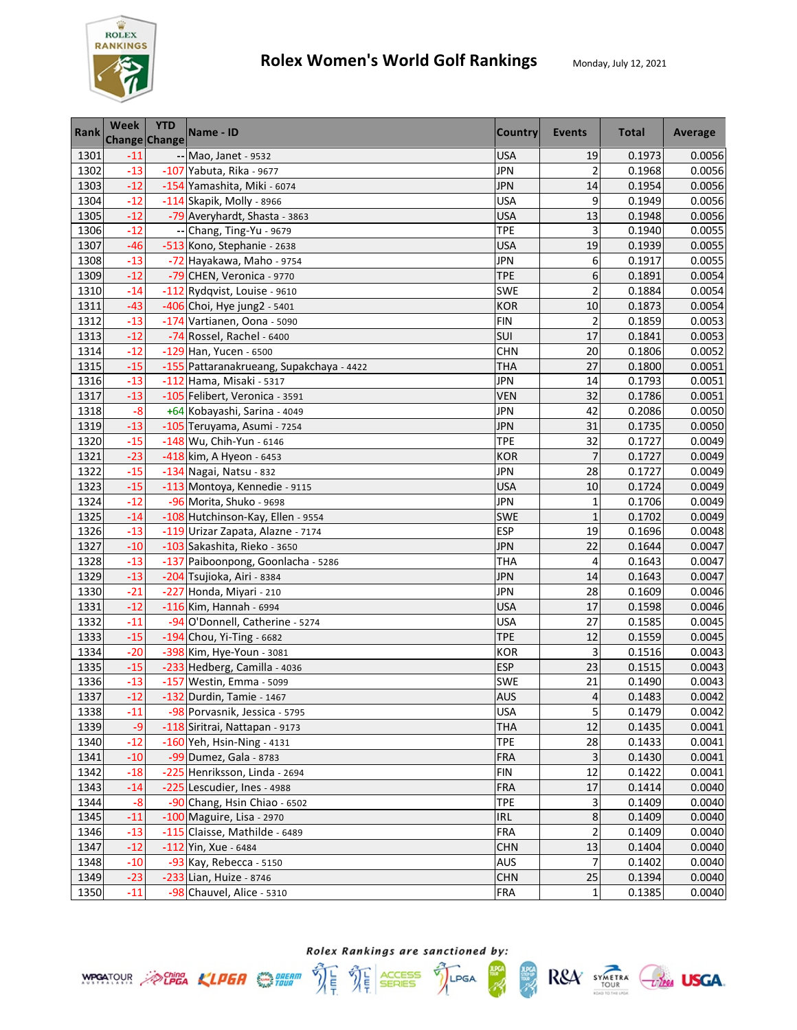

| <b>Rank</b> | Week  | <b>YTD</b><br><b>Change Change</b> | Name - ID                                | <b>Country</b> | Events                  | <b>Total</b> | Average |
|-------------|-------|------------------------------------|------------------------------------------|----------------|-------------------------|--------------|---------|
| 1301        | $-11$ |                                    | -- Mao, Janet - 9532                     | <b>USA</b>     | 19                      | 0.1973       | 0.0056  |
| 1302        | $-13$ |                                    | $-107$ Yabuta, Rika - 9677               | JPN            | $\overline{2}$          | 0.1968       | 0.0056  |
| 1303        | $-12$ |                                    | -154 Yamashita, Miki - 6074              | <b>JPN</b>     | 14                      | 0.1954       | 0.0056  |
| 1304        | $-12$ |                                    | $-114$ Skapik, Molly - 8966              | <b>USA</b>     | 9                       | 0.1949       | 0.0056  |
| 1305        | $-12$ |                                    | -79 Averyhardt, Shasta - 3863            | <b>USA</b>     | 13                      | 0.1948       | 0.0056  |
| 1306        | $-12$ |                                    | -- Chang, Ting-Yu - 9679                 | <b>TPE</b>     | 3                       | 0.1940       | 0.0055  |
| 1307        | $-46$ |                                    | -513 Kono, Stephanie - 2638              | <b>USA</b>     | 19                      | 0.1939       | 0.0055  |
| 1308        | $-13$ |                                    | -72 Hayakawa, Maho - 9754                | <b>JPN</b>     | 6                       | 0.1917       | 0.0055  |
| 1309        | $-12$ |                                    | -79 CHEN, Veronica - 9770                | <b>TPE</b>     | 6                       | 0.1891       | 0.0054  |
| 1310        | $-14$ |                                    | -112 Rydqvist, Louise - 9610             | SWE            | $\overline{c}$          | 0.1884       | 0.0054  |
| 1311        | $-43$ |                                    | -406 Choi, Hye jung2 - 5401              | <b>KOR</b>     | 10                      | 0.1873       | 0.0054  |
| 1312        | $-13$ |                                    | -174 Vartianen, Oona - 5090              | <b>FIN</b>     | $\overline{2}$          | 0.1859       | 0.0053  |
| 1313        | $-12$ |                                    | -74 Rossel, Rachel - 6400                | SUI            | 17                      | 0.1841       | 0.0053  |
| 1314        | $-12$ |                                    | $-129$ Han, Yucen - 6500                 | <b>CHN</b>     | 20                      | 0.1806       | 0.0052  |
| 1315        | $-15$ |                                    | -155 Pattaranakrueang, Supakchaya - 4422 | THA            | 27                      | 0.1800       | 0.0051  |
| 1316        | $-13$ |                                    | -112 Hama, Misaki - 5317                 | JPN            | 14                      | 0.1793       | 0.0051  |
| 1317        | $-13$ |                                    | -105 Felibert, Veronica - 3591           | <b>VEN</b>     | 32                      | 0.1786       | 0.0051  |
| 1318        | $-8$  |                                    | +64 Kobayashi, Sarina - 4049             | <b>JPN</b>     | 42                      | 0.2086       | 0.0050  |
| 1319        | $-13$ |                                    | -105 Teruyama, Asumi - 7254              | <b>JPN</b>     | 31                      | 0.1735       | 0.0050  |
| 1320        | $-15$ |                                    | -148 Wu, Chih-Yun - 6146                 | <b>TPE</b>     | 32                      | 0.1727       | 0.0049  |
| 1321        | $-23$ |                                    | -418 kim, A Hyeon - 6453                 | <b>KOR</b>     | $\overline{7}$          | 0.1727       | 0.0049  |
| 1322        | $-15$ |                                    | $-134$ Nagai, Natsu - 832                | JPN            | 28                      | 0.1727       | 0.0049  |
| 1323        | $-15$ |                                    | -113 Montoya, Kennedie - 9115            | <b>USA</b>     | 10                      | 0.1724       | 0.0049  |
| 1324        | $-12$ |                                    | -96 Morita, Shuko - 9698                 | <b>JPN</b>     | $\mathbf{1}$            | 0.1706       | 0.0049  |
| 1325        | $-14$ |                                    | -108 Hutchinson-Kay, Ellen - 9554        | <b>SWE</b>     | $\mathbf{1}$            | 0.1702       | 0.0049  |
| 1326        | $-13$ |                                    | -119 Urizar Zapata, Alazne - 7174        | <b>ESP</b>     | 19                      | 0.1696       | 0.0048  |
| 1327        | $-10$ |                                    | -103 Sakashita, Rieko - 3650             | <b>JPN</b>     | 22                      | 0.1644       | 0.0047  |
| 1328        | $-13$ |                                    | -137 Paiboonpong, Goonlacha - 5286       | <b>THA</b>     | 4                       | 0.1643       | 0.0047  |
| 1329        | $-13$ |                                    | -204 Tsujioka, Airi - 8384               | <b>JPN</b>     | 14                      | 0.1643       | 0.0047  |
| 1330        | $-21$ |                                    | -227 Honda, Miyari - 210                 | JPN            | 28                      | 0.1609       | 0.0046  |
| 1331        | $-12$ |                                    | $-116$ Kim, Hannah - 6994                | <b>USA</b>     | 17                      | 0.1598       | 0.0046  |
| 1332        | $-11$ |                                    | -94 O'Donnell, Catherine - 5274          | <b>USA</b>     | 27                      | 0.1585       | 0.0045  |
| 1333        | $-15$ |                                    | $-194$ Chou, Yi-Ting - 6682              | <b>TPE</b>     | 12                      | 0.1559       | 0.0045  |
| 1334        | $-20$ |                                    | -398 Kim, Hye-Youn - 3081                | <b>KOR</b>     | 3                       | 0.1516       | 0.0043  |
| 1335        | $-15$ |                                    | -233 Hedberg, Camilla - 4036             | <b>ESP</b>     | 23                      | 0.1515       | 0.0043  |
| 1336        | $-13$ |                                    | -157 Westin, Emma - 5099                 | <b>SWE</b>     | 21                      | 0.1490       | 0.0043  |
| 1337        | $-12$ |                                    | -132 Durdin, Tamie - 1467                | <b>AUS</b>     | $\overline{4}$          | 0.1483       | 0.0042  |
| 1338        | $-11$ |                                    | -98 Porvasnik, Jessica - 5795            | <b>USA</b>     | 5                       | 0.1479       | 0.0042  |
| 1339        | $-9$  |                                    | -118 Siritrai, Nattapan - 9173           | THA            | 12                      | 0.1435       | 0.0041  |
| 1340        | $-12$ |                                    | -160 Yeh, Hsin-Ning - 4131               | <b>TPE</b>     | 28                      | 0.1433       | 0.0041  |
| 1341        | $-10$ |                                    | -99 Dumez, Gala - 8783                   | <b>FRA</b>     | 3                       | 0.1430       | 0.0041  |
| 1342        | $-18$ |                                    | -225 Henriksson, Linda - 2694            | <b>FIN</b>     | 12                      | 0.1422       | 0.0041  |
| 1343        | $-14$ |                                    | -225 Lescudier, Ines - 4988              | <b>FRA</b>     | 17                      | 0.1414       | 0.0040  |
| 1344        | $-8$  |                                    | -90 Chang, Hsin Chiao - 6502             | <b>TPE</b>     | 3                       | 0.1409       | 0.0040  |
| 1345        | $-11$ |                                    | -100 Maguire, Lisa - 2970                | <b>IRL</b>     | 8                       | 0.1409       | 0.0040  |
| 1346        | $-13$ |                                    | -115 Claisse, Mathilde - 6489            | <b>FRA</b>     | $\overline{\mathbf{c}}$ | 0.1409       | 0.0040  |
| 1347        | $-12$ |                                    | $-112$ Yin, Xue - 6484                   | <b>CHN</b>     | 13                      | 0.1404       | 0.0040  |
| 1348        | $-10$ |                                    | -93 Kay, Rebecca - 5150                  | AUS            | 7                       | 0.1402       | 0.0040  |
| 1349        | $-23$ |                                    | -233 Lian, Huize - 8746                  | <b>CHN</b>     | 25                      | 0.1394       | 0.0040  |
| 1350        | $-11$ |                                    | -98 Chauvel, Alice - 5310                | FRA            | 1                       | 0.1385       | 0.0040  |



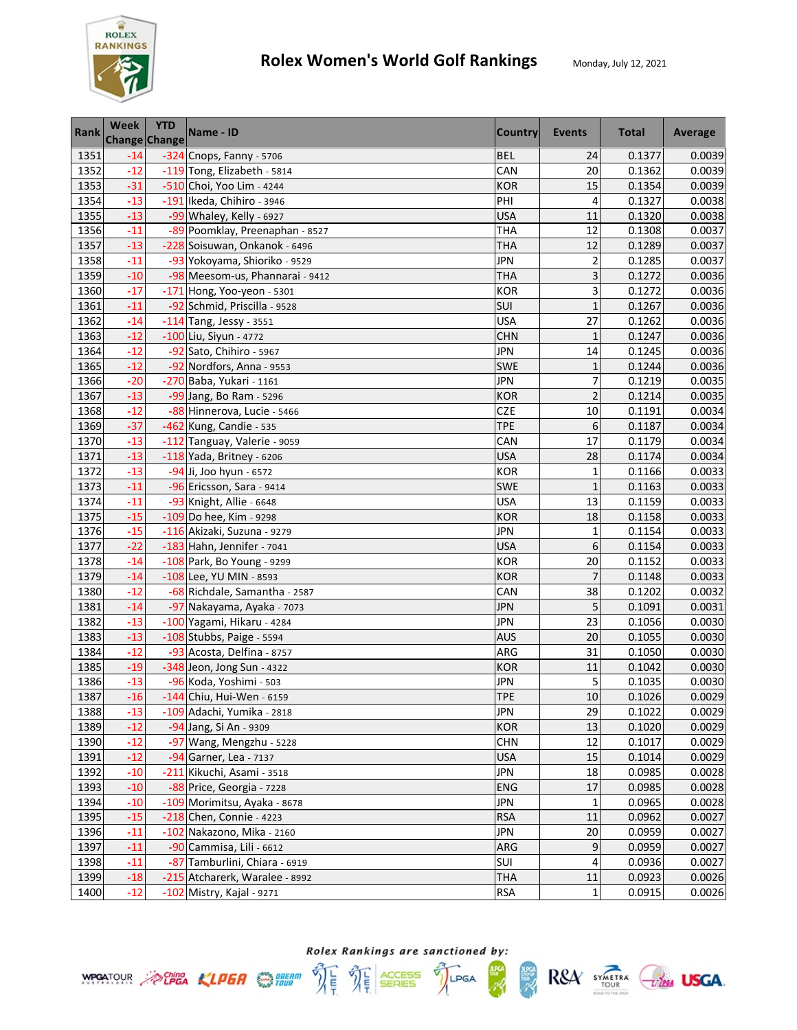

| <b>Rank</b> | <b>Week</b> | <b>YTD</b><br><b>Change Change</b> | Name - ID                       | <b>Country</b> | Events         | <b>Total</b> | Average |
|-------------|-------------|------------------------------------|---------------------------------|----------------|----------------|--------------|---------|
| 1351        | $-14$       |                                    | -324 Cnops, Fanny - 5706        | <b>BEL</b>     | 24             | 0.1377       | 0.0039  |
| 1352        | $-12$       |                                    | -119 Tong, Elizabeth - 5814     | CAN            | 20             | 0.1362       | 0.0039  |
| 1353        | $-31$       |                                    | -510 Choi, Yoo Lim - 4244       | <b>KOR</b>     | 15             | 0.1354       | 0.0039  |
| 1354        | $-13$       |                                    | -191 Ikeda, Chihiro - 3946      | PHI            | 4              | 0.1327       | 0.0038  |
| 1355        | $-13$       |                                    | -99 Whaley, Kelly - 6927        | <b>USA</b>     | 11             | 0.1320       | 0.0038  |
| 1356        | $-11$       |                                    | -89 Poomklay, Preenaphan - 8527 | THA            | 12             | 0.1308       | 0.0037  |
| 1357        | $-13$       |                                    | -228 Soisuwan, Onkanok - 6496   | THA            | 12             | 0.1289       | 0.0037  |
| 1358        | $-11$       |                                    | -93 Yokoyama, Shioriko - 9529   | JPN            | $\overline{c}$ | 0.1285       | 0.0037  |
| 1359        | $-10$       |                                    | -98 Meesom-us, Phannarai - 9412 | <b>THA</b>     | 3              | 0.1272       | 0.0036  |
| 1360        | $-17$       |                                    | -171 Hong, Yoo-yeon - 5301      | <b>KOR</b>     | 3              | 0.1272       | 0.0036  |
| 1361        | $-11$       |                                    | -92 Schmid, Priscilla - 9528    | SUI            | $\mathbf{1}$   | 0.1267       | 0.0036  |
| 1362        | $-14$       |                                    | $-114$ Tang, Jessy - 3551       | <b>USA</b>     | 27             | 0.1262       | 0.0036  |
| 1363        | $-12$       |                                    | $-100$ Liu, Siyun - 4772        | <b>CHN</b>     | $\mathbf{1}$   | 0.1247       | 0.0036  |
| 1364        | $-12$       |                                    | -92 Sato, Chihiro - 5967        | <b>JPN</b>     | 14             | 0.1245       | 0.0036  |
| 1365        | $-12$       |                                    | -92 Nordfors, Anna - 9553       | <b>SWE</b>     | $\mathbf{1}$   | 0.1244       | 0.0036  |
| 1366        | $-20$       |                                    | -270 Baba, Yukari - 1161        | <b>JPN</b>     | 7              | 0.1219       | 0.0035  |
| 1367        | $-13$       |                                    | -99 Jang, Bo Ram - 5296         | <b>KOR</b>     | $\overline{c}$ | 0.1214       | 0.0035  |
| 1368        | $-12$       |                                    | -88 Hinnerova, Lucie - 5466     | <b>CZE</b>     | 10             | 0.1191       | 0.0034  |
| 1369        | $-37$       |                                    | -462 Kung, Candie - 535         | <b>TPE</b>     | 6              | 0.1187       | 0.0034  |
| 1370        | $-13$       |                                    | -112 Tanguay, Valerie - 9059    | CAN            | 17             | 0.1179       | 0.0034  |
| 1371        | $-13$       |                                    | $-118$ Yada, Britney - 6206     | <b>USA</b>     | 28             | 0.1174       | 0.0034  |
| 1372        | $-13$       |                                    | -94 Ji, Joo hyun - 6572         | <b>KOR</b>     | $\mathbf{1}$   | 0.1166       | 0.0033  |
| 1373        | $-11$       |                                    | -96 Ericsson, Sara - 9414       | <b>SWE</b>     | $\mathbf{1}$   | 0.1163       | 0.0033  |
| 1374        | $-11$       |                                    | -93 Knight, Allie - 6648        | <b>USA</b>     | 13             | 0.1159       | 0.0033  |
| 1375        | $-15$       |                                    | -109 Do hee, Kim - 9298         | <b>KOR</b>     | 18             | 0.1158       | 0.0033  |
| 1376        | $-15$       |                                    | -116 Akizaki, Suzuna - 9279     | <b>JPN</b>     | $\mathbf{1}$   | 0.1154       | 0.0033  |
| 1377        | $-22$       |                                    | -183 Hahn, Jennifer - 7041      | <b>USA</b>     | 6              | 0.1154       | 0.0033  |
| 1378        | $-14$       |                                    | -108 Park, Bo Young - 9299      | <b>KOR</b>     | 20             | 0.1152       | 0.0033  |
| 1379        | $-14$       |                                    | -108 Lee, YU MIN - 8593         | <b>KOR</b>     | $\overline{7}$ | 0.1148       | 0.0033  |
| 1380        | $-12$       |                                    | -68 Richdale, Samantha - 2587   | CAN            | 38             | 0.1202       | 0.0032  |
| 1381        | $-14$       |                                    | -97 Nakayama, Ayaka - 7073      | <b>JPN</b>     | 5              | 0.1091       | 0.0031  |
| 1382        | $-13$       |                                    | -100 Yagami, Hikaru - 4284      | <b>JPN</b>     | 23             | 0.1056       | 0.0030  |
| 1383        | $-13$       |                                    | -108 Stubbs, Paige - 5594       | <b>AUS</b>     | 20             | 0.1055       | 0.0030  |
| 1384        | $-12$       |                                    | -93 Acosta, Delfina - 8757      | ARG            | 31             | 0.1050       | 0.0030  |
| 1385        | $-19$       |                                    | -348 Jeon, Jong Sun - 4322      | <b>KOR</b>     | 11             | 0.1042       | 0.0030  |
| 1386        | $-13$       |                                    | -96 Koda, Yoshimi - 503         | <b>JPN</b>     | 5              | 0.1035       | 0.0030  |
| 1387        | $-16$       |                                    | -144 Chiu, Hui-Wen - 6159       | <b>TPE</b>     | 10             | 0.1026       | 0.0029  |
| 1388        | $-13$       |                                    | -109 Adachi, Yumika - 2818      | <b>JPN</b>     | 29             | 0.1022       | 0.0029  |
| 1389        | $-12$       |                                    | -94 Jang, Si An - 9309          | <b>KOR</b>     | 13             | 0.1020       | 0.0029  |
| 1390        | $-12$       |                                    | -97 Wang, Mengzhu - 5228        | <b>CHN</b>     | 12             | 0.1017       | 0.0029  |
| 1391        | $-12$       |                                    | -94 Garner, Lea - 7137          | <b>USA</b>     | 15             | 0.1014       | 0.0029  |
| 1392        | $-10$       |                                    | -211 Kikuchi, Asami - 3518      | <b>JPN</b>     | 18             | 0.0985       | 0.0028  |
| 1393        | $-10$       |                                    | -88 Price, Georgia - 7228       | <b>ENG</b>     | 17             | 0.0985       | 0.0028  |
| 1394        | $-10$       |                                    | -109 Morimitsu, Ayaka - 8678    | <b>JPN</b>     | $\mathbf{1}$   | 0.0965       | 0.0028  |
| 1395        | $-15$       |                                    | $-218$ Chen, Connie - 4223      | <b>RSA</b>     | 11             | 0.0962       | 0.0027  |
| 1396        | $-11$       |                                    | -102 Nakazono, Mika - 2160      | <b>JPN</b>     | 20             | 0.0959       | 0.0027  |
| 1397        | $-11$       |                                    | -90 Cammisa, Lili - 6612        | ARG            | 9              | 0.0959       | 0.0027  |
| 1398        | $-11$       |                                    | -87 Tamburlini, Chiara - 6919   | SUI            | 4              | 0.0936       | 0.0027  |
| 1399        | $-18$       |                                    | -215 Atcharerk, Waralee - 8992  | <b>THA</b>     | 11             | 0.0923       | 0.0026  |
| 1400        | $-12$       |                                    | -102 Mistry, Kajal - 9271       | <b>RSA</b>     | $\mathbf{1}$   | 0.0915       | 0.0026  |





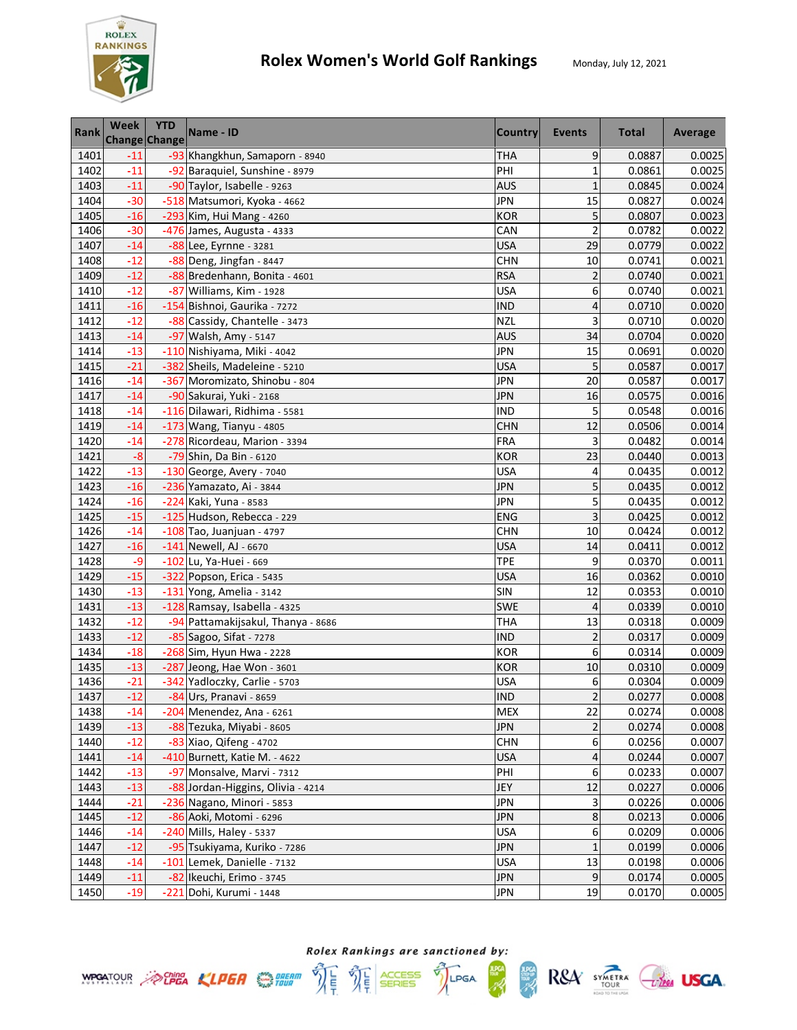

| <b>Rank</b> | Week  | <b>YTD</b><br><b>Change Change</b> | Name - ID                          | Country    | Events                   | <b>Total</b> | Average |
|-------------|-------|------------------------------------|------------------------------------|------------|--------------------------|--------------|---------|
| 1401        | $-11$ |                                    | -93 Khangkhun, Samaporn - 8940     | <b>THA</b> | 9                        | 0.0887       | 0.0025  |
| 1402        | $-11$ |                                    | -92 Baraquiel, Sunshine - 8979     | PHI        | $\overline{1}$           | 0.0861       | 0.0025  |
| 1403        | $-11$ |                                    | -90 Taylor, Isabelle - 9263        | <b>AUS</b> | $\mathbf{1}$             | 0.0845       | 0.0024  |
| 1404        | $-30$ |                                    | -518 Matsumori, Kyoka - 4662       | <b>JPN</b> | 15                       | 0.0827       | 0.0024  |
| 1405        | $-16$ |                                    | -293 Kim, Hui Mang - 4260          | <b>KOR</b> | 5                        | 0.0807       | 0.0023  |
| 1406        | $-30$ |                                    | -476 James, Augusta - 4333         | CAN        | $\overline{c}$           | 0.0782       | 0.0022  |
| 1407        | $-14$ |                                    | -88 Lee, Eyrnne - 3281             | <b>USA</b> | 29                       | 0.0779       | 0.0022  |
| 1408        | $-12$ |                                    | -88 Deng, Jingfan - 8447           | <b>CHN</b> | 10                       | 0.0741       | 0.0021  |
| 1409        | $-12$ |                                    | -88 Bredenhann, Bonita - 4601      | <b>RSA</b> | $\overline{2}$           | 0.0740       | 0.0021  |
| 1410        | $-12$ |                                    | -87 Williams, Kim - 1928           | <b>USA</b> | 6                        | 0.0740       | 0.0021  |
| 1411        | $-16$ |                                    | -154 Bishnoi, Gaurika - 7272       | <b>IND</b> | 4                        | 0.0710       | 0.0020  |
| 1412        | $-12$ |                                    | -88 Cassidy, Chantelle - 3473      | <b>NZL</b> | 3                        | 0.0710       | 0.0020  |
| 1413        | $-14$ |                                    | -97 Walsh, Amy - 5147              | AUS        | 34                       | 0.0704       | 0.0020  |
| 1414        | $-13$ |                                    | -110 Nishiyama, Miki - 4042        | <b>JPN</b> | 15                       | 0.0691       | 0.0020  |
| 1415        | $-21$ |                                    | -382 Sheils, Madeleine - 5210      | <b>USA</b> | 5                        | 0.0587       | 0.0017  |
| 1416        | $-14$ |                                    | -367 Moromizato, Shinobu - 804     | JPN        | 20                       | 0.0587       | 0.0017  |
| 1417        | $-14$ |                                    | -90 Sakurai, Yuki - 2168           | <b>JPN</b> | 16                       | 0.0575       | 0.0016  |
| 1418        | $-14$ |                                    | -116 Dilawari, Ridhima - 5581      | <b>IND</b> | 5                        | 0.0548       | 0.0016  |
| 1419        | $-14$ |                                    | $-173$ Wang, Tianyu - 4805         | <b>CHN</b> | 12                       | 0.0506       | 0.0014  |
| 1420        | $-14$ |                                    | -278 Ricordeau, Marion - 3394      | <b>FRA</b> | 3                        | 0.0482       | 0.0014  |
| 1421        | $-8$  |                                    | -79 Shin, Da Bin - 6120            | <b>KOR</b> | 23                       | 0.0440       | 0.0013  |
| 1422        | $-13$ |                                    | $-130$ George, Avery - 7040        | USA        | 4                        | 0.0435       | 0.0012  |
| 1423        | $-16$ |                                    | -236 Yamazato, Ai - 3844           | JPN        | 5                        | 0.0435       | 0.0012  |
| 1424        | $-16$ |                                    | -224 Kaki, Yuna - 8583             | <b>JPN</b> | 5                        | 0.0435       | 0.0012  |
| 1425        | $-15$ |                                    | -125 Hudson, Rebecca - 229         | <b>ENG</b> | 3                        | 0.0425       | 0.0012  |
| 1426        | $-14$ |                                    | $-108$ Tao, Juanjuan - 4797        | <b>CHN</b> | 10                       | 0.0424       | 0.0012  |
| 1427        | $-16$ |                                    | $-141$ Newell, AJ - 6670           | <b>USA</b> | 14                       | 0.0411       | 0.0012  |
| 1428        | $-9$  |                                    | -102 Lu, Ya-Huei - 669             | <b>TPE</b> | 9                        | 0.0370       | 0.0011  |
| 1429        | $-15$ |                                    | -322 Popson, Erica - 5435          | <b>USA</b> | 16                       | 0.0362       | 0.0010  |
| 1430        | $-13$ |                                    | $-131$ Yong, Amelia - 3142         | <b>SIN</b> | 12                       | 0.0353       | 0.0010  |
| 1431        | $-13$ |                                    | -128 Ramsay, Isabella - 4325       | <b>SWE</b> | $\overline{\mathcal{L}}$ | 0.0339       | 0.0010  |
| 1432        | $-12$ |                                    | -94 Pattamakijsakul, Thanya - 8686 | <b>THA</b> | 13                       | 0.0318       | 0.0009  |
| 1433        | $-12$ |                                    | -85 Sagoo, Sifat - 7278            | <b>IND</b> | $\overline{c}$           | 0.0317       | 0.0009  |
| 1434        | $-18$ |                                    | -268 Sim, Hyun Hwa - 2228          | <b>KOR</b> | 6                        | 0.0314       | 0.0009  |
| 1435        | $-13$ |                                    | -287 Jeong, Hae Won - 3601         | <b>KOR</b> | 10                       | 0.0310       | 0.0009  |
| 1436        | $-21$ |                                    | -342 Yadloczky, Carlie - 5703      | USA        | 6                        | 0.0304       | 0.0009  |
| 1437        | $-12$ |                                    | -84 Urs, Pranavi - 8659            | <b>IND</b> | $\overline{2}$           | 0.0277       | 0.0008  |
| 1438        | $-14$ |                                    | -204 Menendez, Ana - 6261          | <b>MEX</b> | 22                       | 0.0274       | 0.0008  |
| 1439        | $-13$ |                                    | -88 Tezuka, Miyabi - 8605          | <b>JPN</b> | 2                        | 0.0274       | 0.0008  |
| 1440        | $-12$ |                                    | -83 Xiao, Qifeng - 4702            | <b>CHN</b> | 6                        | 0.0256       | 0.0007  |
| 1441        | $-14$ |                                    | -410 Burnett, Katie M. - 4622      | <b>USA</b> | 4                        | 0.0244       | 0.0007  |
| 1442        | $-13$ |                                    | -97 Monsalve, Marvi - 7312         | PHI        | 6                        | 0.0233       | 0.0007  |
| 1443        | $-13$ |                                    | -88 Jordan-Higgins, Olivia - 4214  | JEY        | 12                       | 0.0227       | 0.0006  |
| 1444        | $-21$ |                                    | -236 Nagano, Minori - 5853         | <b>JPN</b> | 3                        | 0.0226       | 0.0006  |
| 1445        | $-12$ |                                    | -86 Aoki, Motomi - 6296            | <b>JPN</b> | $\bf 8$                  | 0.0213       | 0.0006  |
| 1446        | $-14$ |                                    | -240 Mills, Haley - 5337           | <b>USA</b> | 6                        | 0.0209       | 0.0006  |
| 1447        | $-12$ |                                    | -95 Tsukiyama, Kuriko - 7286       | <b>JPN</b> | $\mathbf{1}$             | 0.0199       | 0.0006  |
| 1448        | $-14$ |                                    | -101 Lemek, Danielle - 7132        | <b>USA</b> | 13                       | 0.0198       | 0.0006  |
| 1449        | $-11$ |                                    | -82 Ikeuchi, Erimo - 3745          | <b>JPN</b> | 9                        | 0.0174       | 0.0005  |
| 1450        | $-19$ |                                    | -221 Dohi, Kurumi - 1448           | JPN        | 19                       | 0.0170       | 0.0005  |